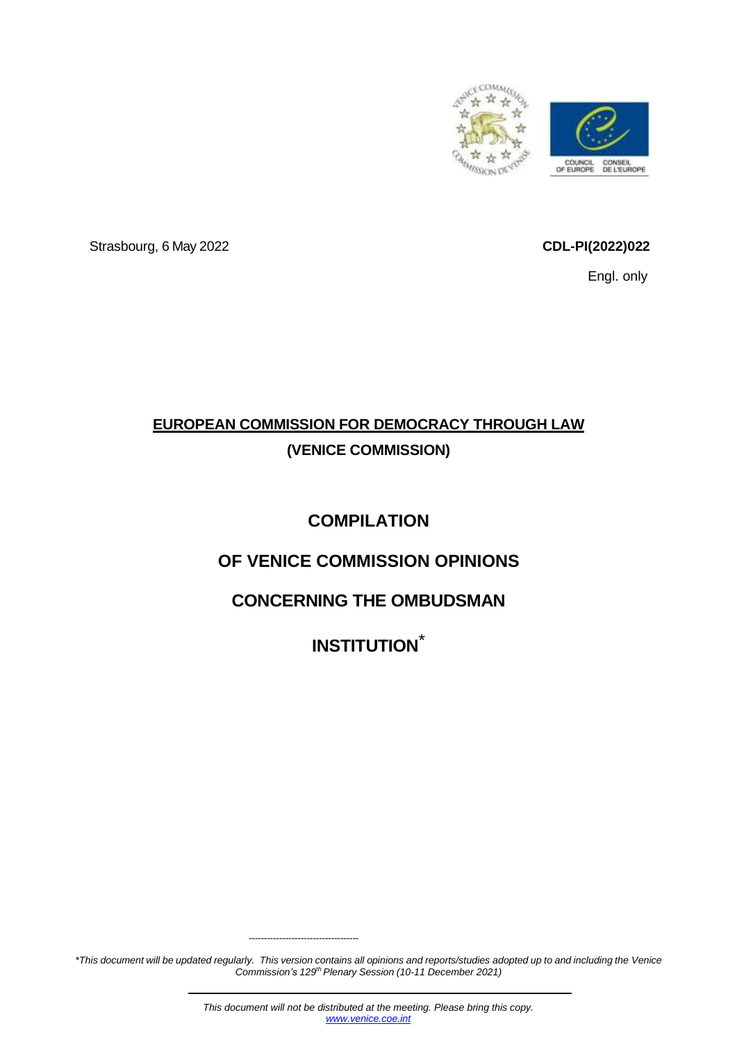

Strasbourg, 6 May 2022 **CDL-PI(2022)022**

Engl. only

# **EUROPEAN COMMISSION FOR DEMOCRACY THROUGH LAW (VENICE COMMISSION)**

# **COMPILATION**

# **OF VENICE COMMISSION OPINIONS**

# **CONCERNING THE OMBUDSMAN**

**INSTITUTION**\*

\*This document will be updated regularly. This version contains all opinions and reports/studies adopted up to and including the Venice *Commission's 129th Plenary Session (10-11 December 2021)*

------------------------------------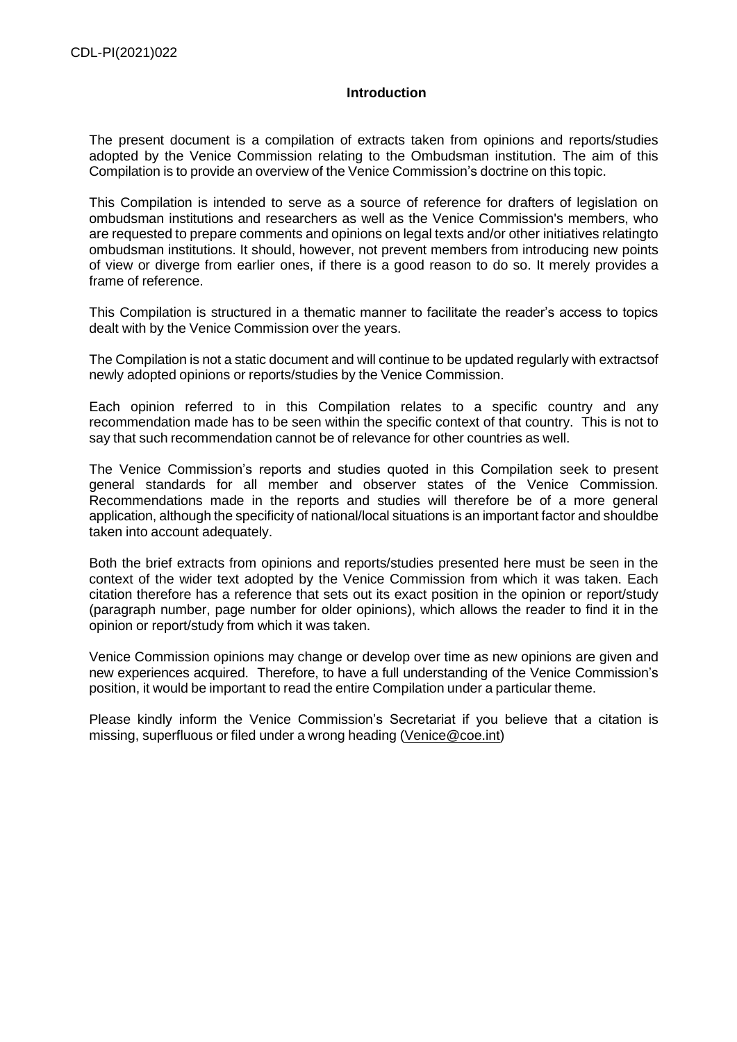# **Introduction**

<span id="page-1-0"></span>The present document is a compilation of extracts taken from opinions and reports/studies adopted by the Venice Commission relating to the Ombudsman institution. The aim of this Compilation is to provide an overview of the Venice Commission's doctrine on this topic.

This Compilation is intended to serve as a source of reference for drafters of legislation on ombudsman institutions and researchers as well as the Venice Commission's members, who are requested to prepare comments and opinions on legal texts and/or other initiatives relatingto ombudsman institutions. It should, however, not prevent members from introducing new points of view or diverge from earlier ones, if there is a good reason to do so. It merely provides a frame of reference.

This Compilation is structured in a thematic manner to facilitate the reader's access to topics dealt with by the Venice Commission over the years.

The Compilation is not a static document and will continue to be updated regularly with extractsof newly adopted opinions or reports/studies by the Venice Commission.

Each opinion referred to in this Compilation relates to a specific country and any recommendation made has to be seen within the specific context of that country. This is not to say that such recommendation cannot be of relevance for other countries as well.

The Venice Commission's reports and studies quoted in this Compilation seek to present general standards for all member and observer states of the Venice Commission. Recommendations made in the reports and studies will therefore be of a more general application, although the specificity of national/local situations is an important factor and shouldbe taken into account adequately.

Both the brief extracts from opinions and reports/studies presented here must be seen in the context of the wider text adopted by the Venice Commission from which it was taken. Each citation therefore has a reference that sets out its exact position in the opinion or report/study (paragraph number, page number for older opinions), which allows the reader to find it in the opinion or report/study from which it was taken.

Venice Commission opinions may change or develop over time as new opinions are given and new experiences acquired. Therefore, to have a full understanding of the Venice Commission's position, it would be important to read the entire Compilation under a particular theme.

Please kindly inform the Venice Commission's Secretariat if you believe that a citation is missing, superfluous or filed under a wrong heading [\(Venice@coe.int\)](mailto:Venice@coe.int)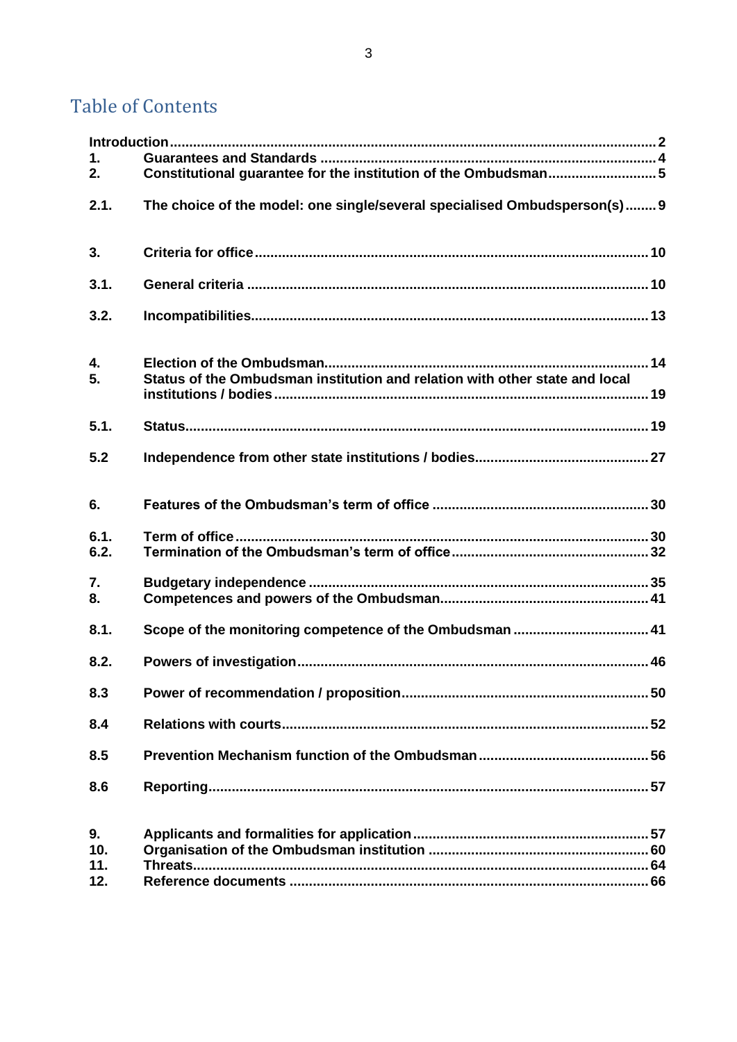# **Table of Contents**

| 1.<br>2.                |                                                                             |
|-------------------------|-----------------------------------------------------------------------------|
| 2.1.                    | The choice of the model: one single/several specialised Ombudsperson(s)9    |
| 3.                      |                                                                             |
| 3.1.                    |                                                                             |
| 3.2.                    |                                                                             |
| 4.<br>5.                | Status of the Ombudsman institution and relation with other state and local |
| 5.1.                    |                                                                             |
| 5.2                     |                                                                             |
| 6.                      |                                                                             |
| 6.1.<br>6.2.            |                                                                             |
| 7.<br>8.                |                                                                             |
| 8.1.                    |                                                                             |
| 8.2.                    |                                                                             |
| 8.3                     |                                                                             |
| 8.4                     |                                                                             |
| 8.5                     |                                                                             |
| 8.6                     |                                                                             |
| 9.<br>10.<br>11.<br>12. |                                                                             |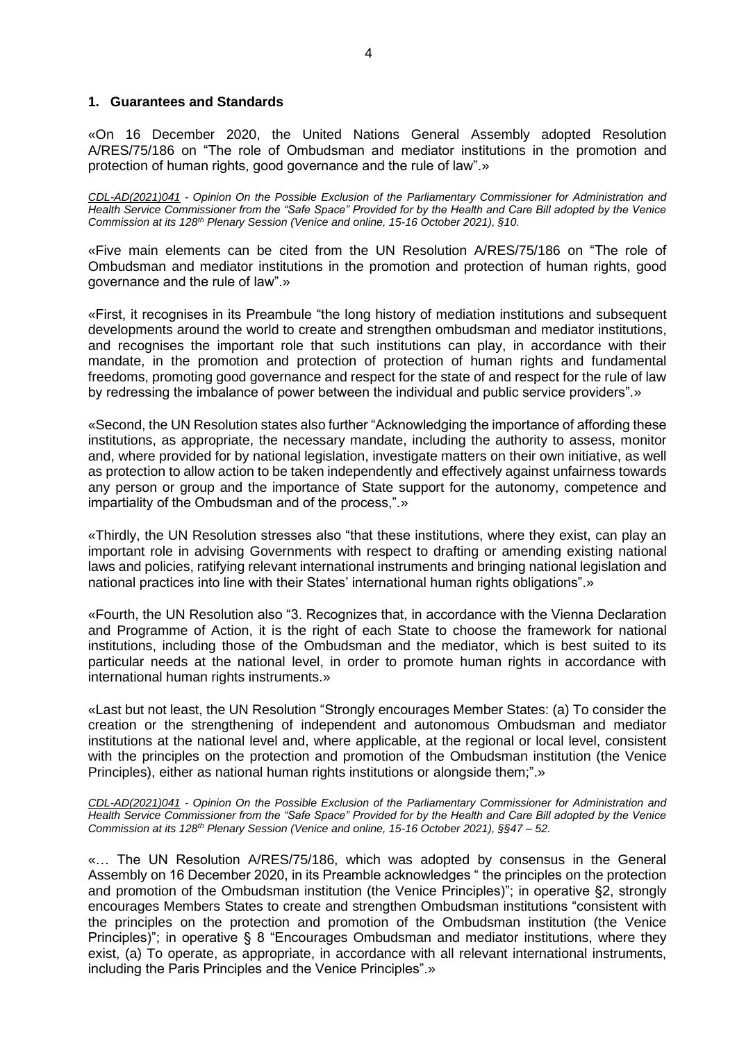# <span id="page-3-0"></span>**1. Guarantees and Standards**

«On 16 December 2020, the United Nations General Assembly adopted Resolution A/RES/75/186 on "The role of Ombudsman and mediator institutions in the promotion and protection of human rights, good governance and the rule of law".»

*CDL-AD(2021)041 - Opinion On the Possible Exclusion of the Parliamentary Commissioner for Administration and Health Service Commissioner from the "Safe Space" Provided for by the Health and Care Bill adopted by the Venice Commission at its 128th Plenary Session (Venice and online, 15-16 October 2021), §10.*

«Five main elements can be cited from the UN Resolution A/RES/75/186 on "The role of Ombudsman and mediator institutions in the promotion and protection of human rights, good governance and the rule of law".»

«First, it recognises in its Preambule "the long history of mediation institutions and subsequent developments around the world to create and strengthen ombudsman and mediator institutions, and recognises the important role that such institutions can play, in accordance with their mandate, in the promotion and protection of protection of human rights and fundamental freedoms, promoting good governance and respect for the state of and respect for the rule of law by redressing the imbalance of power between the individual and public service providers".»

«Second, the UN Resolution states also further "Acknowledging the importance of affording these institutions, as appropriate, the necessary mandate, including the authority to assess, monitor and, where provided for by national legislation, investigate matters on their own initiative, as well as protection to allow action to be taken independently and effectively against unfairness towards any person or group and the importance of State support for the autonomy, competence and impartiality of the Ombudsman and of the process,".»

«Thirdly, the UN Resolution stresses also "that these institutions, where they exist, can play an important role in advising Governments with respect to drafting or amending existing national laws and policies, ratifying relevant international instruments and bringing national legislation and national practices into line with their States' international human rights obligations".»

«Fourth, the UN Resolution also "3. Recognizes that, in accordance with the Vienna Declaration and Programme of Action, it is the right of each State to choose the framework for national institutions, including those of the Ombudsman and the mediator, which is best suited to its particular needs at the national level, in order to promote human rights in accordance with international human rights instruments.»

«Last but not least, the UN Resolution "Strongly encourages Member States: (a) To consider the creation or the strengthening of independent and autonomous Ombudsman and mediator institutions at the national level and, where applicable, at the regional or local level, consistent with the principles on the protection and promotion of the Ombudsman institution (the Venice Principles), either as national human rights institutions or alongside them;".»

*CDL-AD(2021)041 - Opinion On the Possible Exclusion of the Parliamentary Commissioner for Administration and Health Service Commissioner from the "Safe Space" Provided for by the Health and Care Bill adopted by the Venice Commission at its 128th Plenary Session (Venice and online, 15-16 October 2021), §§47 – 52.*

«… The UN Resolution A/RES/75/186, which was adopted by consensus in the General Assembly on 16 December 2020, in its Preamble acknowledges " the principles on the protection and promotion of the Ombudsman institution (the Venice Principles)"; in operative §2, strongly encourages Members States to create and strengthen Ombudsman institutions "consistent with the principles on the protection and promotion of the Ombudsman institution (the Venice Principles)"; in operative § 8 "Encourages Ombudsman and mediator institutions, where they exist, (a) To operate, as appropriate, in accordance with all relevant international instruments, including the Paris Principles and the Venice Principles".»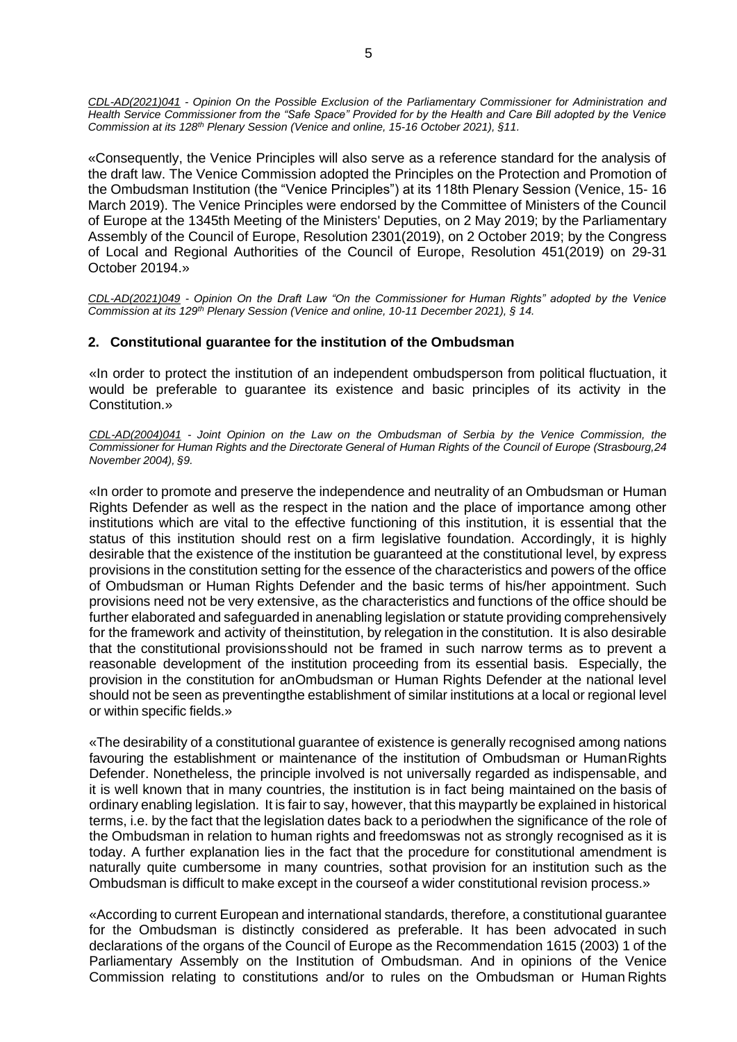*CDL-AD(2021)041 - Opinion On the Possible Exclusion of the Parliamentary Commissioner for Administration and Health Service Commissioner from the "Safe Space" Provided for by the Health and Care Bill adopted by the Venice Commission at its 128th Plenary Session (Venice and online, 15-16 October 2021), §11.*

«Consequently, the Venice Principles will also serve as a reference standard for the analysis of the draft law. The Venice Commission adopted the Principles on the Protection and Promotion of the Ombudsman Institution (the "Venice Principles") at its 118th Plenary Session (Venice, 15- 16 March 2019). The Venice Principles were endorsed by the Committee of Ministers of the Council of Europe at the 1345th Meeting of the Ministers' Deputies, on 2 May 2019; by the Parliamentary Assembly of the Council of Europe, Resolution 2301(2019), on 2 October 2019; by the Congress of Local and Regional Authorities of the Council of Europe, Resolution 451(2019) on 29-31 October 20194.»

*CDL-AD(2021)049 - Opinion On the Draft Law "On the Commissioner for Human Rights" adopted by the Venice Commission at its 129th Plenary Session (Venice and online, 10-11 December 2021), § 14.*

# <span id="page-4-0"></span>**2. Constitutional guarantee for the institution of the Ombudsman**

«In order to protect the institution of an independent ombudsperson from political fluctuation, it would be preferable to guarantee its existence and basic principles of its activity in the Constitution.»

*CDL-AD(2004)041 - Joint Opinion on the Law on the Ombudsman of Serbia by the Venice Commission, the* Commissioner for Human Rights and the Directorate General of Human Rights of the Council of Europe (Strasbourg,24 *November 2004), §9.*

«In order to promote and preserve the independence and neutrality of an Ombudsman or Human Rights Defender as well as the respect in the nation and the place of importance among other institutions which are vital to the effective functioning of this institution, it is essential that the status of this institution should rest on a firm legislative foundation. Accordingly, it is highly desirable that the existence of the institution be guaranteed at the constitutional level, by express provisions in the constitution setting for the essence of the characteristics and powers of the office of Ombudsman or Human Rights Defender and the basic terms of his/her appointment. Such provisions need not be very extensive, as the characteristics and functions of the office should be further elaborated and safeguarded in anenabling legislation or statute providing comprehensively for the framework and activity of theinstitution, by relegation in the constitution. It is also desirable that the constitutional provisionsshould not be framed in such narrow terms as to prevent a reasonable development of the institution proceeding from its essential basis. Especially, the provision in the constitution for anOmbudsman or Human Rights Defender at the national level should not be seen as preventingthe establishment of similar institutions at a local or regional level or within specific fields.»

«The desirability of a constitutional guarantee of existence is generally recognised among nations favouring the establishment or maintenance of the institution of Ombudsman or HumanRights Defender. Nonetheless, the principle involved is not universally regarded as indispensable, and it is well known that in many countries, the institution is in fact being maintained on the basis of ordinary enabling legislation. It is fair to say, however, that this maypartly be explained in historical terms, i.e. by the fact that the legislation dates back to a periodwhen the significance of the role of the Ombudsman in relation to human rights and freedomswas not as strongly recognised as it is today. A further explanation lies in the fact that the procedure for constitutional amendment is naturally quite cumbersome in many countries, sothat provision for an institution such as the Ombudsman is difficult to make except in the courseof a wider constitutional revision process.»

«According to current European and international standards, therefore, a constitutional guarantee for the Ombudsman is distinctly considered as preferable. It has been advocated in such declarations of the organs of the Council of Europe as the Recommendation 1615 (2003) 1 of the Parliamentary Assembly on the Institution of Ombudsman. And in opinions of the Venice Commission relating to constitutions and/or to rules on the Ombudsman or Human Rights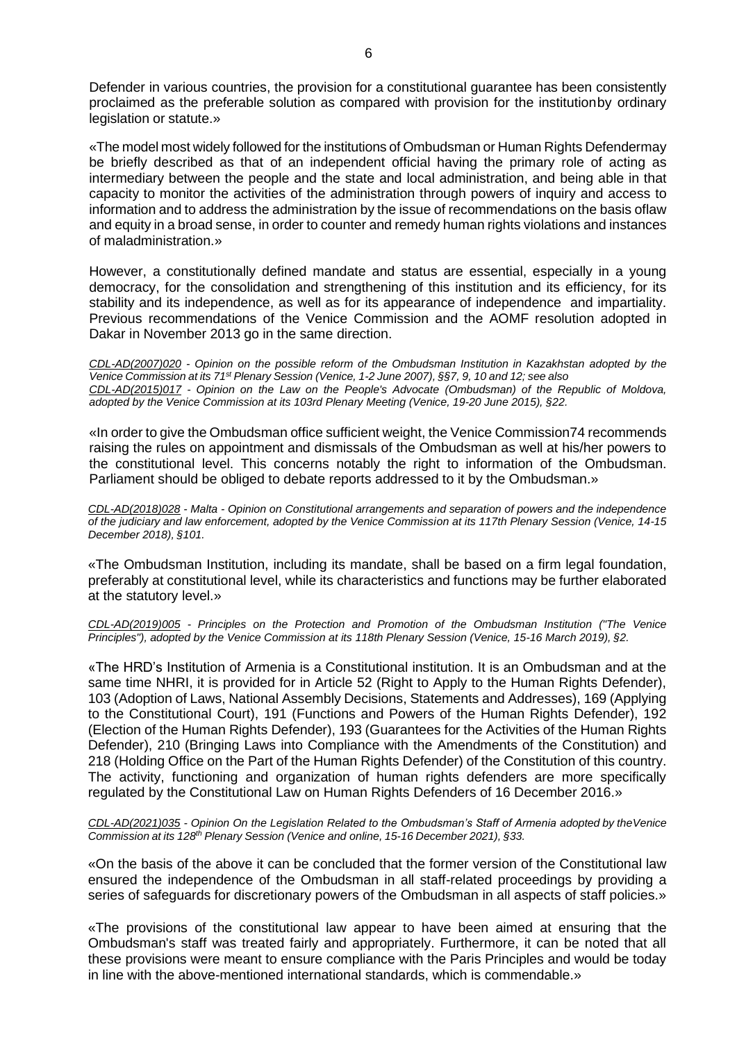Defender in various countries, the provision for a constitutional guarantee has been consistently proclaimed as the preferable solution as compared with provision for the institutionby ordinary legislation or statute.»

«The model most widely followed for the institutions of Ombudsman or Human Rights Defendermay be briefly described as that of an independent official having the primary role of acting as intermediary between the people and the state and local administration, and being able in that capacity to monitor the activities of the administration through powers of inquiry and access to information and to address the administration by the issue of recommendations on the basis oflaw and equity in a broad sense, in order to counter and remedy human rights violations and instances of maladministration.»

However, a constitutionally defined mandate and status are essential, especially in a young democracy, for the consolidation and strengthening of this institution and its efficiency, for its stability and its independence, as well as for its appearance of independence and impartiality. Previous recommendations of the Venice Commission and the AOMF resolution adopted in Dakar in November 2013 go in the same direction.

*CDL-AD(2007)020 - Opinion on the possible reform of the Ombudsman Institution in Kazakhstan adopted by the* Venice Commission at its 71<sup>st</sup> Plenary Session (Venice, 1-2 June 2007), §§7, 9, 10 and 12; see also *CDL-AD(2015)017 - Opinion on the Law on the People's Advocate (Ombudsman) of the Republic of Moldova, adopted by the Venice Commission at its 103rd Plenary Meeting (Venice, 19-20 June 2015), §22.*

«In order to give the Ombudsman office sufficient weight, the Venice Commission74 recommends raising the rules on appointment and dismissals of the Ombudsman as well at his/her powers to the constitutional level. This concerns notably the right to information of the Ombudsman. Parliament should be obliged to debate reports addressed to it by the Ombudsman.»

*CDL-AD(2018)028 - Malta - Opinion on Constitutional arrangements and separation of powers and the independence of the judiciary and law enforcement, adopted by the Venice Commission at its 117th Plenary Session (Venice, 14-15 December 2018), §101.*

«The Ombudsman Institution, including its mandate, shall be based on a firm legal foundation, preferably at constitutional level, while its characteristics and functions may be further elaborated at the statutory level.»

*CDL-AD(2019)005 - Principles on the Protection and Promotion of the Ombudsman Institution ("The Venice Principles"), adopted by the Venice Commission at its 118th Plenary Session (Venice, 15-16 March 2019), §2.*

«The HRD's Institution of Armenia is a Constitutional institution. It is an Ombudsman and at the same time NHRI, it is provided for in Article 52 (Right to Apply to the Human Rights Defender), 103 (Adoption of Laws, National Assembly Decisions, Statements and Addresses), 169 (Applying to the Constitutional Court), 191 (Functions and Powers of the Human Rights Defender), 192 (Election of the Human Rights Defender), 193 (Guarantees for the Activities of the Human Rights Defender), 210 (Bringing Laws into Compliance with the Amendments of the Constitution) and 218 (Holding Office on the Part of the Human Rights Defender) of the Constitution of this country. The activity, functioning and organization of human rights defenders are more specifically regulated by the Constitutional Law on Human Rights Defenders of 16 December 2016.»

*CDL-AD(2021)035 - Opinion On the Legislation Related to the Ombudsman's Staff of Armenia adopted by theVenice Commission at its 128th Plenary Session (Venice and online, 15-16 December 2021), §33.*

«On the basis of the above it can be concluded that the former version of the Constitutional law ensured the independence of the Ombudsman in all staff-related proceedings by providing a series of safeguards for discretionary powers of the Ombudsman in all aspects of staff policies.»

«The provisions of the constitutional law appear to have been aimed at ensuring that the Ombudsman's staff was treated fairly and appropriately. Furthermore, it can be noted that all these provisions were meant to ensure compliance with the Paris Principles and would be today in line with the above-mentioned international standards, which is commendable.»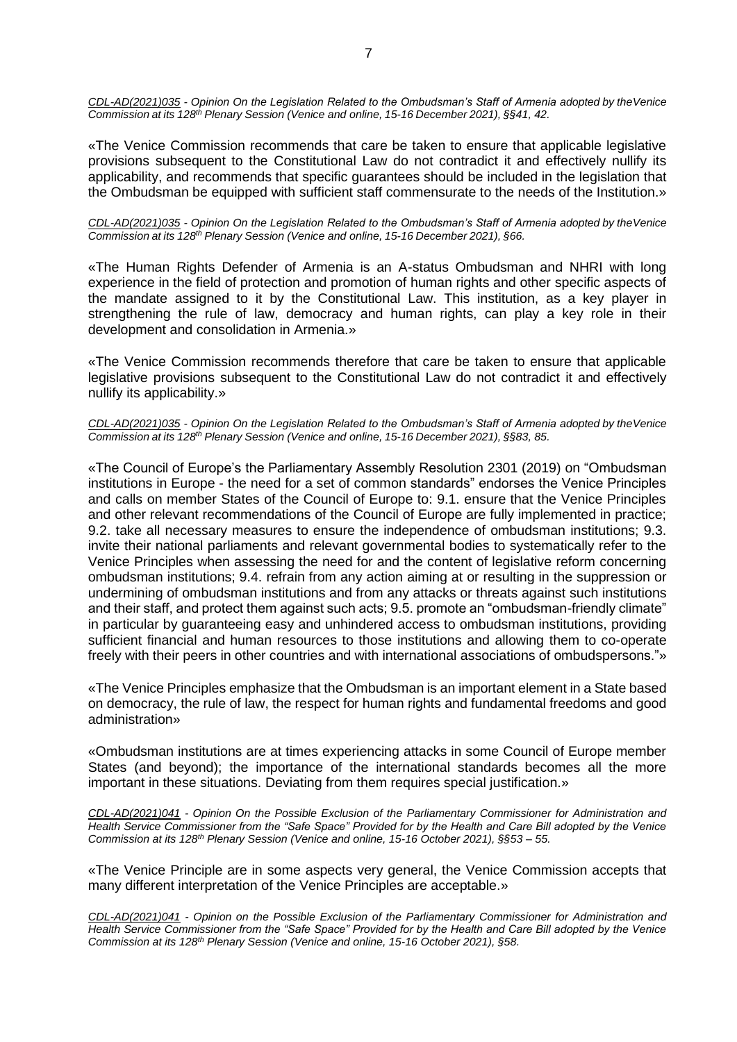*CDL-AD(2021)035 - Opinion On the Legislation Related to the Ombudsman's Staff of Armenia adopted by theVenice Commission at its 128th Plenary Session (Venice and online, 15-16 December 2021), §§41, 42.*

«The Venice Commission recommends that care be taken to ensure that applicable legislative provisions subsequent to the Constitutional Law do not contradict it and effectively nullify its applicability, and recommends that specific guarantees should be included in the legislation that the Ombudsman be equipped with sufficient staff commensurate to the needs of the Institution.»

*CDL-AD(2021)035 - Opinion On the Legislation Related to the Ombudsman's Staff of Armenia adopted by theVenice Commission at its 128th Plenary Session (Venice and online, 15-16 December 2021), §66.*

«The Human Rights Defender of Armenia is an A-status Ombudsman and NHRI with long experience in the field of protection and promotion of human rights and other specific aspects of the mandate assigned to it by the Constitutional Law. This institution, as a key player in strengthening the rule of law, democracy and human rights, can play a key role in their development and consolidation in Armenia.»

«The Venice Commission recommends therefore that care be taken to ensure that applicable legislative provisions subsequent to the Constitutional Law do not contradict it and effectively nullify its applicability.»

*CDL-AD(2021)035 - Opinion On the Legislation Related to the Ombudsman's Staff of Armenia adopted by theVenice Commission at its 128th Plenary Session (Venice and online, 15-16 December 2021), §§83, 85.*

«The Council of Europe's the Parliamentary Assembly Resolution 2301 (2019) on "Ombudsman institutions in Europe - the need for a set of common standards" endorses the Venice Principles and calls on member States of the Council of Europe to: 9.1. ensure that the Venice Principles and other relevant recommendations of the Council of Europe are fully implemented in practice; 9.2. take all necessary measures to ensure the independence of ombudsman institutions; 9.3. invite their national parliaments and relevant governmental bodies to systematically refer to the Venice Principles when assessing the need for and the content of legislative reform concerning ombudsman institutions; 9.4. refrain from any action aiming at or resulting in the suppression or undermining of ombudsman institutions and from any attacks or threats against such institutions and their staff, and protect them against such acts; 9.5. promote an "ombudsman-friendly climate" in particular by guaranteeing easy and unhindered access to ombudsman institutions, providing sufficient financial and human resources to those institutions and allowing them to co-operate freely with their peers in other countries and with international associations of ombudspersons."»

«The Venice Principles emphasize that the Ombudsman is an important element in a State based on democracy, the rule of law, the respect for human rights and fundamental freedoms and good administration»

«Ombudsman institutions are at times experiencing attacks in some Council of Europe member States (and beyond); the importance of the international standards becomes all the more important in these situations. Deviating from them requires special justification.»

*CDL-AD(2021)041 - Opinion On the Possible Exclusion of the Parliamentary Commissioner for Administration and Health Service Commissioner from the "Safe Space" Provided for by the Health and Care Bill adopted by the Venice Commission at its 128th Plenary Session (Venice and online, 15-16 October 2021), §§53 – 55.*

«The Venice Principle are in some aspects very general, the Venice Commission accepts that many different interpretation of the Venice Principles are acceptable.»

*CDL-AD(2021)041 - Opinion on the Possible Exclusion of the Parliamentary Commissioner for Administration and Health Service Commissioner from the "Safe Space" Provided for by the Health and Care Bill adopted by the Venice Commission at its 128th Plenary Session (Venice and online, 15-16 October 2021), §58.*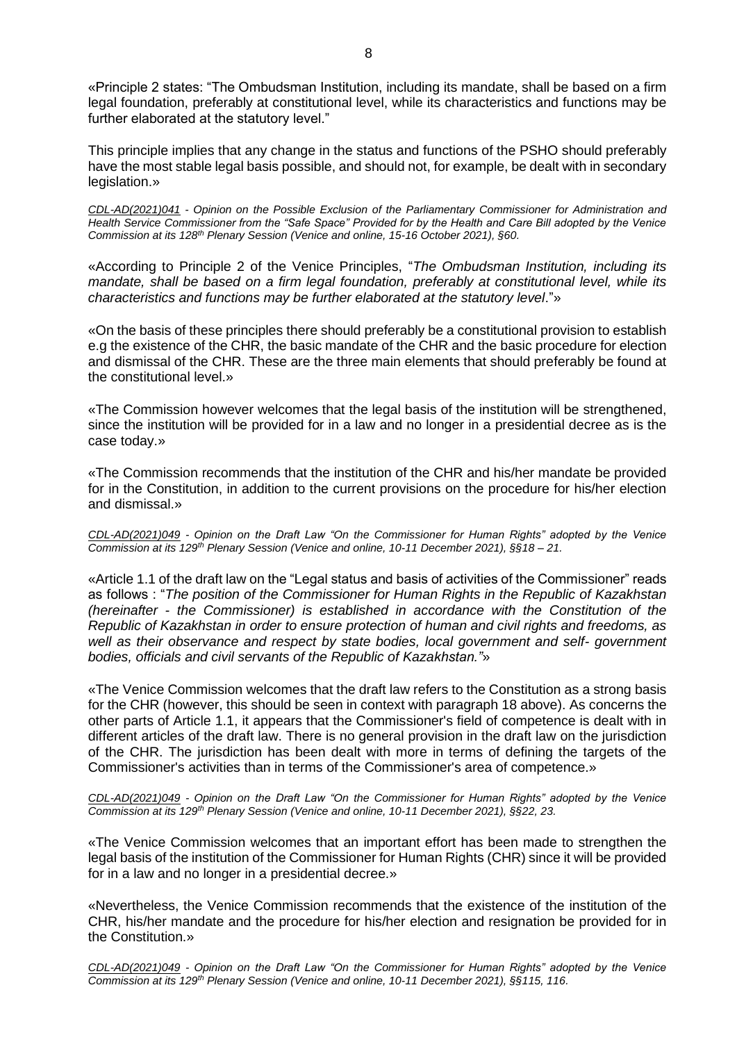«Principle 2 states: "The Ombudsman Institution, including its mandate, shall be based on a firm legal foundation, preferably at constitutional level, while its characteristics and functions may be further elaborated at the statutory level."

This principle implies that any change in the status and functions of the PSHO should preferably have the most stable legal basis possible, and should not, for example, be dealt with in secondary legislation.»

*CDL-AD(2021)041 - Opinion on the Possible Exclusion of the Parliamentary Commissioner for Administration and Health Service Commissioner from the "Safe Space" Provided for by the Health and Care Bill adopted by the Venice Commission at its 128th Plenary Session (Venice and online, 15-16 October 2021), §60.*

«According to Principle 2 of the Venice Principles, "*The Ombudsman Institution, including its mandate, shall be based on a firm legal foundation, preferably at constitutional level, while its characteristics and functions may be further elaborated at the statutory level*."»

«On the basis of these principles there should preferably be a constitutional provision to establish e.g the existence of the CHR, the basic mandate of the CHR and the basic procedure for election and dismissal of the CHR. These are the three main elements that should preferably be found at the constitutional level.»

«The Commission however welcomes that the legal basis of the institution will be strengthened, since the institution will be provided for in a law and no longer in a presidential decree as is the case today.»

«The Commission recommends that the institution of the CHR and his/her mandate be provided for in the Constitution, in addition to the current provisions on the procedure for his/her election and dismissal.»

*CDL-AD(2021)049 - Opinion on the Draft Law "On the Commissioner for Human Rights" adopted by the Venice Commission at its 129th Plenary Session (Venice and online, 10-11 December 2021), §§18 – 21.*

«Article 1.1 of the draft law on the "Legal status and basis of activities of the Commissioner" reads as follows : "*The position of the Commissioner for Human Rights in the Republic of Kazakhstan (hereinafter - the Commissioner) is established in accordance with the Constitution of the Republic of Kazakhstan in order to ensure protection of human and civil rights and freedoms, as well as their observance and respect by state bodies, local government and self- government bodies, officials and civil servants of the Republic of Kazakhstan."*»

«The Venice Commission welcomes that the draft law refers to the Constitution as a strong basis for the CHR (however, this should be seen in context with paragraph 18 above). As concerns the other parts of Article 1.1, it appears that the Commissioner's field of competence is dealt with in different articles of the draft law. There is no general provision in the draft law on the jurisdiction of the CHR. The jurisdiction has been dealt with more in terms of defining the targets of the Commissioner's activities than in terms of the Commissioner's area of competence.»

*CDL-AD(2021)049 - Opinion on the Draft Law "On the Commissioner for Human Rights" adopted by the Venice Commission at its 129th Plenary Session (Venice and online, 10-11 December 2021), §§22, 23.*

«The Venice Commission welcomes that an important effort has been made to strengthen the legal basis of the institution of the Commissioner for Human Rights (CHR) since it will be provided for in a law and no longer in a presidential decree.»

«Nevertheless, the Venice Commission recommends that the existence of the institution of the CHR, his/her mandate and the procedure for his/her election and resignation be provided for in the Constitution.»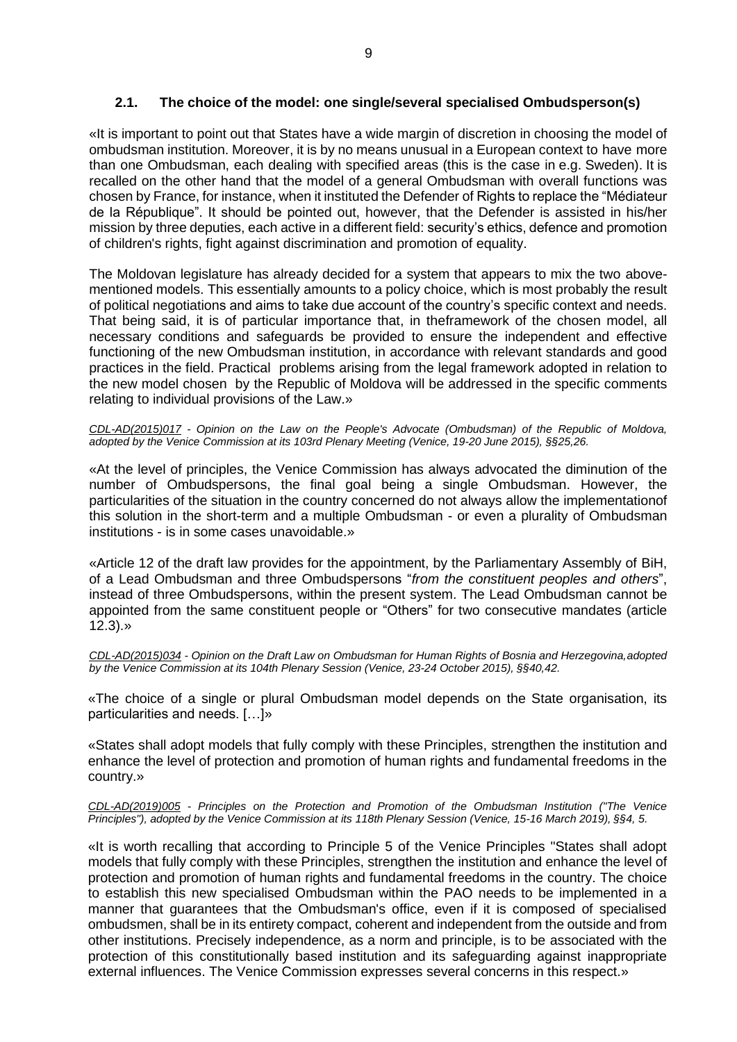# **2.1. The choice of the model: one single/several specialised Ombudsperson(s)**

<span id="page-8-0"></span>«It is important to point out that States have a wide margin of discretion in choosing the model of ombudsman institution. Moreover, it is by no means unusual in a European context to have more than one Ombudsman, each dealing with specified areas (this is the case in e.g. Sweden). It is recalled on the other hand that the model of a general Ombudsman with overall functions was chosen by France, for instance, when it instituted the Defender of Rights to replace the "Médiateur de la République". It should be pointed out, however, that the Defender is assisted in his/her mission by three deputies, each active in a different field: security's ethics, defence and promotion of children's rights, fight against discrimination and promotion of equality.

The Moldovan legislature has already decided for a system that appears to mix the two abovementioned models. This essentially amounts to a policy choice, which is most probably the result of political negotiations and aims to take due account of the country's specific context and needs. That being said, it is of particular importance that, in theframework of the chosen model, all necessary conditions and safeguards be provided to ensure the independent and effective functioning of the new Ombudsman institution, in accordance with relevant standards and good practices in the field. Practical problems arising from the legal framework adopted in relation to the new model chosen by the Republic of Moldova will be addressed in the specific comments relating to individual provisions of the Law.»

*CDL-AD(2015)017 - Opinion on the Law on the People's Advocate (Ombudsman) of the Republic of Moldova, adopted by the Venice Commission at its 103rd Plenary Meeting (Venice, 19-20 June 2015), §§25,26.*

«At the level of principles, the Venice Commission has always advocated the diminution of the number of Ombudspersons, the final goal being a single Ombudsman. However, the particularities of the situation in the country concerned do not always allow the implementationof this solution in the short-term and a multiple Ombudsman - or even a plurality of Ombudsman institutions - is in some cases unavoidable.»

«Article 12 of the draft law provides for the appointment, by the Parliamentary Assembly of BiH, of a Lead Ombudsman and three Ombudspersons "*from the constituent peoples and others*", instead of three Ombudspersons, within the present system. The Lead Ombudsman cannot be appointed from the same constituent people or "Others" for two consecutive mandates (article 12.3).»

*CDL-AD(2015)034 - Opinion on the Draft Law on Ombudsman for Human Rights of Bosnia and Herzegovina,adopted by the Venice Commission at its 104th Plenary Session (Venice, 23-24 October 2015), §§40,42.*

«The choice of a single or plural Ombudsman model depends on the State organisation, its particularities and needs. […]»

«States shall adopt models that fully comply with these Principles, strengthen the institution and enhance the level of protection and promotion of human rights and fundamental freedoms in the country.»

*CDL-AD(2019)005 - Principles on the Protection and Promotion of the Ombudsman Institution ("The Venice Principles"), adopted by the Venice Commission at its 118th Plenary Session (Venice, 15-16 March 2019), §§4, 5.*

«It is worth recalling that according to Principle 5 of the Venice Principles "States shall adopt models that fully comply with these Principles, strengthen the institution and enhance the level of protection and promotion of human rights and fundamental freedoms in the country. The choice to establish this new specialised Ombudsman within the PAO needs to be implemented in a manner that guarantees that the Ombudsman's office, even if it is composed of specialised ombudsmen, shall be in its entirety compact, coherent and independent from the outside and from other institutions. Precisely independence, as a norm and principle, is to be associated with the protection of this constitutionally based institution and its safeguarding against inappropriate external influences. The Venice Commission expresses several concerns in this respect.»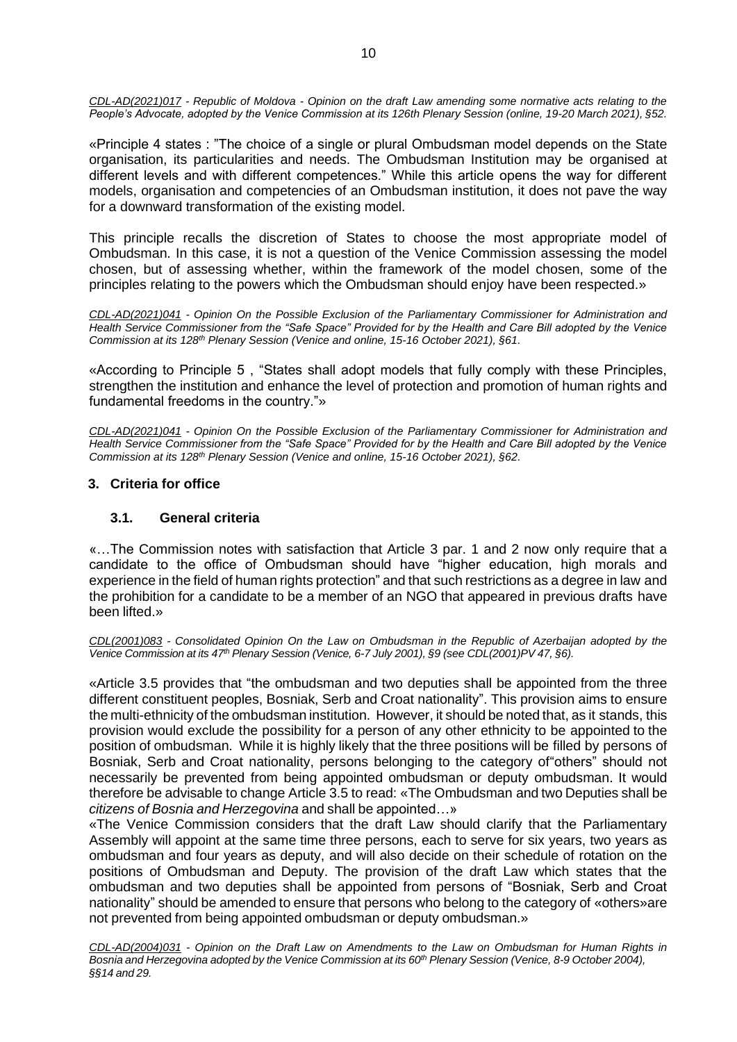*CDL-AD(2021)017 - Republic of Moldova - Opinion on the draft Law amending some normative acts relating to the People's Advocate, adopted by the Venice Commission at its 126th Plenary Session (online, 19-20 March 2021), §52.*

«Principle 4 states : "The choice of a single or plural Ombudsman model depends on the State organisation, its particularities and needs. The Ombudsman Institution may be organised at different levels and with different competences." While this article opens the way for different models, organisation and competencies of an Ombudsman institution, it does not pave the way for a downward transformation of the existing model.

This principle recalls the discretion of States to choose the most appropriate model of Ombudsman. In this case, it is not a question of the Venice Commission assessing the model chosen, but of assessing whether, within the framework of the model chosen, some of the principles relating to the powers which the Ombudsman should enjoy have been respected.»

*CDL-AD(2021)041 - Opinion On the Possible Exclusion of the Parliamentary Commissioner for Administration and Health Service Commissioner from the "Safe Space" Provided for by the Health and Care Bill adopted by the Venice Commission at its 128th Plenary Session (Venice and online, 15-16 October 2021), §61.*

«According to Principle 5 , "States shall adopt models that fully comply with these Principles, strengthen the institution and enhance the level of protection and promotion of human rights and fundamental freedoms in the country."»

*CDL-AD(2021)041 - Opinion On the Possible Exclusion of the Parliamentary Commissioner for Administration and Health Service Commissioner from the "Safe Space" Provided for by the Health and Care Bill adopted by the Venice Commission at its 128th Plenary Session (Venice and online, 15-16 October 2021), §62.*

# <span id="page-9-1"></span><span id="page-9-0"></span>**3. Criteria for office**

# **3.1. General criteria**

«…The Commission notes with satisfaction that Article 3 par. 1 and 2 now only require that a candidate to the office of Ombudsman should have "higher education, high morals and experience in the field of human rights protection" and that such restrictions as a degree in law and the prohibition for a candidate to be a member of an NGO that appeared in previous drafts have been lifted.»

*CDL(2001)083 - Consolidated Opinion On the Law on Ombudsman in the Republic of Azerbaijan adopted by the Venice Commission at its 47th Plenary Session (Venice, 6-7 July 2001), §9 (see CDL(2001)PV 47, §6).*

«Article 3.5 provides that "the ombudsman and two deputies shall be appointed from the three different constituent peoples, Bosniak, Serb and Croat nationality". This provision aims to ensure the multi-ethnicity of the ombudsman institution. However, it should be noted that, as it stands, this provision would exclude the possibility for a person of any other ethnicity to be appointed to the position of ombudsman. While it is highly likely that the three positions will be filled by persons of Bosniak, Serb and Croat nationality, persons belonging to the category of"others" should not necessarily be prevented from being appointed ombudsman or deputy ombudsman. It would therefore be advisable to change Article 3.5 to read: «The Ombudsman and two Deputies shall be *citizens of Bosnia and Herzegovina* and shall be appointed…»

«The Venice Commission considers that the draft Law should clarify that the Parliamentary Assembly will appoint at the same time three persons, each to serve for six years, two years as ombudsman and four years as deputy, and will also decide on their schedule of rotation on the positions of Ombudsman and Deputy. The provision of the draft Law which states that the ombudsman and two deputies shall be appointed from persons of "Bosniak, Serb and Croat nationality" should be amended to ensure that persons who belong to the category of «others»are not prevented from being appointed ombudsman or deputy ombudsman.»

CDL-AD(2004)031 - Opinion on the Draft Law on Amendments to the Law on Ombudsman for Human Rights in Bosnia and Herzegovina adopted by the Venice Commission at its 60<sup>th</sup> Plenary Session (Venice, 8-9 October 2004), *§§14 and 29.*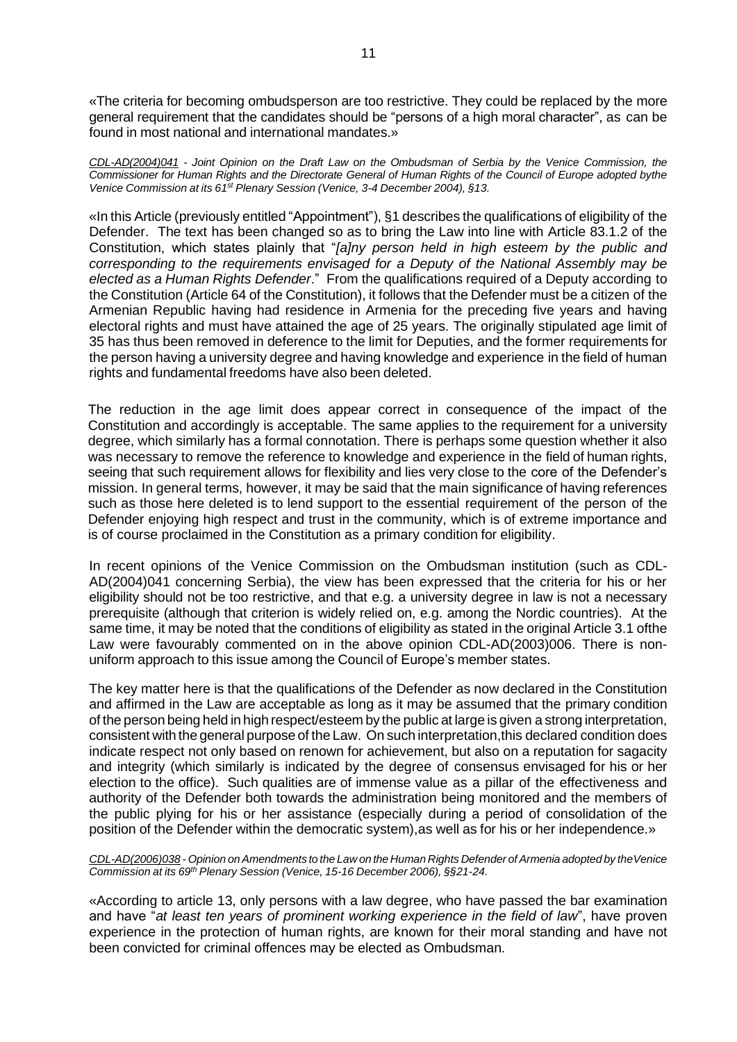«The criteria for becoming ombudsperson are too restrictive. They could be replaced by the more general requirement that the candidates should be "persons of a high moral character", as can be found in most national and international mandates.»

*[CDL-AD\(2004\)041](http://www.venice.coe.int/docs/2004/CDL-AD(2004)041-e.asp) - Joint Opinion on the Draft Law on the Ombudsman of Serbia by the Venice Commission, the* Commissioner for Human Rights and the Directorate General of Human Rights of the Council of Europe adopted bythe *Venice Commission at its 61st Plenary Session (Venice, 3-4 December 2004), §13.*

«In this Article (previously entitled "Appointment"), §1 describes the qualifications of eligibility of the Defender. The text has been changed so as to bring the Law into line with Article 83.1.2 of the Constitution, which states plainly that "*[a]ny person held in high esteem by the public and corresponding to the requirements envisaged for a Deputy of the National Assembly may be elected as a Human Rights Defender*." From the qualifications required of a Deputy according to the Constitution (Article 64 of the Constitution), it follows that the Defender must be a citizen of the Armenian Republic having had residence in Armenia for the preceding five years and having electoral rights and must have attained the age of 25 years. The originally stipulated age limit of 35 has thus been removed in deference to the limit for Deputies, and the former requirements for the person having a university degree and having knowledge and experience in the field of human rights and fundamental freedoms have also been deleted.

The reduction in the age limit does appear correct in consequence of the impact of the Constitution and accordingly is acceptable. The same applies to the requirement for a university degree, which similarly has a formal connotation. There is perhaps some question whether it also was necessary to remove the reference to knowledge and experience in the field of human rights, seeing that such requirement allows for flexibility and lies very close to the core of the Defender's mission. In general terms, however, it may be said that the main significance of having references such as those here deleted is to lend support to the essential requirement of the person of the Defender enjoying high respect and trust in the community, which is of extreme importance and is of course proclaimed in the Constitution as a primary condition for eligibility.

In recent opinions of the Venice Commission on the Ombudsman institution (such as CDL-AD(2004)041 concerning Serbia), the view has been expressed that the criteria for his or her eligibility should not be too restrictive, and that e.g. a university degree in law is not a necessary prerequisite (although that criterion is widely relied on, e.g. among the Nordic countries). At the same time, it may be noted that the conditions of eligibility as stated in the original Article 3.1 ofthe Law were favourably commented on in the above opinion CDL-AD(2003)006. There is nonuniform approach to this issue among the Council of Europe's member states.

The key matter here is that the qualifications of the Defender as now declared in the Constitution and affirmed in the Law are acceptable as long as it may be assumed that the primary condition of the person being held in high respect/esteem by the public at large is given a strong interpretation, consistent with the general purpose of the Law. On such interpretation,this declared condition does indicate respect not only based on renown for achievement, but also on a reputation for sagacity and integrity (which similarly is indicated by the degree of consensus envisaged for his or her election to the office). Such qualities are of immense value as a pillar of the effectiveness and authority of the Defender both towards the administration being monitored and the members of the public plying for his or her assistance (especially during a period of consolidation of the position of the Defender within the democratic system),as well as for his or her independence.»

*CDL-AD(2006)038 - Opinion onAmendments to the Law on the Human Rights Defender ofArmenia adopted by theVenice Commission at its 69th Plenary Session (Venice, 15-16 December 2006), §§21-24.*

«According to article 13, only persons with a law degree, who have passed the bar examination and have "*at least ten years of prominent working experience in the field of law*", have proven experience in the protection of human rights, are known for their moral standing and have not been convicted for criminal offences may be elected as Ombudsman.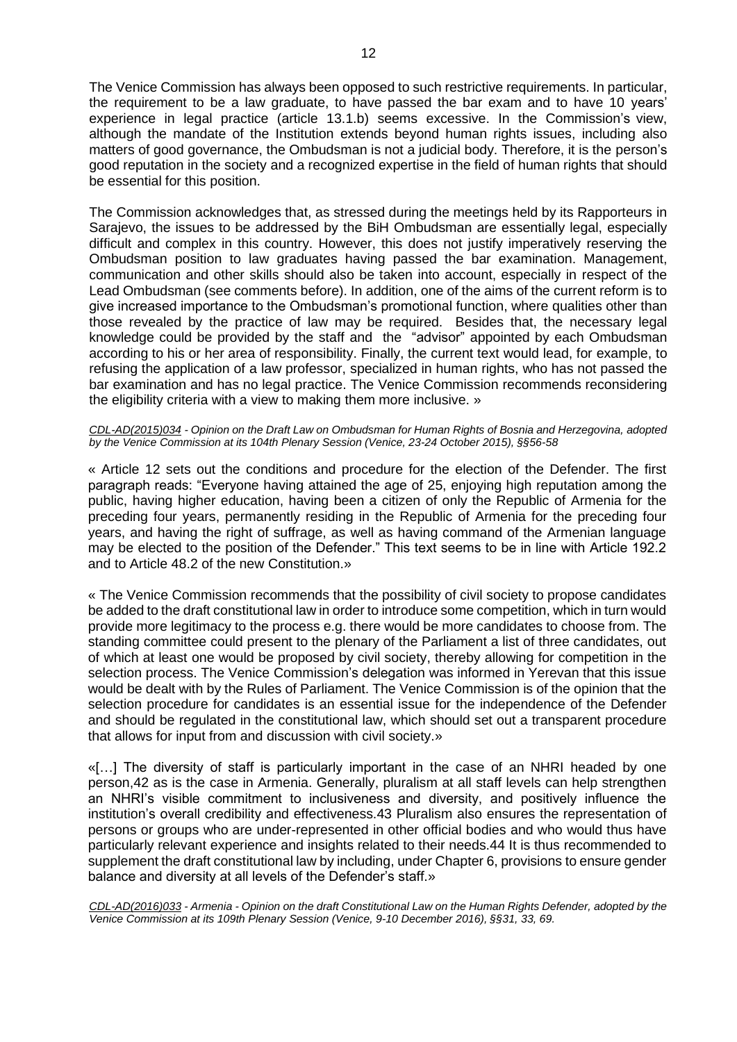The Venice Commission has always been opposed to such restrictive requirements. In particular, the requirement to be a law graduate, to have passed the bar exam and to have 10 years' experience in legal practice (article 13.1.b) seems excessive. In the Commission's view, although the mandate of the Institution extends beyond human rights issues, including also matters of good governance, the Ombudsman is not a judicial body. Therefore, it is the person's good reputation in the society and a recognized expertise in the field of human rights that should be essential for this position.

The Commission acknowledges that, as stressed during the meetings held by its Rapporteurs in Sarajevo, the issues to be addressed by the BiH Ombudsman are essentially legal, especially difficult and complex in this country. However, this does not justify imperatively reserving the Ombudsman position to law graduates having passed the bar examination. Management, communication and other skills should also be taken into account, especially in respect of the Lead Ombudsman (see comments before). In addition, one of the aims of the current reform is to give increased importance to the Ombudsman's promotional function, where qualities other than those revealed by the practice of law may be required. Besides that, the necessary legal knowledge could be provided by the staff and the "advisor" appointed by each Ombudsman according to his or her area of responsibility. Finally, the current text would lead, for example, to refusing the application of a law professor, specialized in human rights, who has not passed the bar examination and has no legal practice. The Venice Commission recommends reconsidering the eligibility criteria with a view to making them more inclusive. »

#### *CDL-AD(2015)034 - Opinion on the Draft Law on Ombudsman for Human Rights of Bosnia and Herzegovina, adopted by the Venice Commission at its 104th Plenary Session (Venice, 23-24 October 2015), §§56-58*

« Article 12 sets out the conditions and procedure for the election of the Defender. The first paragraph reads: "Everyone having attained the age of 25, enjoying high reputation among the public, having higher education, having been a citizen of only the Republic of Armenia for the preceding four years, permanently residing in the Republic of Armenia for the preceding four years, and having the right of suffrage, as well as having command of the Armenian language may be elected to the position of the Defender." This text seems to be in line with Article 192.2 and to Article 48.2 of the new Constitution.»

« The Venice Commission recommends that the possibility of civil society to propose candidates be added to the draft constitutional law in order to introduce some competition, which in turn would provide more legitimacy to the process e.g. there would be more candidates to choose from. The standing committee could present to the plenary of the Parliament a list of three candidates, out of which at least one would be proposed by civil society, thereby allowing for competition in the selection process. The Venice Commission's delegation was informed in Yerevan that this issue would be dealt with by the Rules of Parliament. The Venice Commission is of the opinion that the selection procedure for candidates is an essential issue for the independence of the Defender and should be regulated in the constitutional law, which should set out a transparent procedure that allows for input from and discussion with civil society.»

«[…] The diversity of staff is particularly important in the case of an NHRI headed by one person,42 as is the case in Armenia. Generally, pluralism at all staff levels can help strengthen an NHRI's visible commitment to inclusiveness and diversity, and positively influence the institution's overall credibility and effectiveness.43 Pluralism also ensures the representation of persons or groups who are under-represented in other official bodies and who would thus have particularly relevant experience and insights related to their needs.44 It is thus recommended to supplement the draft constitutional law by including, under Chapter 6, provisions to ensure gender balance and diversity at all levels of the Defender's staff.»

*CDL-AD(2016)033 - Armenia - Opinion on the draft Constitutional Law on the Human Rights Defender, adopted by the Venice Commission at its 109th Plenary Session (Venice, 9-10 December 2016), §§31, 33, 69.*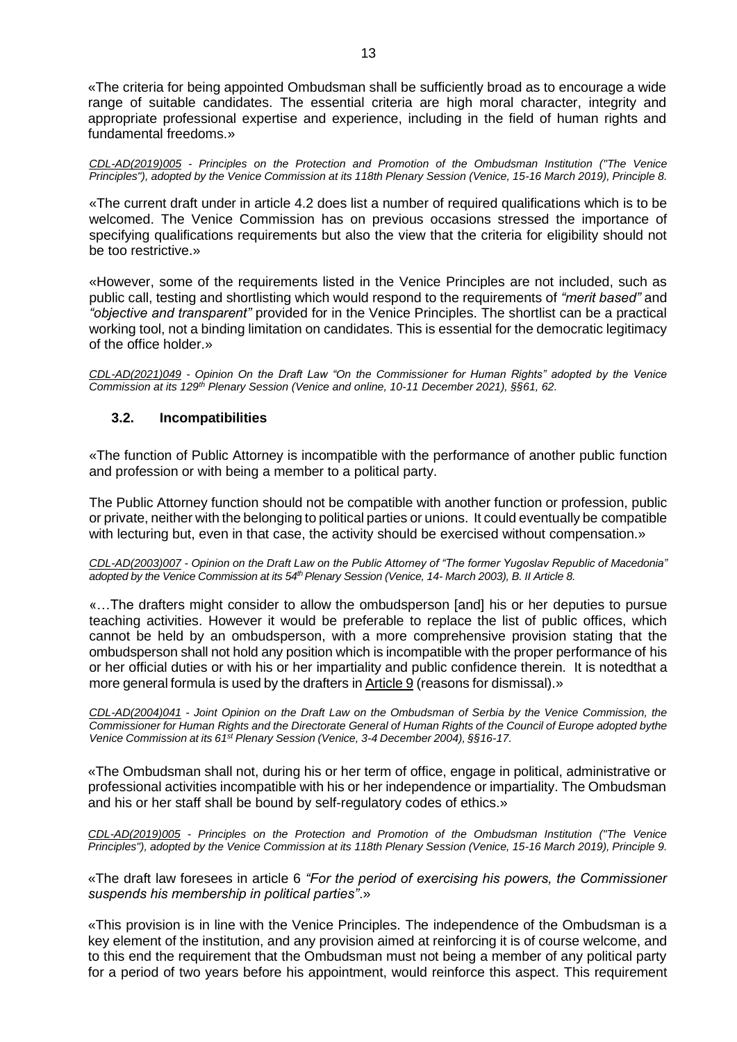«The criteria for being appointed Ombudsman shall be sufficiently broad as to encourage a wide range of suitable candidates. The essential criteria are high moral character, integrity and appropriate professional expertise and experience, including in the field of human rights and fundamental freedoms.»

*CDL-AD(2019)005 - Principles on the Protection and Promotion of the Ombudsman Institution ("The Venice Principles"), adopted by the Venice Commission at its 118th Plenary Session (Venice, 15-16 March 2019), Principle 8.*

«The current draft under in article 4.2 does list a number of required qualifications which is to be welcomed. The Venice Commission has on previous occasions stressed the importance of specifying qualifications requirements but also the view that the criteria for eligibility should not be too restrictive.»

«However, some of the requirements listed in the Venice Principles are not included, such as public call, testing and shortlisting which would respond to the requirements of *"merit based"* and *"objective and transparent"* provided for in the Venice Principles. The shortlist can be a practical working tool, not a binding limitation on candidates. This is essential for the democratic legitimacy of the office holder.»

*CDL-AD(2021)049 - Opinion On the Draft Law "On the Commissioner for Human Rights" adopted by the Venice Commission at its 129th Plenary Session (Venice and online, 10-11 December 2021), §§61, 62.*

# <span id="page-12-0"></span>**3.2. Incompatibilities**

«The function of Public Attorney is incompatible with the performance of another public function and profession or with being a member to a political party.

The Public Attorney function should not be compatible with another function or profession, public or private, neither with the belonging to political parties or unions. It could eventually be compatible with lecturing but, even in that case, the activity should be exercised without compensation.»

*CDL-AD(2003)007 - Opinion on the Draft Law on the Public Attorney of "The former Yugoslav Republic of Macedonia"* adopted by the Venice Commission at its 54<sup>th</sup> Plenary Session (Venice, 14- March 2003), B. II Article 8.

«…The drafters might consider to allow the ombudsperson [and] his or her deputies to pursue teaching activities. However it would be preferable to replace the list of public offices, which cannot be held by an ombudsperson, with a more comprehensive provision stating that the ombudsperson shall not hold any position which is incompatible with the proper performance of his or her official duties or with his or her impartiality and public confidence therein. It is notedthat a more general formula is used by the drafters in Article 9 (reasons for dismissal).»

*[CDL-AD\(2004\)041](http://www.venice.coe.int/docs/2004/CDL-AD(2004)041-e.asp) - Joint Opinion on the Draft Law on the Ombudsman of Serbia by the Venice Commission, the* Commissioner for Human Rights and the Directorate General of Human Rights of the Council of Europe adopted bythe *Venice Commission at its 61st Plenary Session (Venice, 3-4 December 2004), §§16-17.*

«The Ombudsman shall not, during his or her term of office, engage in political, administrative or professional activities incompatible with his or her independence or impartiality. The Ombudsman and his or her staff shall be bound by self-regulatory codes of ethics.»

*CDL-AD(2019)005 - Principles on the Protection and Promotion of the Ombudsman Institution ("The Venice Principles"), adopted by the Venice Commission at its 118th Plenary Session (Venice, 15-16 March 2019), Principle 9.*

«The draft law foresees in article 6 *"For the period of exercising his powers, the Commissioner suspends his membership in political parties"*.»

«This provision is in line with the Venice Principles. The independence of the Ombudsman is a key element of the institution, and any provision aimed at reinforcing it is of course welcome, and to this end the requirement that the Ombudsman must not being a member of any political party for a period of two years before his appointment, would reinforce this aspect. This requirement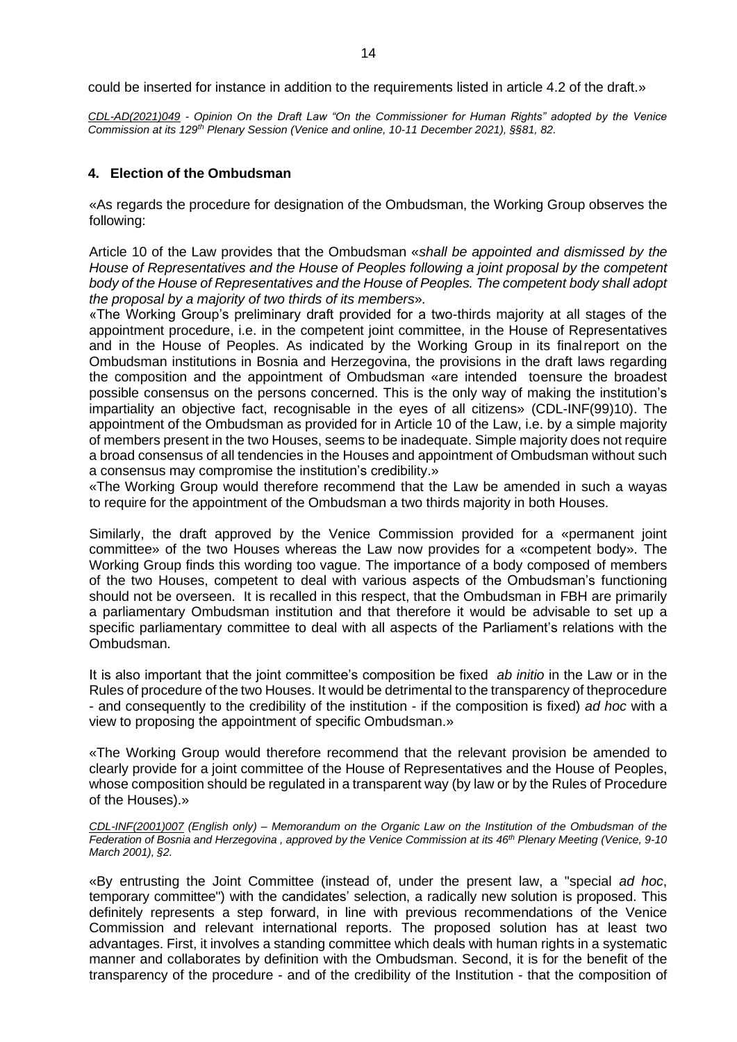could be inserted for instance in addition to the requirements listed in article 4.2 of the draft.»

*CDL-AD(2021)049 - Opinion On the Draft Law "On the Commissioner for Human Rights" adopted by the Venice Commission at its 129th Plenary Session (Venice and online, 10-11 December 2021), §§81, 82.*

### <span id="page-13-0"></span>**4. Election of the Ombudsman**

«As regards the procedure for designation of the Ombudsman, the Working Group observes the following:

Article 10 of the Law provides that the Ombudsman «*shall be appointed and dismissed by the House of Representatives and the House of Peoples following a joint proposal by the competent body of the House of Representatives and the House of Peoples. The competent body shall adopt the proposal by a majority of two thirds of its members*»*.*

«The Working Group's preliminary draft provided for a two-thirds majority at all stages of the appointment procedure, i.e. in the competent joint committee, in the House of Representatives and in the House of Peoples. As indicated by the Working Group in its finalreport on the Ombudsman institutions in Bosnia and Herzegovina, the provisions in the draft laws regarding the composition and the appointment of Ombudsman «are intended toensure the broadest possible consensus on the persons concerned. This is the only way of making the institution's impartiality an objective fact, recognisable in the eyes of all citizens» (CDL-INF(99)10). The appointment of the Ombudsman as provided for in Article 10 of the Law, i.e. by a simple majority of members present in the two Houses, seems to be inadequate. Simple majority does not require a broad consensus of all tendencies in the Houses and appointment of Ombudsman without such a consensus may compromise the institution's credibility.»

«The Working Group would therefore recommend that the Law be amended in such a wayas to require for the appointment of the Ombudsman a two thirds majority in both Houses.

Similarly, the draft approved by the Venice Commission provided for a «permanent joint committee» of the two Houses whereas the Law now provides for a «competent body». The Working Group finds this wording too vague. The importance of a body composed of members of the two Houses, competent to deal with various aspects of the Ombudsman's functioning should not be overseen. It is recalled in this respect, that the Ombudsman in FBH are primarily a parliamentary Ombudsman institution and that therefore it would be advisable to set up a specific parliamentary committee to deal with all aspects of the Parliament's relations with the Ombudsman.

It is also important that the joint committee's composition be fixed *ab initio* in the Law or in the Rules of procedure of the two Houses. It would be detrimental to the transparency of theprocedure - and consequently to the credibility of the institution - if the composition is fixed) *ad hoc* with a view to proposing the appointment of specific Ombudsman.»

«The Working Group would therefore recommend that the relevant provision be amended to clearly provide for a joint committee of the House of Representatives and the House of Peoples, whose composition should be regulated in a transparent way (by law or by the Rules of Procedure of the Houses).»

CDL-INF(2001)007 (English only) - Memorandum on the Organic Law on the Institution of the Ombudsman of the Federation of Bosnia and Herzegovina, approved by the Venice Commission at its 46<sup>th</sup> Plenary Meeting (Venice, 9-10 *March 2001), §2.*

«By entrusting the Joint Committee (instead of, under the present law, a "special *ad hoc*, temporary committee") with the candidates' selection, a radically new solution is proposed. This definitely represents a step forward, in line with previous recommendations of the Venice Commission and relevant international reports. The proposed solution has at least two advantages. First, it involves a standing committee which deals with human rights in a systematic manner and collaborates by definition with the Ombudsman. Second, it is for the benefit of the transparency of the procedure - and of the credibility of the Institution - that the composition of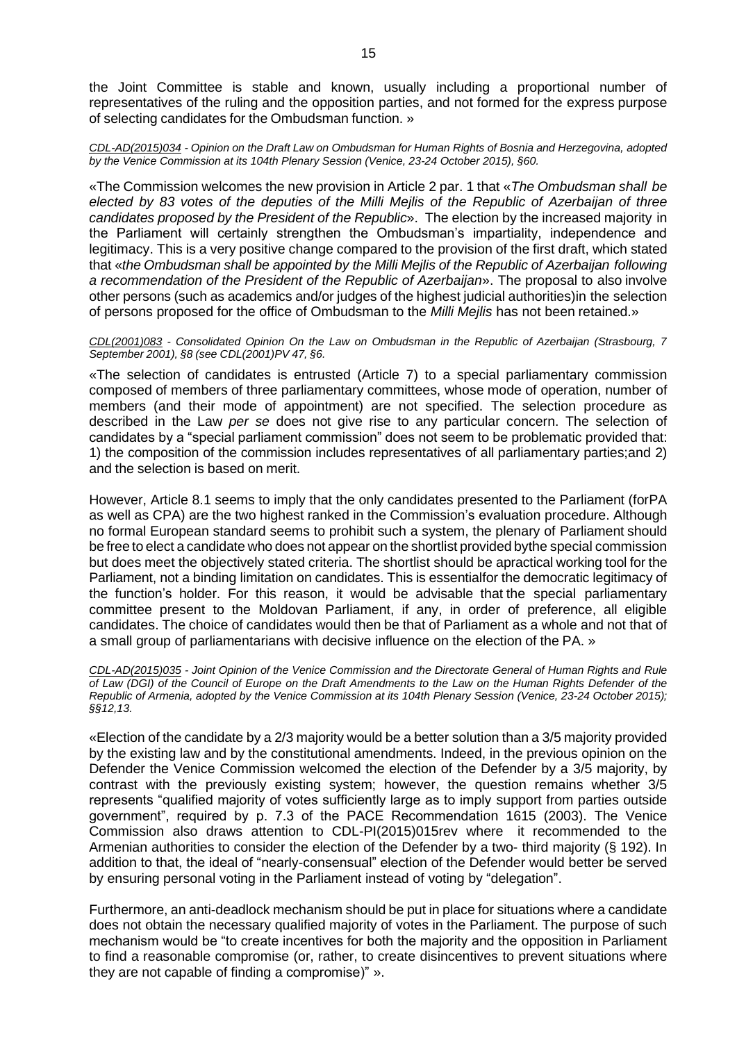the Joint Committee is stable and known, usually including a proportional number of representatives of the ruling and the opposition parties, and not formed for the express purpose of selecting candidates for the Ombudsman function. »

*CDL-AD(2015)034 - Opinion on the Draft Law on Ombudsman for Human Rights of Bosnia and Herzegovina, adopted by the Venice Commission at its 104th Plenary Session (Venice, 23-24 October 2015), §60.*

«The Commission welcomes the new provision in Article 2 par. 1 that «*The Ombudsman shall be elected by 83 votes of the deputies of the Milli Mejlis of the Republic of Azerbaijan of three candidates proposed by the President of the Republic*». The election by the increased majority in the Parliament will certainly strengthen the Ombudsman's impartiality, independence and legitimacy. This is a very positive change compared to the provision of the first draft, which stated that «*the Ombudsman shall be appointed by the Milli Mejlis of the Republic of Azerbaijan following a recommendation of the President of the Republic of Azerbaijan*». The proposal to also involve other persons (such as academics and/or judges of the highest judicial authorities)in the selection of persons proposed for the office of Ombudsman to the *Milli Mejlis* has not been retained.»

*CDL(2001)083 - Consolidated Opinion On the Law on Ombudsman in the Republic of Azerbaijan (Strasbourg, 7 September 2001), §8 (see CDL(2001)PV 47, §6.*

«The selection of candidates is entrusted (Article 7) to a special parliamentary commission composed of members of three parliamentary committees, whose mode of operation, number of members (and their mode of appointment) are not specified. The selection procedure as described in the Law *per se* does not give rise to any particular concern. The selection of candidates by a "special parliament commission" does not seem to be problematic provided that: 1) the composition of the commission includes representatives of all parliamentary parties;and 2) and the selection is based on merit.

However, Article 8.1 seems to imply that the only candidates presented to the Parliament (forPA as well as CPA) are the two highest ranked in the Commission's evaluation procedure. Although no formal European standard seems to prohibit such a system, the plenary of Parliament should be free to elect a candidate who does not appear on the shortlist provided bythe special commission but does meet the objectively stated criteria. The shortlist should be apractical working tool for the Parliament, not a binding limitation on candidates. This is essentialfor the democratic legitimacy of the function's holder. For this reason, it would be advisable that the special parliamentary committee present to the Moldovan Parliament, if any, in order of preference, all eligible candidates. The choice of candidates would then be that of Parliament as a whole and not that of a small group of parliamentarians with decisive influence on the election of the PA. »

*CDL-AD(2015)035 - Joint Opinion of the Venice Commission and the Directorate General of Human Rights and Rule of Law (DGI) of the Council of Europe on the Draft Amendments to the Law on the Human Rights Defender of the Republic of Armenia, adopted by the Venice Commission at its 104th Plenary Session (Venice, 23-24 October 2015); §§12,13.*

«Election of the candidate by a 2/3 majority would be a better solution than a 3/5 majority provided by the existing law and by the constitutional amendments. Indeed, in the previous opinion on the Defender the Venice Commission welcomed the election of the Defender by a 3/5 majority, by contrast with the previously existing system; however, the question remains whether 3/5 represents "qualified majority of votes sufficiently large as to imply support from parties outside government", required by p. 7.3 of the PACE Recommendation 1615 (2003). The Venice Commission also draws attention to CDL-PI(2015)015rev where it recommended to the Armenian authorities to consider the election of the Defender by a two- third majority (§ 192). In addition to that, the ideal of "nearly-consensual" election of the Defender would better be served by ensuring personal voting in the Parliament instead of voting by "delegation".

Furthermore, an anti-deadlock mechanism should be put in place for situations where a candidate does not obtain the necessary qualified majority of votes in the Parliament. The purpose of such mechanism would be "to create incentives for both the majority and the opposition in Parliament to find a reasonable compromise (or, rather, to create disincentives to prevent situations where they are not capable of finding a compromise)" ».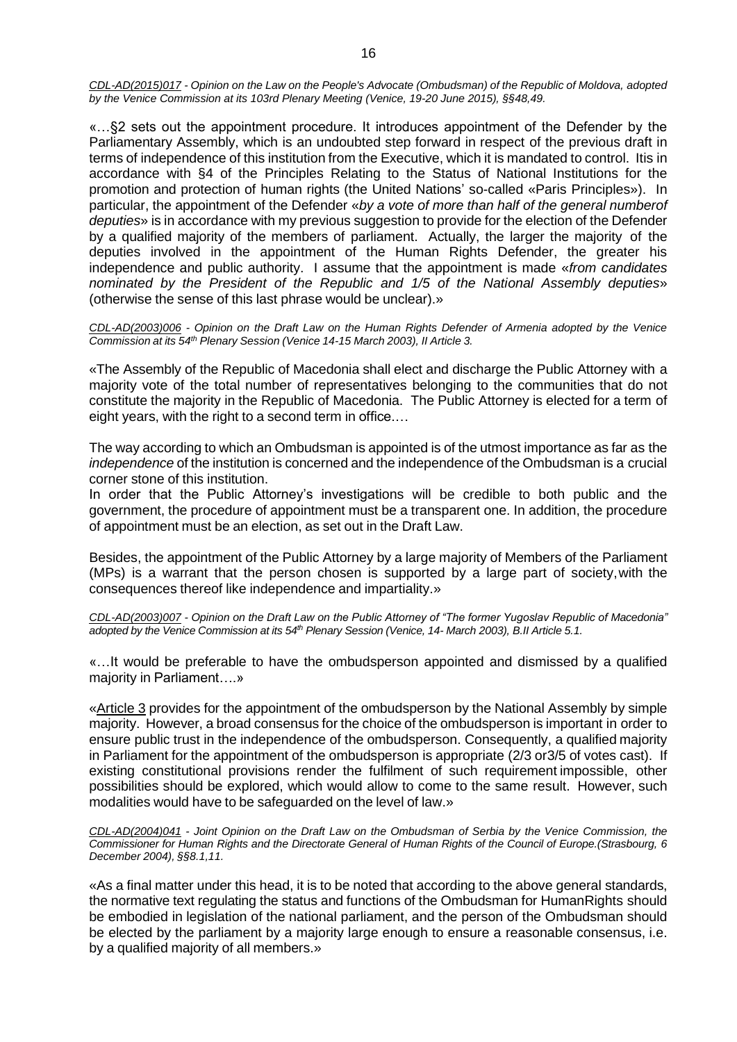*CDL-AD(2015)017 - Opinion on the Law on the People's Advocate (Ombudsman) of the Republic of Moldova, adopted by the Venice Commission at its 103rd Plenary Meeting (Venice, 19-20 June 2015), §§48,49.*

«…§2 sets out the appointment procedure. It introduces appointment of the Defender by the Parliamentary Assembly, which is an undoubted step forward in respect of the previous draft in terms of independence of this institution from the Executive, which it is mandated to control. Itis in accordance with §4 of the Principles Relating to the Status of National Institutions for the promotion and protection of human rights (the United Nations' so-called «Paris Principles»). In particular, the appointment of the Defender «*by a vote of more than half of the general numberof deputies*» is in accordance with my previous suggestion to provide for the election of the Defender by a qualified majority of the members of parliament. Actually, the larger the majority of the deputies involved in the appointment of the Human Rights Defender, the greater his independence and public authority. I assume that the appointment is made «*from candidates nominated by the President of the Republic and 1/5 of the National Assembly deputies*» (otherwise the sense of this last phrase would be unclear).»

*CDL-AD(2003)006 - Opinion on the Draft Law on the Human Rights Defender of Armenia adopted by the Venice Commission at its 54th Plenary Session (Venice 14-15 March 2003), II Article 3.*

«The Assembly of the Republic of Macedonia shall elect and discharge the Public Attorney with a majority vote of the total number of representatives belonging to the communities that do not constitute the majority in the Republic of Macedonia. The Public Attorney is elected for a term of eight years, with the right to a second term in office.…

The way according to which an Ombudsman is appointed is of the utmost importance as far as the *independence* of the institution is concerned and the independence of the Ombudsman is a crucial corner stone of this institution.

In order that the Public Attorney's investigations will be credible to both public and the government, the procedure of appointment must be a transparent one. In addition, the procedure of appointment must be an election, as set out in the Draft Law.

Besides, the appointment of the Public Attorney by a large majority of Members of the Parliament (MPs) is a warrant that the person chosen is supported by a large part of society,with the consequences thereof like independence and impartiality.»

*CDL-AD(2003)007 - Opinion on the Draft Law on the Public Attorney of "The former Yugoslav Republic of Macedonia"* adopted by the Venice Commission at its 54th Plenary Session (Venice, 14- March 2003), B.II Article 5.1.

«…It would be preferable to have the ombudsperson appointed and dismissed by a qualified majority in Parliament….»

«Article 3 provides for the appointment of the ombudsperson by the National Assembly by simple majority. However, a broad consensus for the choice of the ombudsperson is important in order to ensure public trust in the independence of the ombudsperson. Consequently, a qualified majority in Parliament for the appointment of the ombudsperson is appropriate (2/3 or3/5 of votes cast). If existing constitutional provisions render the fulfilment of such requirement impossible, other possibilities should be explored, which would allow to come to the same result. However, such modalities would have to be safeguarded on the level of law.»

*[CDL-AD\(2004\)041](http://www.venice.coe.int/docs/2004/CDL-AD(2004)041-e.asp) - Joint Opinion on the Draft Law on the Ombudsman of Serbia by the Venice Commission, the* Commissioner for Human Rights and the Directorate General of Human Rights of the Council of Europe.(Strasbourg, 6 *December 2004), §§8.1,11.*

«As a final matter under this head, it is to be noted that according to the above general standards, the normative text regulating the status and functions of the Ombudsman for HumanRights should be embodied in legislation of the national parliament, and the person of the Ombudsman should be elected by the parliament by a majority large enough to ensure a reasonable consensus, i.e. by a qualified majority of all members.»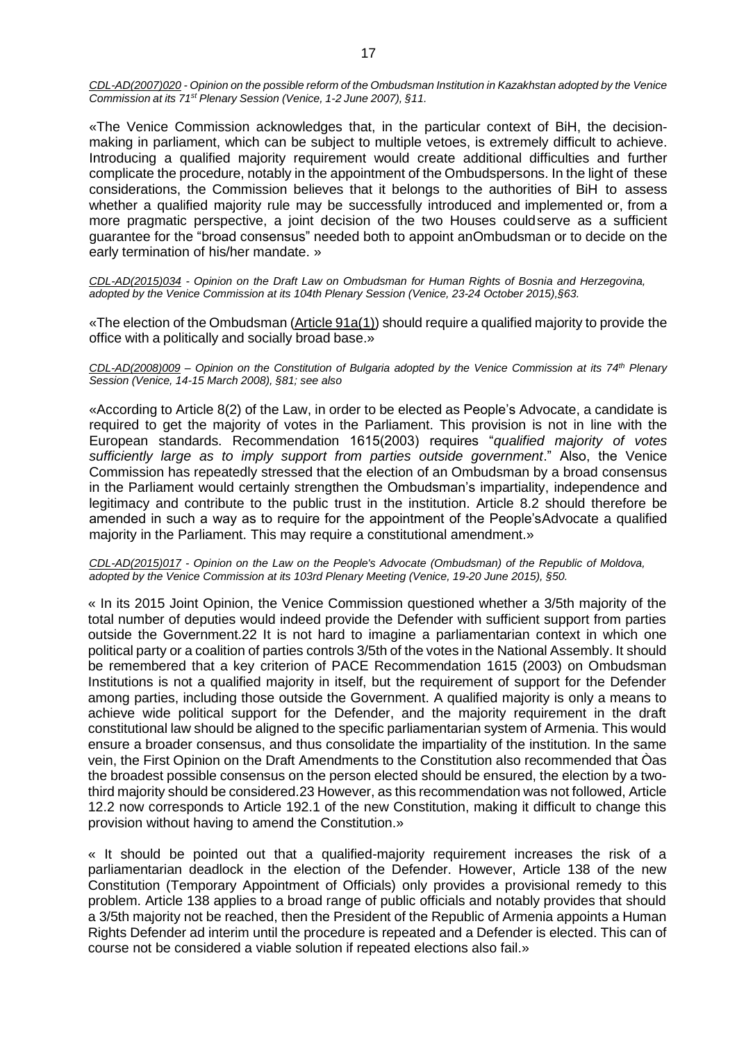*CDL-AD(2007)020 - Opinion on the possible reform of the Ombudsman Institution in Kazakhstan adopted by the Venice Commission at its 71st Plenary Session (Venice, 1-2 June 2007), §11.*

«The Venice Commission acknowledges that, in the particular context of BiH, the decisionmaking in parliament, which can be subject to multiple vetoes, is extremely difficult to achieve. Introducing a qualified majority requirement would create additional difficulties and further complicate the procedure, notably in the appointment of the Ombudspersons. In the light of these considerations, the Commission believes that it belongs to the authorities of BiH to assess whether a qualified majority rule may be successfully introduced and implemented or, from a more pragmatic perspective, a joint decision of the two Houses couldserve as a sufficient guarantee for the "broad consensus" needed both to appoint anOmbudsman or to decide on the early termination of his/her mandate. »

*CDL-AD(2015)034 - Opinion on the Draft Law on Ombudsman for Human Rights of Bosnia and Herzegovina, adopted by the Venice Commission at its 104th Plenary Session (Venice, 23-24 October 2015),§63.*

«The election of the Ombudsman (Article 91a(1)) should require a qualified majority to provide the office with a politically and socially broad base.»

*CDL-AD(2008)009 – Opinion on the Constitution of Bulgaria adopted by the Venice Commission at its 74th Plenary Session (Venice, 14-15 March 2008), §81; see also*

«According to Article 8(2) of the Law, in order to be elected as People's Advocate, a candidate is required to get the majority of votes in the Parliament. This provision is not in line with the European standards. Recommendation 1615(2003) requires "*qualified majority of votes sufficiently large as to imply support from parties outside government*." Also, the Venice Commission has repeatedly stressed that the election of an Ombudsman by a broad consensus in the Parliament would certainly strengthen the Ombudsman's impartiality, independence and legitimacy and contribute to the public trust in the institution. Article 8.2 should therefore be amended in such a way as to require for the appointment of the People'sAdvocate a qualified majority in the Parliament. This may require a constitutional amendment.»

*CDL-AD(2015)017 - Opinion on the Law on the People's Advocate (Ombudsman) of the Republic of Moldova, adopted by the Venice Commission at its 103rd Plenary Meeting (Venice, 19-20 June 2015), §50.*

« In its 2015 Joint Opinion, the Venice Commission questioned whether a 3/5th majority of the total number of deputies would indeed provide the Defender with sufficient support from parties outside the Government.22 It is not hard to imagine a parliamentarian context in which one political party or a coalition of parties controls 3/5th of the votes in the National Assembly. It should be remembered that a key criterion of PACE Recommendation 1615 (2003) on Ombudsman Institutions is not a qualified majority in itself, but the requirement of support for the Defender among parties, including those outside the Government. A qualified majority is only a means to achieve wide political support for the Defender, and the majority requirement in the draft constitutional law should be aligned to the specific parliamentarian system of Armenia. This would ensure a broader consensus, and thus consolidate the impartiality of the institution. In the same vein, the First Opinion on the Draft Amendments to the Constitution also recommended that Òas the broadest possible consensus on the person elected should be ensured, the election by a twothird majority should be considered.23 However, as this recommendation was not followed, Article 12.2 now corresponds to Article 192.1 of the new Constitution, making it difficult to change this provision without having to amend the Constitution.»

« It should be pointed out that a qualified-majority requirement increases the risk of a parliamentarian deadlock in the election of the Defender. However, Article 138 of the new Constitution (Temporary Appointment of Officials) only provides a provisional remedy to this problem. Article 138 applies to a broad range of public officials and notably provides that should a 3/5th majority not be reached, then the President of the Republic of Armenia appoints a Human Rights Defender ad interim until the procedure is repeated and a Defender is elected. This can of course not be considered a viable solution if repeated elections also fail.»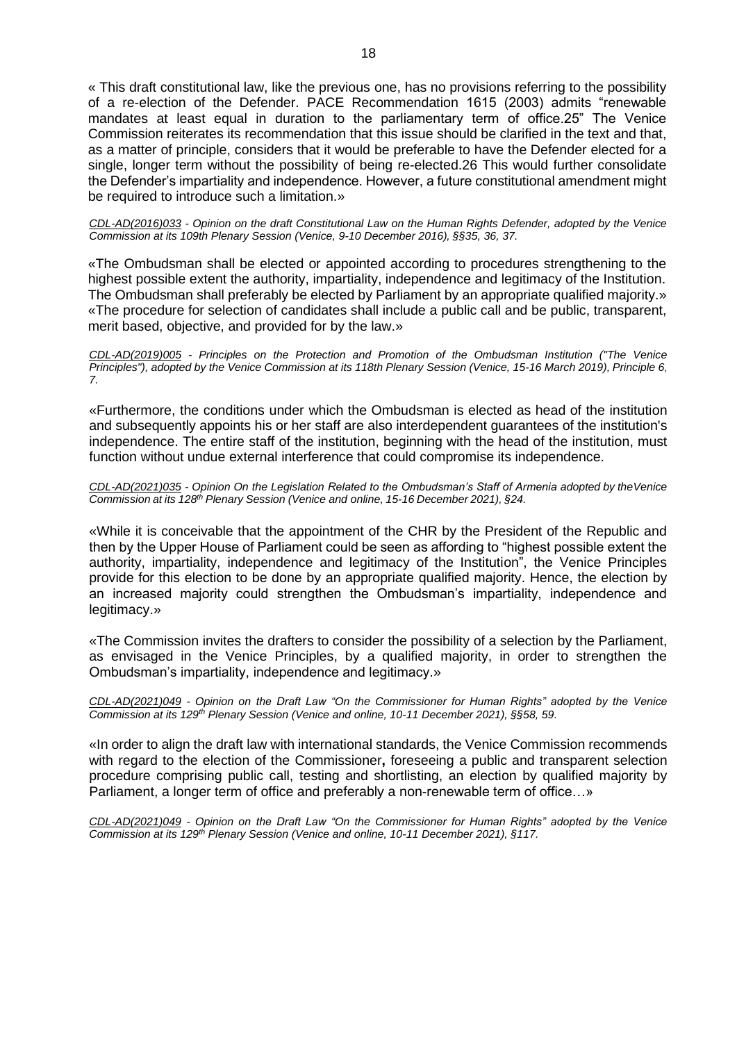18

« This draft constitutional law, like the previous one, has no provisions referring to the possibility of a re-election of the Defender. PACE Recommendation 1615 (2003) admits "renewable mandates at least equal in duration to the parliamentary term of office.25" The Venice Commission reiterates its recommendation that this issue should be clarified in the text and that, as a matter of principle, considers that it would be preferable to have the Defender elected for a single, longer term without the possibility of being re-elected.26 This would further consolidate the Defender's impartiality and independence. However, a future constitutional amendment might be required to introduce such a limitation.»

*CDL-AD(2016)033 - Opinion on the draft Constitutional Law on the Human Rights Defender, adopted by the Venice Commission at its 109th Plenary Session (Venice, 9-10 December 2016), §§35, 36, 37.*

«The Ombudsman shall be elected or appointed according to procedures strengthening to the highest possible extent the authority, impartiality, independence and legitimacy of the Institution. The Ombudsman shall preferably be elected by Parliament by an appropriate qualified majority.» «The procedure for selection of candidates shall include a public call and be public, transparent, merit based, objective, and provided for by the law.»

*CDL-AD(2019)005 - Principles on the Protection and Promotion of the Ombudsman Institution ("The Venice Principles"), adopted by the Venice Commission at its 118th Plenary Session (Venice, 15-16 March 2019), Principle 6*, *7.*

«Furthermore, the conditions under which the Ombudsman is elected as head of the institution and subsequently appoints his or her staff are also interdependent guarantees of the institution's independence. The entire staff of the institution, beginning with the head of the institution, must function without undue external interference that could compromise its independence.

*CDL-AD(2021)035 - Opinion On the Legislation Related to the Ombudsman's Staff of Armenia adopted by theVenice Commission at its 128th Plenary Session (Venice and online, 15-16 December 2021), §24.*

«While it is conceivable that the appointment of the CHR by the President of the Republic and then by the Upper House of Parliament could be seen as affording to "highest possible extent the authority, impartiality, independence and legitimacy of the Institution", the Venice Principles provide for this election to be done by an appropriate qualified majority. Hence, the election by an increased majority could strengthen the Ombudsman's impartiality, independence and legitimacy.»

«The Commission invites the drafters to consider the possibility of a selection by the Parliament, as envisaged in the Venice Principles, by a qualified majority, in order to strengthen the Ombudsman's impartiality, independence and legitimacy.»

*CDL-AD(2021)049 - Opinion on the Draft Law "On the Commissioner for Human Rights" adopted by the Venice Commission at its 129th Plenary Session (Venice and online, 10-11 December 2021), §§58, 59.*

«In order to align the draft law with international standards, the Venice Commission recommends with regard to the election of the Commissioner**,** foreseeing a public and transparent selection procedure comprising public call, testing and shortlisting, an election by qualified majority by Parliament, a longer term of office and preferably a non-renewable term of office…»

*CDL-AD(2021)049 - Opinion on the Draft Law "On the Commissioner for Human Rights" adopted by the Venice Commission at its 129th Plenary Session (Venice and online, 10-11 December 2021), §117.*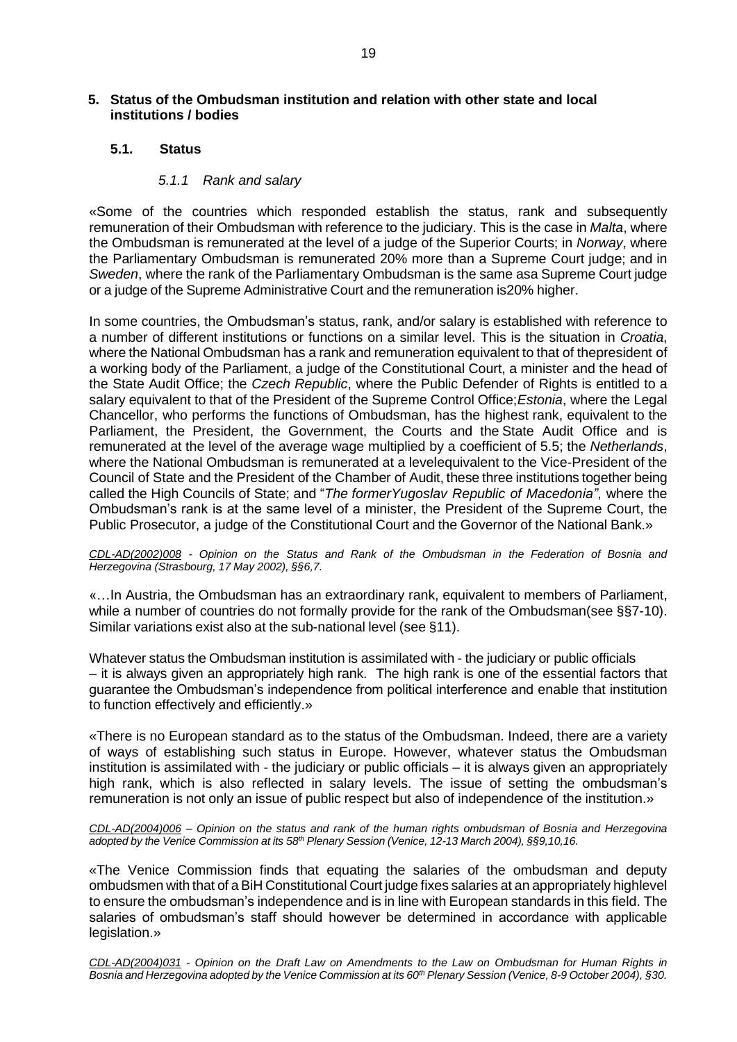# <span id="page-18-0"></span>**5. Status of the Ombudsman institution and relation with other state and local institutions / bodies**

# <span id="page-18-1"></span>**5.1. Status**

# *5.1.1 Rank and salary*

«Some of the countries which responded establish the status, rank and subsequently remuneration of their Ombudsman with reference to the judiciary. This is the case in *Malta*, where the Ombudsman is remunerated at the level of a judge of the Superior Courts; in *Norway*, where the Parliamentary Ombudsman is remunerated 20% more than a Supreme Court judge; and in *Sweden*, where the rank of the Parliamentary Ombudsman is the same asa Supreme Court judge or a judge of the Supreme Administrative Court and the remuneration is20% higher.

In some countries, the Ombudsman's status, rank, and/or salary is established with reference to a number of different institutions or functions on a similar level. This is the situation in *Croatia*, where the National Ombudsman has a rank and remuneration equivalent to that of thepresident of a working body of the Parliament, a judge of the Constitutional Court, a minister and the head of the State Audit Office; the *Czech Republic*, where the Public Defender of Rights is entitled to a salary equivalent to that of the President of the Supreme Control Office;*Estonia*, where the Legal Chancellor, who performs the functions of Ombudsman, has the highest rank, equivalent to the Parliament, the President, the Government, the Courts and the State Audit Office and is remunerated at the level of the average wage multiplied by a coefficient of 5.5; the *Netherlands*, where the National Ombudsman is remunerated at a levelequivalent to the Vice-President of the Council of State and the President of the Chamber of Audit, these three institutions together being called the High Councils of State; and "*The formerYugoslav Republic of Macedonia"*, where the Ombudsman's rank is at the same level of a minister, the President of the Supreme Court, the Public Prosecutor, a judge of the Constitutional Court and the Governor of the National Bank.»

*CDL-AD(2002)008 - Opinion on the Status and Rank of the Ombudsman in the Federation of Bosnia and Herzegovina (Strasbourg, 17 May 2002), §§6,7.*

«…In Austria, the Ombudsman has an extraordinary rank, equivalent to members of Parliament, while a number of countries do not formally provide for the rank of the Ombudsman(see §§7-10). Similar variations exist also at the sub-national level (see §11).

Whatever status the Ombudsman institution is assimilated with - the judiciary or public officials – it is always given an appropriately high rank. The high rank is one of the essential factors that guarantee the Ombudsman's independence from political interference and enable that institution to function effectively and efficiently.»

«There is no European standard as to the status of the Ombudsman. Indeed, there are a variety of ways of establishing such status in Europe. However, whatever status the Ombudsman institution is assimilated with - the judiciary or public officials – it is always given an appropriately high rank, which is also reflected in salary levels. The issue of setting the ombudsman's remuneration is not only an issue of public respect but also of independence of the institution.»

*CDL-AD(2004)006 – Opinion on the status and rank of the human rights ombudsman of Bosnia and Herzegovina adopted by the Venice Commission at its 58th Plenary Session (Venice, 12-13 March 2004), §§9,10,16.*

«The Venice Commission finds that equating the salaries of the ombudsman and deputy ombudsmen with that of aBiH Constitutional Court judge fixes salaries at an appropriately highlevel to ensure the ombudsman's independence and is in line with European standards in this field. The salaries of ombudsman's staff should however be determined in accordance with applicable legislation.»

CDL-AD(2004)031 - Opinion on the Draft Law on Amendments to the Law on Ombudsman for Human Rights in Bosnia and Herzegovina adopted by the Venice Commission at its 60<sup>th</sup> Plenary Session (Venice, 8-9 October 2004), §30.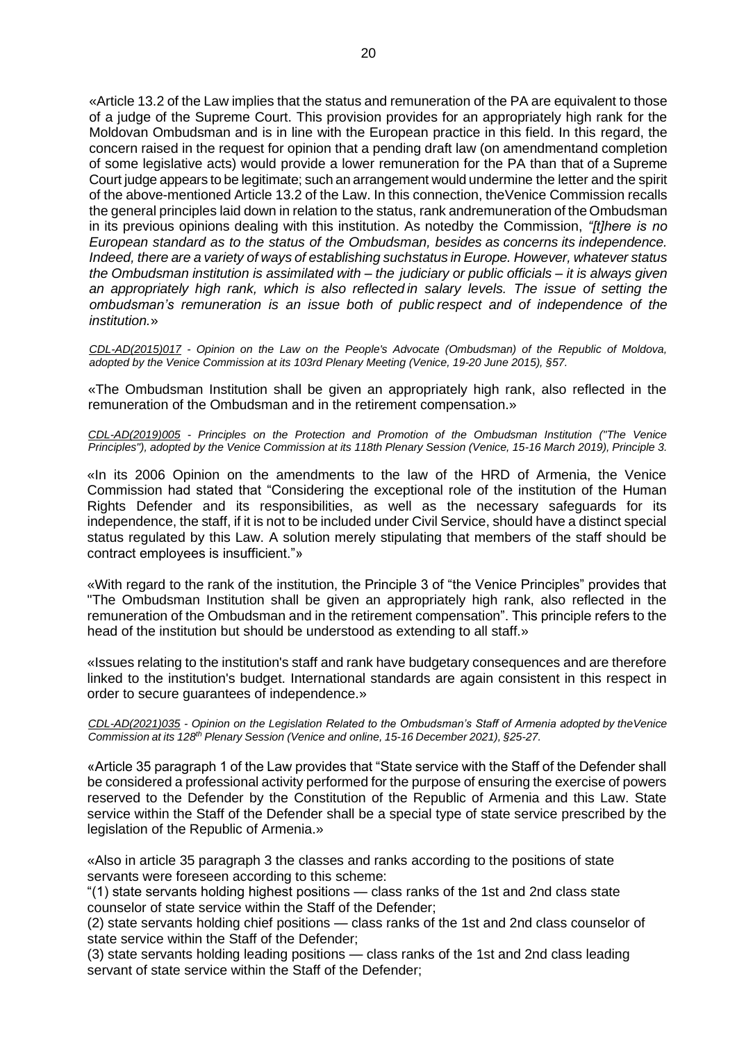«Article 13.2 of the Law implies that the status and remuneration of the PA are equivalent to those of a judge of the Supreme Court. This provision provides for an appropriately high rank for the Moldovan Ombudsman and is in line with the European practice in this field. In this regard, the concern raised in the request for opinion that a pending draft law (on amendmentand completion of some legislative acts) would provide a lower remuneration for the PA than that of a Supreme Court judge appears to be legitimate; such an arrangement would undermine the letter and the spirit of the above-mentioned Article 13.2 of the Law. In this connection, theVenice Commission recalls the general principles laid down in relation to the status, rank andremuneration of the Ombudsman in its previous opinions dealing with this institution. As notedby the Commission, *"[t]here is no European standard as to the status of the Ombudsman, besides as concerns its independence. Indeed, there are a variety of ways of establishing suchstatus in Europe. However, whatever status the Ombudsman institution is assimilated with – the judiciary or public officials – it is always given an appropriately high rank, which is also reflected in salary levels. The issue of setting the ombudsman's remuneration is an issue both of public respect and of independence of the institution.*»

*CDL-AD(2015)017 - Opinion on the Law on the People's Advocate (Ombudsman) of the Republic of Moldova, adopted by the Venice Commission at its 103rd Plenary Meeting (Venice, 19-20 June 2015), §57.*

«The Ombudsman Institution shall be given an appropriately high rank, also reflected in the remuneration of the Ombudsman and in the retirement compensation.»

*CDL-AD(2019)005 - Principles on the Protection and Promotion of the Ombudsman Institution ("The Venice Principles"), adopted by the Venice Commission at its 118th Plenary Session (Venice, 15-16 March 2019), Principle 3.*

«In its 2006 Opinion on the amendments to the law of the HRD of Armenia, the Venice Commission had stated that "Considering the exceptional role of the institution of the Human Rights Defender and its responsibilities, as well as the necessary safeguards for its independence, the staff, if it is not to be included under Civil Service, should have a distinct special status regulated by this Law. A solution merely stipulating that members of the staff should be contract employees is insufficient."»

«With regard to the rank of the institution, the Principle 3 of "the Venice Principles" provides that "The Ombudsman Institution shall be given an appropriately high rank, also reflected in the remuneration of the Ombudsman and in the retirement compensation". This principle refers to the head of the institution but should be understood as extending to all staff.»

«Issues relating to the institution's staff and rank have budgetary consequences and are therefore linked to the institution's budget. International standards are again consistent in this respect in order to secure guarantees of independence.»

*CDL-AD(2021)035 - Opinion on the Legislation Related to the Ombudsman's Staff of Armenia adopted by theVenice Commission at its 128th Plenary Session (Venice and online, 15-16 December 2021), §25-27.*

«Article 35 paragraph 1 of the Law provides that "State service with the Staff of the Defender shall be considered a professional activity performed for the purpose of ensuring the exercise of powers reserved to the Defender by the Constitution of the Republic of Armenia and this Law. State service within the Staff of the Defender shall be a special type of state service prescribed by the legislation of the Republic of Armenia.»

«Also in article 35 paragraph 3 the classes and ranks according to the positions of state servants were foreseen according to this scheme:

"(1) state servants holding highest positions — class ranks of the 1st and 2nd class state counselor of state service within the Staff of the Defender;

(2) state servants holding chief positions — class ranks of the 1st and 2nd class counselor of state service within the Staff of the Defender;

(3) state servants holding leading positions — class ranks of the 1st and 2nd class leading servant of state service within the Staff of the Defender;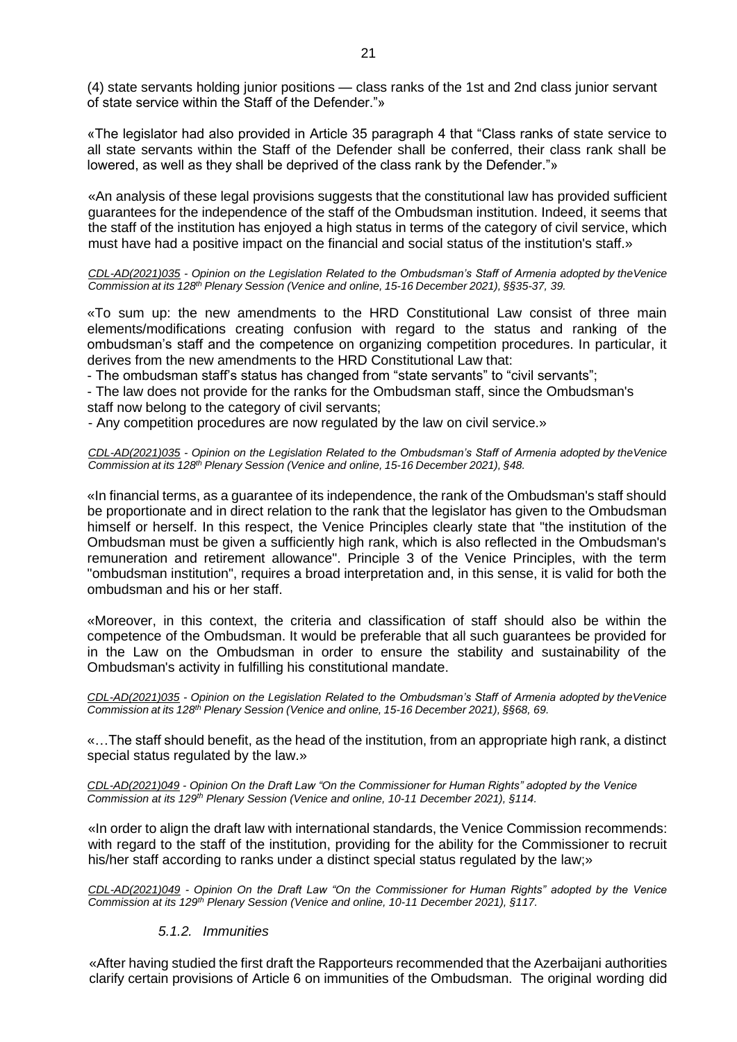(4) state servants holding junior positions — class ranks of the 1st and 2nd class junior servant of state service within the Staff of the Defender."»

«The legislator had also provided in Article 35 paragraph 4 that "Class ranks of state service to all state servants within the Staff of the Defender shall be conferred, their class rank shall be lowered, as well as they shall be deprived of the class rank by the Defender."»

«An analysis of these legal provisions suggests that the constitutional law has provided sufficient guarantees for the independence of the staff of the Ombudsman institution. Indeed, it seems that the staff of the institution has enjoyed a high status in terms of the category of civil service, which must have had a positive impact on the financial and social status of the institution's staff.»

*CDL-AD(2021)035 - Opinion on the Legislation Related to the Ombudsman's Staff of Armenia adopted by theVenice Commission at its 128th Plenary Session (Venice and online, 15-16 December 2021), §§35-37, 39.*

«To sum up: the new amendments to the HRD Constitutional Law consist of three main elements/modifications creating confusion with regard to the status and ranking of the ombudsman's staff and the competence on organizing competition procedures. In particular, it derives from the new amendments to the HRD Constitutional Law that:

- The ombudsman staff's status has changed from "state servants" to "civil servants";

- The law does not provide for the ranks for the Ombudsman staff, since the Ombudsman's staff now belong to the category of civil servants;

- Any competition procedures are now regulated by the law on civil service.»

*CDL-AD(2021)035 - Opinion on the Legislation Related to the Ombudsman's Staff of Armenia adopted by theVenice Commission at its 128th Plenary Session (Venice and online, 15-16 December 2021), §48.*

«In financial terms, as a guarantee of its independence, the rank of the Ombudsman's staff should be proportionate and in direct relation to the rank that the legislator has given to the Ombudsman himself or herself. In this respect, the Venice Principles clearly state that "the institution of the Ombudsman must be given a sufficiently high rank, which is also reflected in the Ombudsman's remuneration and retirement allowance". Principle 3 of the Venice Principles, with the term "ombudsman institution", requires a broad interpretation and, in this sense, it is valid for both the ombudsman and his or her staff.

«Moreover, in this context, the criteria and classification of staff should also be within the competence of the Ombudsman. It would be preferable that all such guarantees be provided for in the Law on the Ombudsman in order to ensure the stability and sustainability of the Ombudsman's activity in fulfilling his constitutional mandate.

*CDL-AD(2021)035 - Opinion on the Legislation Related to the Ombudsman's Staff of Armenia adopted by theVenice Commission at its 128th Plenary Session (Venice and online, 15-16 December 2021), §§68, 69.*

«…The staff should benefit, as the head of the institution, from an appropriate high rank, a distinct special status regulated by the law.»

*CDL-AD(2021)049 - Opinion On the Draft Law "On the Commissioner for Human Rights" adopted by the Venice Commission at its 129th Plenary Session (Venice and online, 10-11 December 2021), §114.*

«In order to align the draft law with international standards, the Venice Commission recommends: with regard to the staff of the institution, providing for the ability for the Commissioner to recruit his/her staff according to ranks under a distinct special status regulated by the law;»

*CDL-AD(2021)049 - Opinion On the Draft Law "On the Commissioner for Human Rights" adopted by the Venice Commission at its 129th Plenary Session (Venice and online, 10-11 December 2021), §117.*

# *5.1.2. Immunities*

«After having studied the first draft the Rapporteurs recommended that the Azerbaijani authorities clarify certain provisions of Article 6 on immunities of the Ombudsman. The original wording did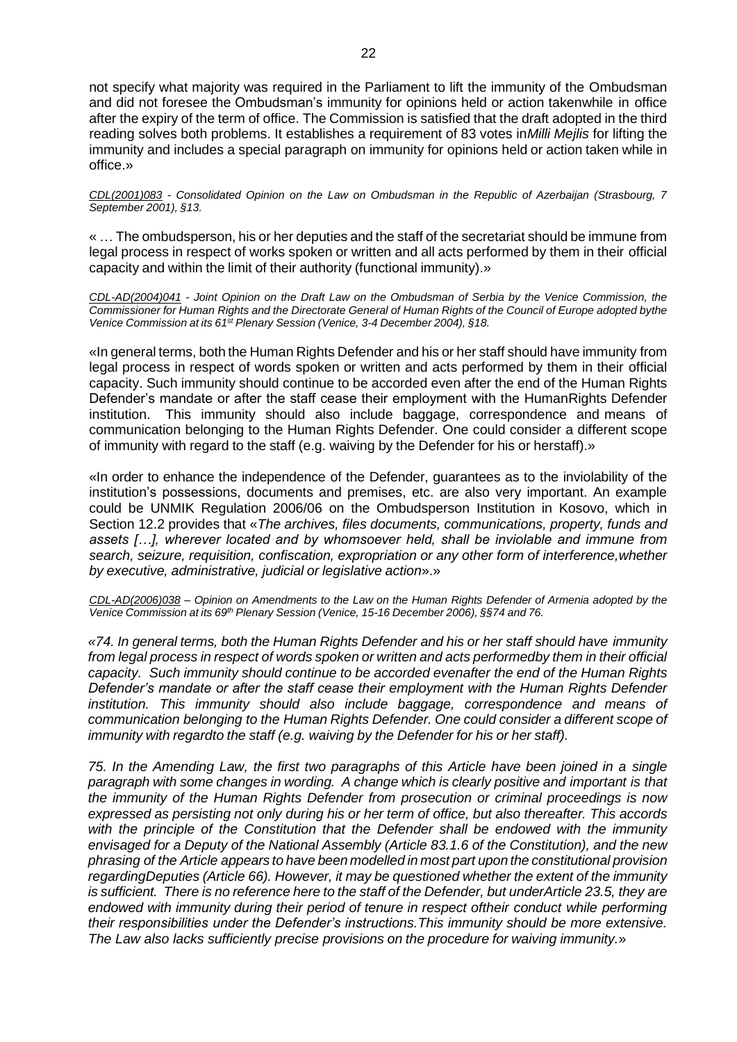not specify what majority was required in the Parliament to lift the immunity of the Ombudsman and did not foresee the Ombudsman's immunity for opinions held or action takenwhile in office after the expiry of the term of office. The Commission is satisfied that the draft adopted in the third reading solves both problems. It establishes a requirement of 83 votes in*Milli Mejlis* for lifting the immunity and includes a special paragraph on immunity for opinions held or action taken while in office.»

*CDL(2001)083 - Consolidated Opinion on the Law on Ombudsman in the Republic of Azerbaijan (Strasbourg, 7 September 2001), §13.*

« … The ombudsperson, his or her deputies and the staff of the secretariat should be immune from legal process in respect of works spoken or written and all acts performed by them in their official capacity and within the limit of their authority (functional immunity).»

*[CDL-AD\(2004\)041](http://www.venice.coe.int/docs/2004/CDL-AD(2004)041-e.asp) - Joint Opinion on the Draft Law on the Ombudsman of Serbia by the Venice Commission, the* Commissioner for Human Rights and the Directorate General of Human Rights of the Council of Europe adopted bythe *Venice Commission at its 61st Plenary Session (Venice, 3-4 December 2004), §18.*

«In general terms, both the Human Rights Defender and his or her staff should have immunity from legal process in respect of words spoken or written and acts performed by them in their official capacity. Such immunity should continue to be accorded even after the end of the Human Rights Defender's mandate or after the staff cease their employment with the HumanRights Defender institution. This immunity should also include baggage, correspondence and means of communication belonging to the Human Rights Defender. One could consider a different scope of immunity with regard to the staff (e.g. waiving by the Defender for his or herstaff).»

«In order to enhance the independence of the Defender, guarantees as to the inviolability of the institution's possessions, documents and premises, etc. are also very important. An example could be UNMIK Regulation 2006/06 on the Ombudsperson Institution in Kosovo, which in Section 12.2 provides that «*The archives, files documents, communications, property, funds and assets […], wherever located and by whomsoever held, shall be inviolable and immune from search, seizure, requisition, confiscation, expropriation or any other form of interference,whether by executive, administrative, judicial or legislative action*».»

CDL-AD(2006)038 - Opinion on Amendments to the Law on the Human Rights Defender of Armenia adopted by the *Venice Commission at its 69th Plenary Session (Venice, 15-16 December 2006), §§74 and 76.*

*«74. In general terms, both the Human Rights Defender and his or her staff should have immunity from legal process in respect of words spoken or written and acts performedby them in their official capacity. Such immunity should continue to be accorded evenafter the end of the Human Rights Defender's mandate or after the staff cease their employment with the Human Rights Defender institution. This immunity should also include baggage, correspondence and means of communication belonging to the Human Rights Defender. One could consider a different scope of immunity with regardto the staff (e.g. waiving by the Defender for his or her staff).*

*75. In the Amending Law, the first two paragraphs of this Article have been joined in a single paragraph with some changes in wording. A change which is clearly positive and important is that the immunity of the Human Rights Defender from prosecution or criminal proceedings is now expressed as persisting not only during his or her term of office, but also thereafter. This accords with the principle of the Constitution that the Defender shall be endowed with the immunity envisaged for a Deputy of the National Assembly (Article 83.1.6 of the Constitution), and the new phrasing of the Article appears to have been modelled in most part upon the constitutional provision regardingDeputies (Article 66). However, it may be questioned whether the extent of the immunity* is sufficient. There is no reference here to the staff of the Defender, but underArticle 23.5, they are *endowed with immunity during their period of tenure in respect oftheir conduct while performing their responsibilities under the Defender's instructions.This immunity should be more extensive. The Law also lacks sufficiently precise provisions on the procedure for waiving immunity.*»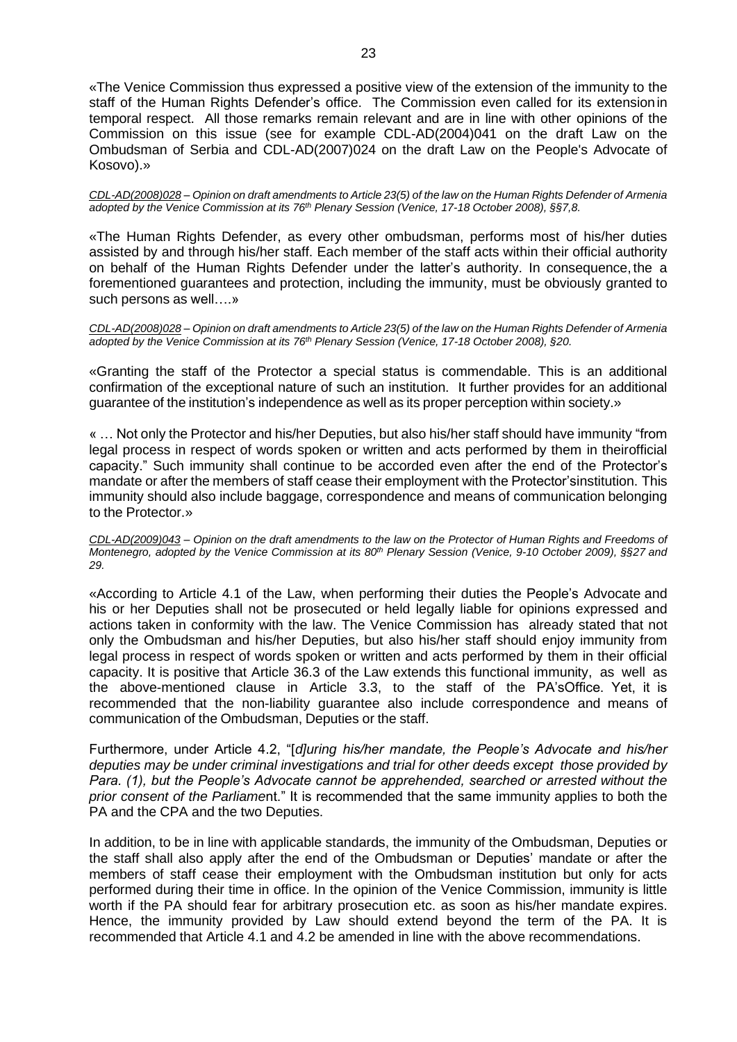«The Venice Commission thus expressed a positive view of the extension of the immunity to the staff of the Human Rights Defender's office. The Commission even called for its extensionin temporal respect. All those remarks remain relevant and are in line with other opinions of the Commission on this issue (see for example CDL-AD(2004)041 on the draft Law on the Ombudsman of Serbia and CDL-AD(2007)024 on the draft Law on the People's Advocate of Kosovo).»

*CDL-AD(2008)028 – Opinion on draft amendments to Article 23(5) of the law on the Human Rights Defender of Armenia adopted by the Venice Commission at its 76th Plenary Session (Venice, 17-18 October 2008), §§7,8.*

«The Human Rights Defender, as every other ombudsman, performs most of his/her duties assisted by and through his/her staff. Each member of the staff acts within their official authority on behalf of the Human Rights Defender under the latter's authority. In consequence, the a forementioned guarantees and protection, including the immunity, must be obviously granted to such persons as well….»

*CDL-AD(2008)028 – Opinion on draft amendments to Article 23(5) of the law on the Human Rights Defender of Armenia adopted by the Venice Commission at its 76th Plenary Session (Venice, 17-18 October 2008), §20.*

«Granting the staff of the Protector a special status is commendable. This is an additional confirmation of the exceptional nature of such an institution. It further provides for an additional guarantee of the institution's independence as well as its proper perception within society.»

« … Not only the Protector and his/her Deputies, but also his/her staff should have immunity "from legal process in respect of words spoken or written and acts performed by them in theirofficial capacity." Such immunity shall continue to be accorded even after the end of the Protector's mandate or after the members of staff cease their employment with the Protector'sinstitution. This immunity should also include baggage, correspondence and means of communication belonging to the Protector.»

CDL-AD(2009)043 - Opinion on the draft amendments to the law on the Protector of Human Rights and Freedoms of *Montenegro, adopted by the Venice Commission at its 80th Plenary Session (Venice, 9-10 October 2009), §§27 and 29.*

«According to Article 4.1 of the Law, when performing their duties the People's Advocate and his or her Deputies shall not be prosecuted or held legally liable for opinions expressed and actions taken in conformity with the law. The Venice Commission has already stated that not only the Ombudsman and his/her Deputies, but also his/her staff should enjoy immunity from legal process in respect of words spoken or written and acts performed by them in their official capacity. It is positive that Article 36.3 of the Law extends this functional immunity, as well as the above-mentioned clause in Article 3.3, to the staff of the PA'sOffice. Yet, it is recommended that the non-liability guarantee also include correspondence and means of communication of the Ombudsman, Deputies or the staff.

Furthermore, under Article 4.2, "[*d]uring his/her mandate, the People's Advocate and his/her deputies may be under criminal investigations and trial for other deeds except those provided by Para. (1), but the People's Advocate cannot be apprehended, searched or arrested without the prior consent of the Parliame*nt." It is recommended that the same immunity applies to both the PA and the CPA and the two Deputies.

In addition, to be in line with applicable standards, the immunity of the Ombudsman, Deputies or the staff shall also apply after the end of the Ombudsman or Deputies' mandate or after the members of staff cease their employment with the Ombudsman institution but only for acts performed during their time in office. In the opinion of the Venice Commission, immunity is little worth if the PA should fear for arbitrary prosecution etc. as soon as his/her mandate expires. Hence, the immunity provided by Law should extend beyond the term of the PA. It is recommended that Article 4.1 and 4.2 be amended in line with the above recommendations.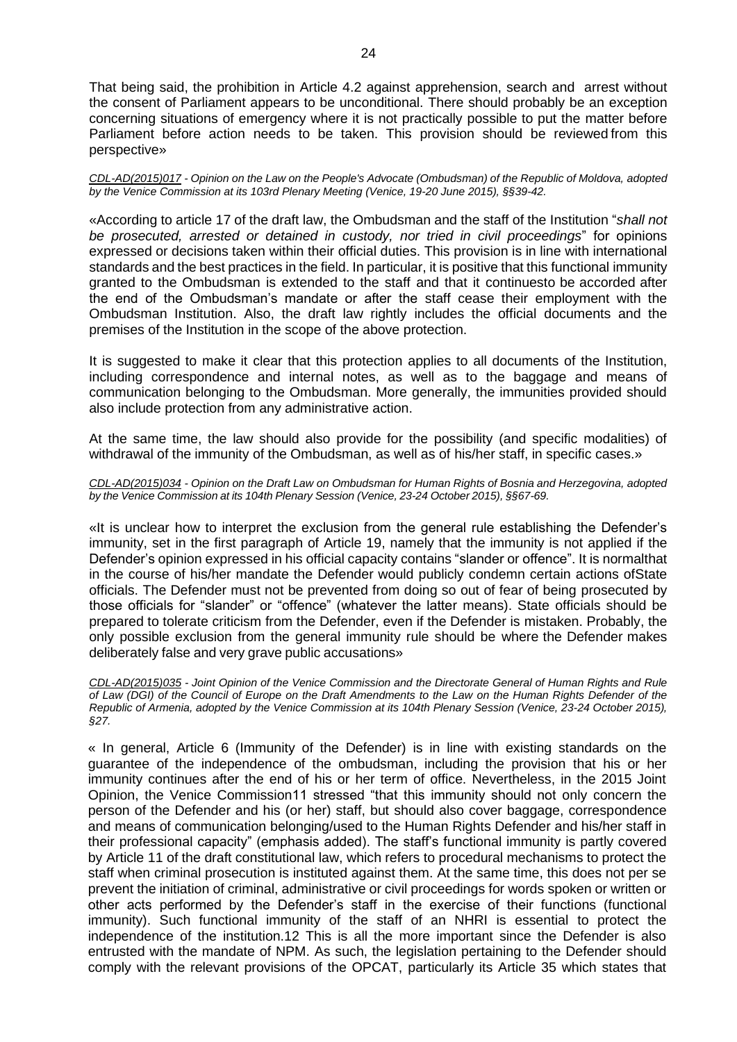That being said, the prohibition in Article 4.2 against apprehension, search and arrest without the consent of Parliament appears to be unconditional. There should probably be an exception concerning situations of emergency where it is not practically possible to put the matter before Parliament before action needs to be taken. This provision should be reviewed from this perspective»

*CDL-AD(2015)017 - Opinion on the Law on the People's Advocate (Ombudsman) of the Republic of Moldova, adopted by the Venice Commission at its 103rd Plenary Meeting (Venice, 19-20 June 2015), §§39-42.*

«According to article 17 of the draft law, the Ombudsman and the staff of the Institution "*shall not be prosecuted, arrested or detained in custody, nor tried in civil proceedings*" for opinions expressed or decisions taken within their official duties. This provision is in line with international standards and the best practices in the field. In particular, it is positive that this functional immunity granted to the Ombudsman is extended to the staff and that it continuesto be accorded after the end of the Ombudsman's mandate or after the staff cease their employment with the Ombudsman Institution. Also, the draft law rightly includes the official documents and the premises of the Institution in the scope of the above protection.

It is suggested to make it clear that this protection applies to all documents of the Institution, including correspondence and internal notes, as well as to the baggage and means of communication belonging to the Ombudsman. More generally, the immunities provided should also include protection from any administrative action.

At the same time, the law should also provide for the possibility (and specific modalities) of withdrawal of the immunity of the Ombudsman, as well as of his/her staff, in specific cases.»

*CDL-AD(2015)034 - Opinion on the Draft Law on Ombudsman for Human Rights of Bosnia and Herzegovina, adopted by the Venice Commission at its 104th Plenary Session (Venice, 23-24 October 2015), §§67-69.*

«It is unclear how to interpret the exclusion from the general rule establishing the Defender's immunity, set in the first paragraph of Article 19, namely that the immunity is not applied if the Defender's opinion expressed in his official capacity contains "slander or offence". It is normalthat in the course of his/her mandate the Defender would publicly condemn certain actions ofState officials. The Defender must not be prevented from doing so out of fear of being prosecuted by those officials for "slander" or "offence" (whatever the latter means). State officials should be prepared to tolerate criticism from the Defender, even if the Defender is mistaken. Probably, the only possible exclusion from the general immunity rule should be where the Defender makes deliberately false and very grave public accusations»

*CDL-AD(2015)035 - Joint Opinion of the Venice Commission and the Directorate General of Human Rights and Rule of Law (DGI) of the Council of Europe on the Draft Amendments to the Law on the Human Rights Defender of the Republic of Armenia, adopted by the Venice Commission at its 104th Plenary Session (Venice, 23-24 October 2015), §27.*

« In general, Article 6 (Immunity of the Defender) is in line with existing standards on the guarantee of the independence of the ombudsman, including the provision that his or her immunity continues after the end of his or her term of office. Nevertheless, in the 2015 Joint Opinion, the Venice Commission11 stressed "that this immunity should not only concern the person of the Defender and his (or her) staff, but should also cover baggage, correspondence and means of communication belonging/used to the Human Rights Defender and his/her staff in their professional capacity" (emphasis added). The staff's functional immunity is partly covered by Article 11 of the draft constitutional law, which refers to procedural mechanisms to protect the staff when criminal prosecution is instituted against them. At the same time, this does not per se prevent the initiation of criminal, administrative or civil proceedings for words spoken or written or other acts performed by the Defender's staff in the exercise of their functions (functional immunity). Such functional immunity of the staff of an NHRI is essential to protect the independence of the institution.12 This is all the more important since the Defender is also entrusted with the mandate of NPM. As such, the legislation pertaining to the Defender should comply with the relevant provisions of the OPCAT, particularly its Article 35 which states that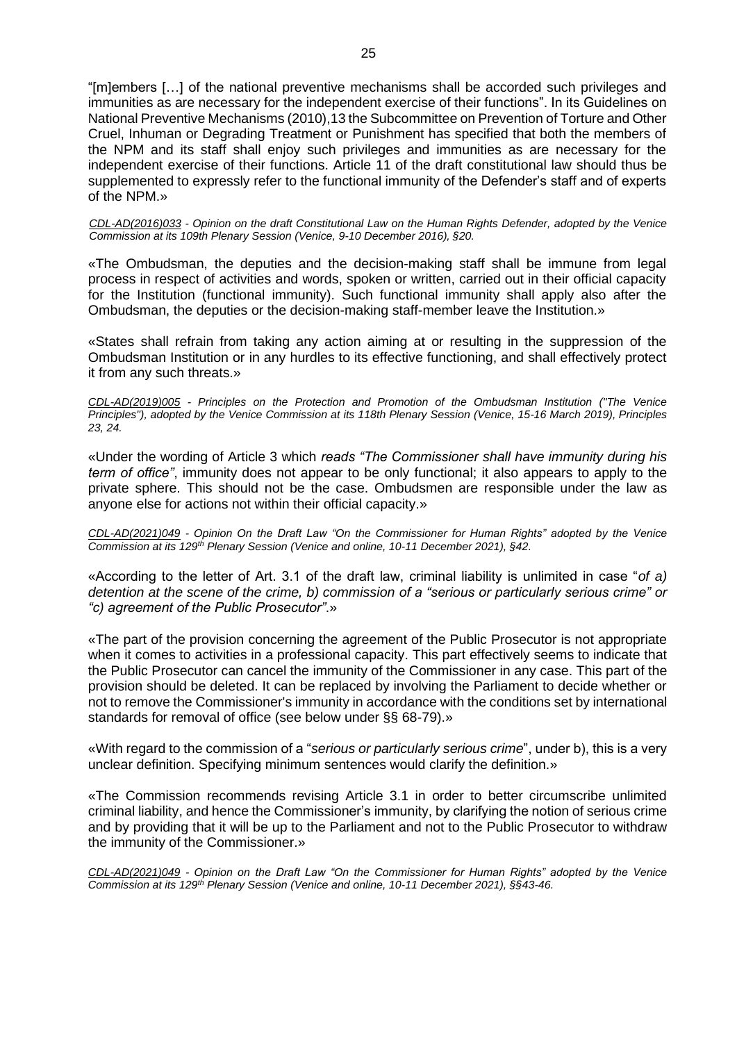"[m]embers […] of the national preventive mechanisms shall be accorded such privileges and immunities as are necessary for the independent exercise of their functions". In its Guidelines on National Preventive Mechanisms (2010),13 the Subcommittee on Prevention of Torture and Other Cruel, Inhuman or Degrading Treatment or Punishment has specified that both the members of the NPM and its staff shall enjoy such privileges and immunities as are necessary for the independent exercise of their functions. Article 11 of the draft constitutional law should thus be supplemented to expressly refer to the functional immunity of the Defender's staff and of experts of the NPM.»

*CDL-AD(2016)033 - Opinion on the draft Constitutional Law on the Human Rights Defender, adopted by the Venice Commission at its 109th Plenary Session (Venice, 9-10 December 2016), §20.*

«The Ombudsman, the deputies and the decision-making staff shall be immune from legal process in respect of activities and words, spoken or written, carried out in their official capacity for the Institution (functional immunity). Such functional immunity shall apply also after the Ombudsman, the deputies or the decision-making staff-member leave the Institution.»

«States shall refrain from taking any action aiming at or resulting in the suppression of the Ombudsman Institution or in any hurdles to its effective functioning, and shall effectively protect it from any such threats.»

*CDL-AD(2019)005 - Principles on the Protection and Promotion of the Ombudsman Institution ("The Venice Principles"), adopted by the Venice Commission at its 118th Plenary Session (Venice, 15-16 March 2019), Principles 23, 24.*

«Under the wording of Article 3 which *reads "The Commissioner shall have immunity during his term of office"*, immunity does not appear to be only functional; it also appears to apply to the private sphere. This should not be the case. Ombudsmen are responsible under the law as anyone else for actions not within their official capacity.»

*CDL-AD(2021)049 - Opinion On the Draft Law "On the Commissioner for Human Rights" adopted by the Venice Commission at its 129th Plenary Session (Venice and online, 10-11 December 2021), §42.*

«According to the letter of Art. 3.1 of the draft law, criminal liability is unlimited in case "*of a) detention at the scene of the crime, b) commission of a "serious or particularly serious crime" or "c) agreement of the Public Prosecutor"*.»

«The part of the provision concerning the agreement of the Public Prosecutor is not appropriate when it comes to activities in a professional capacity. This part effectively seems to indicate that the Public Prosecutor can cancel the immunity of the Commissioner in any case. This part of the provision should be deleted. It can be replaced by involving the Parliament to decide whether or not to remove the Commissioner's immunity in accordance with the conditions set by international standards for removal of office (see below under §§ 68-79).»

«With regard to the commission of a "*serious or particularly serious crime*", under b), this is a very unclear definition. Specifying minimum sentences would clarify the definition.»

«The Commission recommends revising Article 3.1 in order to better circumscribe unlimited criminal liability, and hence the Commissioner's immunity, by clarifying the notion of serious crime and by providing that it will be up to the Parliament and not to the Public Prosecutor to withdraw the immunity of the Commissioner.»

*CDL-AD(2021)049 - Opinion on the Draft Law "On the Commissioner for Human Rights" adopted by the Venice Commission at its 129th Plenary Session (Venice and online, 10-11 December 2021), §§43-46.*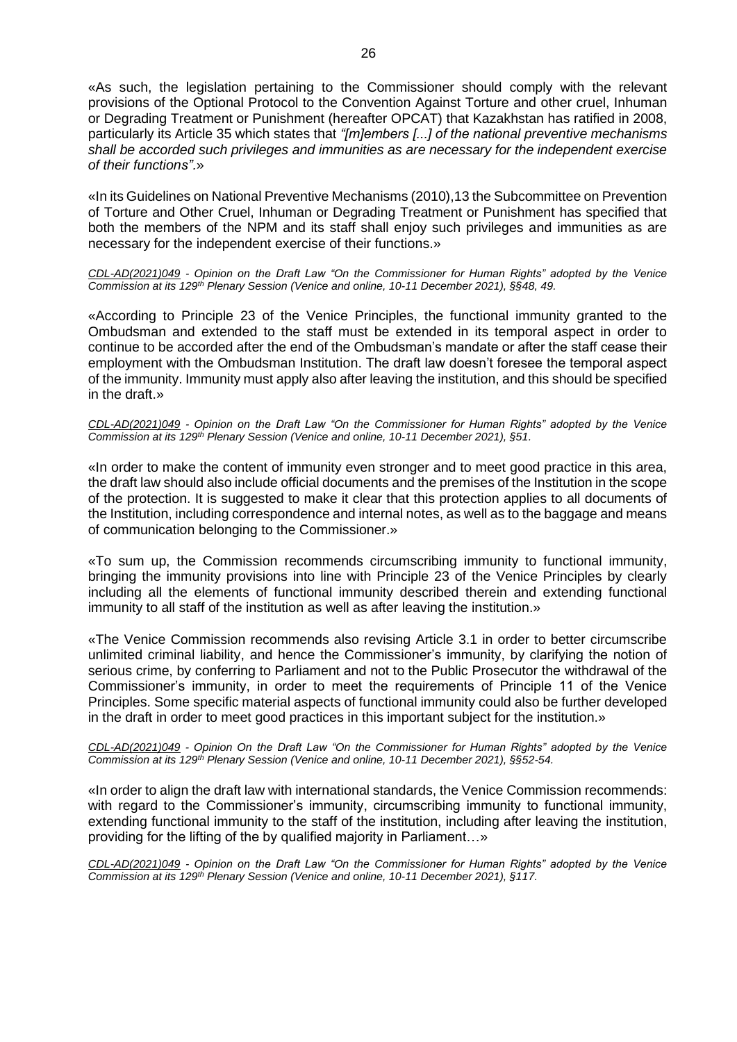«As such, the legislation pertaining to the Commissioner should comply with the relevant provisions of the Optional Protocol to the Convention Against Torture and other cruel, Inhuman or Degrading Treatment or Punishment (hereafter OPCAT) that Kazakhstan has ratified in 2008, particularly its Article 35 which states that *"[m]embers [...] of the national preventive mechanisms shall be accorded such privileges and immunities as are necessary for the independent exercise of their functions".*»

«In its Guidelines on National Preventive Mechanisms (2010),13 the Subcommittee on Prevention of Torture and Other Cruel, Inhuman or Degrading Treatment or Punishment has specified that both the members of the NPM and its staff shall enjoy such privileges and immunities as are necessary for the independent exercise of their functions.»

*CDL-AD(2021)049 - Opinion on the Draft Law "On the Commissioner for Human Rights" adopted by the Venice Commission at its 129th Plenary Session (Venice and online, 10-11 December 2021), §§48, 49.*

«According to Principle 23 of the Venice Principles, the functional immunity granted to the Ombudsman and extended to the staff must be extended in its temporal aspect in order to continue to be accorded after the end of the Ombudsman's mandate or after the staff cease their employment with the Ombudsman Institution. The draft law doesn't foresee the temporal aspect of the immunity. Immunity must apply also after leaving the institution, and this should be specified in the draft.»

*CDL-AD(2021)049 - Opinion on the Draft Law "On the Commissioner for Human Rights" adopted by the Venice Commission at its 129th Plenary Session (Venice and online, 10-11 December 2021), §51.*

«In order to make the content of immunity even stronger and to meet good practice in this area, the draft law should also include official documents and the premises of the Institution in the scope of the protection. It is suggested to make it clear that this protection applies to all documents of the Institution, including correspondence and internal notes, as well as to the baggage and means of communication belonging to the Commissioner.»

«To sum up, the Commission recommends circumscribing immunity to functional immunity, bringing the immunity provisions into line with Principle 23 of the Venice Principles by clearly including all the elements of functional immunity described therein and extending functional immunity to all staff of the institution as well as after leaving the institution.»

«The Venice Commission recommends also revising Article 3.1 in order to better circumscribe unlimited criminal liability, and hence the Commissioner's immunity, by clarifying the notion of serious crime, by conferring to Parliament and not to the Public Prosecutor the withdrawal of the Commissioner's immunity, in order to meet the requirements of Principle 11 of the Venice Principles. Some specific material aspects of functional immunity could also be further developed in the draft in order to meet good practices in this important subject for the institution.»

*CDL-AD(2021)049 - Opinion On the Draft Law "On the Commissioner for Human Rights" adopted by the Venice Commission at its 129th Plenary Session (Venice and online, 10-11 December 2021), §§52-54.*

«In order to align the draft law with international standards, the Venice Commission recommends: with regard to the Commissioner's immunity, circumscribing immunity to functional immunity, extending functional immunity to the staff of the institution, including after leaving the institution, providing for the lifting of the by qualified majority in Parliament…»

*CDL-AD(2021)049 - Opinion on the Draft Law "On the Commissioner for Human Rights" adopted by the Venice Commission at its 129th Plenary Session (Venice and online, 10-11 December 2021), §117.*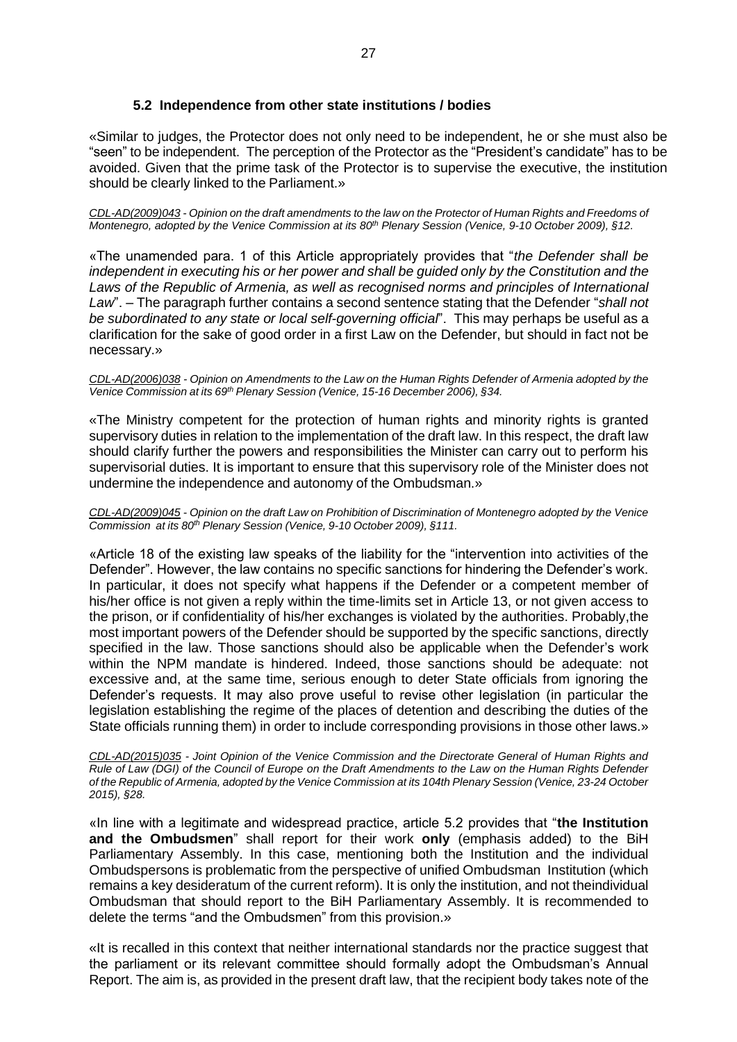# **5.2 Independence from other state institutions / bodies**

<span id="page-26-0"></span>«Similar to judges, the Protector does not only need to be independent, he or she must also be "seen" to be independent. The perception of the Protector as the "President's candidate" has to be avoided. Given that the prime task of the Protector is to supervise the executive, the institution should be clearly linked to the Parliament.»

CDL-AD(2009)043 - Opinion on the draft amendments to the law on the Protector of Human Rights and Freedoms of *Montenegro, adopted by the Venice Commission at its 80th Plenary Session (Venice, 9-10 October 2009), §12.*

«The unamended para. 1 of this Article appropriately provides that "*the Defender shall be independent in executing his or her power and shall be guided only by the Constitution and the Laws of the Republic of Armenia, as well as recognised norms and principles of International Law*". – The paragraph further contains a second sentence stating that the Defender "*shall not be subordinated to any state or local self-governing official*". This may perhaps be useful as a clarification for the sake of good order in a first Law on the Defender, but should in fact not be necessary.»

#### CDL-AD(2006)038 - Opinion on Amendments to the Law on the Human Rights Defender of Armenia adopted by the *Venice Commission at its 69th Plenary Session (Venice, 15-16 December 2006), §34.*

«The Ministry competent for the protection of human rights and minority rights is granted supervisory duties in relation to the implementation of the draft law. In this respect, the draft law should clarify further the powers and responsibilities the Minister can carry out to perform his supervisorial duties. It is important to ensure that this supervisory role of the Minister does not undermine the independence and autonomy of the Ombudsman.»

#### CDL-AD(2009)045 - Opinion on the draft Law on Prohibition of Discrimination of Montenegro adopted by the Venice *Commission at its 80th Plenary Session (Venice, 9-10 October 2009), §111.*

«Article 18 of the existing law speaks of the liability for the "intervention into activities of the Defender". However, the law contains no specific sanctions for hindering the Defender's work. In particular, it does not specify what happens if the Defender or a competent member of his/her office is not given a reply within the time-limits set in Article 13, or not given access to the prison, or if confidentiality of his/her exchanges is violated by the authorities. Probably,the most important powers of the Defender should be supported by the specific sanctions, directly specified in the law. Those sanctions should also be applicable when the Defender's work within the NPM mandate is hindered. Indeed, those sanctions should be adequate: not excessive and, at the same time, serious enough to deter State officials from ignoring the Defender's requests. It may also prove useful to revise other legislation (in particular the legislation establishing the regime of the places of detention and describing the duties of the State officials running them) in order to include corresponding provisions in those other laws.»

*CDL-AD(2015)035 - Joint Opinion of the Venice Commission and the Directorate General of Human Rights and Rule of Law (DGI) of the Council of Europe on the Draft Amendments to the Law on the Human Rights Defender of the Republic of Armenia, adopted by the Venice Commission at its 104th Plenary Session (Venice, 23-24 October 2015), §28.*

«In line with a legitimate and widespread practice, article 5.2 provides that "**the Institution and the Ombudsmen**" shall report for their work **only** (emphasis added) to the BiH Parliamentary Assembly. In this case, mentioning both the Institution and the individual Ombudspersons is problematic from the perspective of unified Ombudsman Institution (which remains a key desideratum of the current reform). It is only the institution, and not theindividual Ombudsman that should report to the BiH Parliamentary Assembly. It is recommended to delete the terms "and the Ombudsmen" from this provision.»

«It is recalled in this context that neither international standards nor the practice suggest that the parliament or its relevant committee should formally adopt the Ombudsman's Annual Report. The aim is, as provided in the present draft law, that the recipient body takes note of the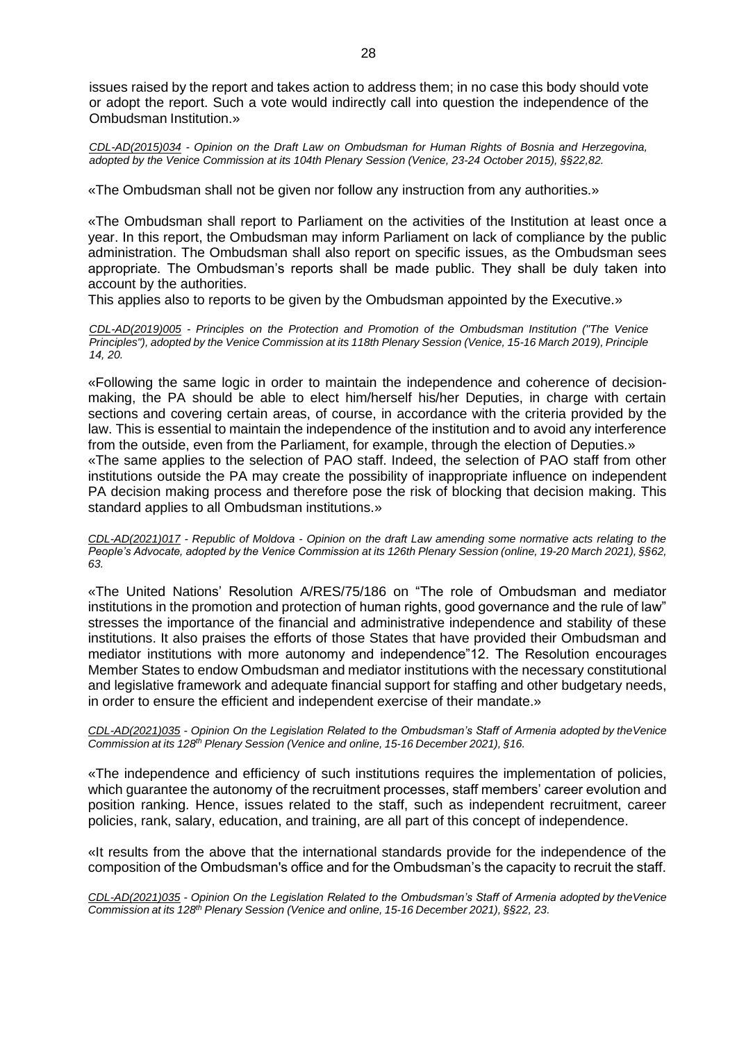issues raised by the report and takes action to address them; in no case this body should vote or adopt the report. Such a vote would indirectly call into question the independence of the Ombudsman Institution.»

*CDL-AD(2015)034 - Opinion on the Draft Law on Ombudsman for Human Rights of Bosnia and Herzegovina, adopted by the Venice Commission at its 104th Plenary Session (Venice, 23-24 October 2015), §§22,82.*

«The Ombudsman shall not be given nor follow any instruction from any authorities.»

«The Ombudsman shall report to Parliament on the activities of the Institution at least once a year. In this report, the Ombudsman may inform Parliament on lack of compliance by the public administration. The Ombudsman shall also report on specific issues, as the Ombudsman sees appropriate. The Ombudsman's reports shall be made public. They shall be duly taken into account by the authorities.

This applies also to reports to be given by the Ombudsman appointed by the Executive.»

*CDL-AD(2019)005 - Principles on the Protection and Promotion of the Ombudsman Institution ("The Venice Principles"), adopted by the Venice Commission at its 118th Plenary Session (Venice, 15-16 March 2019), Principle 14, 20.*

«Following the same logic in order to maintain the independence and coherence of decisionmaking, the PA should be able to elect him/herself his/her Deputies, in charge with certain sections and covering certain areas, of course, in accordance with the criteria provided by the law. This is essential to maintain the independence of the institution and to avoid any interference from the outside, even from the Parliament, for example, through the election of Deputies.» «The same applies to the selection of PAO staff. Indeed, the selection of PAO staff from other institutions outside the PA may create the possibility of inappropriate influence on independent PA decision making process and therefore pose the risk of blocking that decision making. This standard applies to all Ombudsman institutions.»

*CDL-AD(2021)017 - Republic of Moldova - Opinion on the draft Law amending some normative acts relating to the People's Advocate, adopted by the Venice Commission at its 126th Plenary Session (online, 19-20 March 2021), §§62, 63.*

«The United Nations' Resolution A/RES/75/186 on "The role of Ombudsman and mediator institutions in the promotion and protection of human rights, good governance and the rule of law" stresses the importance of the financial and administrative independence and stability of these institutions. It also praises the efforts of those States that have provided their Ombudsman and mediator institutions with more autonomy and independence"12. The Resolution encourages Member States to endow Ombudsman and mediator institutions with the necessary constitutional and legislative framework and adequate financial support for staffing and other budgetary needs, in order to ensure the efficient and independent exercise of their mandate.»

*CDL-AD(2021)035 - Opinion On the Legislation Related to the Ombudsman's Staff of Armenia adopted by theVenice Commission at its 128th Plenary Session (Venice and online, 15-16 December 2021), §16.*

«The independence and efficiency of such institutions requires the implementation of policies, which guarantee the autonomy of the recruitment processes, staff members' career evolution and position ranking. Hence, issues related to the staff, such as independent recruitment, career policies, rank, salary, education, and training, are all part of this concept of independence.

«It results from the above that the international standards provide for the independence of the composition of the Ombudsman's office and for the Ombudsman's the capacity to recruit the staff.

*CDL-AD(2021)035 - Opinion On the Legislation Related to the Ombudsman's Staff of Armenia adopted by theVenice Commission at its 128th Plenary Session (Venice and online, 15-16 December 2021), §§22, 23.*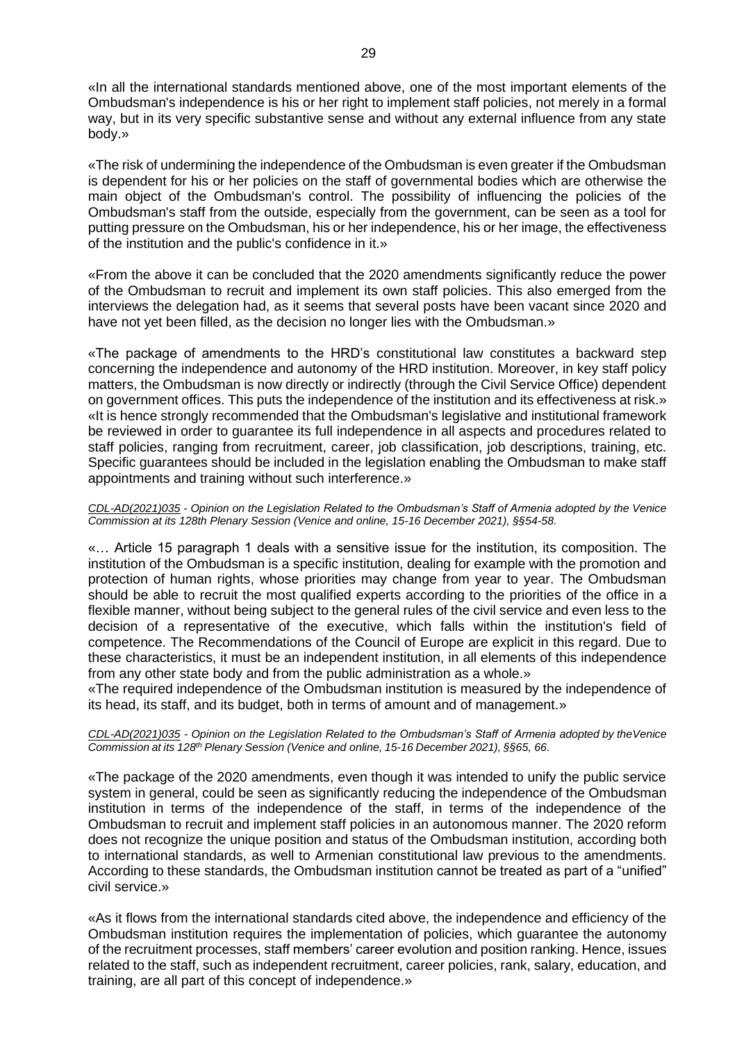«In all the international standards mentioned above, one of the most important elements of the Ombudsman's independence is his or her right to implement staff policies, not merely in a formal way, but in its very specific substantive sense and without any external influence from any state body.»

«The risk of undermining the independence of the Ombudsman is even greater if the Ombudsman is dependent for his or her policies on the staff of governmental bodies which are otherwise the main object of the Ombudsman's control. The possibility of influencing the policies of the Ombudsman's staff from the outside, especially from the government, can be seen as a tool for putting pressure on the Ombudsman, his or her independence, his or her image, the effectiveness of the institution and the public's confidence in it.»

«From the above it can be concluded that the 2020 amendments significantly reduce the power of the Ombudsman to recruit and implement its own staff policies. This also emerged from the interviews the delegation had, as it seems that several posts have been vacant since 2020 and have not yet been filled, as the decision no longer lies with the Ombudsman.»

«The package of amendments to the HRD's constitutional law constitutes a backward step concerning the independence and autonomy of the HRD institution. Moreover, in key staff policy matters, the Ombudsman is now directly or indirectly (through the Civil Service Office) dependent on government offices. This puts the independence of the institution and its effectiveness at risk.» «It is hence strongly recommended that the Ombudsman's legislative and institutional framework be reviewed in order to guarantee its full independence in all aspects and procedures related to staff policies, ranging from recruitment, career, job classification, job descriptions, training, etc. Specific guarantees should be included in the legislation enabling the Ombudsman to make staff appointments and training without such interference.»

### *CDL-AD(2021)035 - Opinion on the Legislation Related to the Ombudsman's Staff of Armenia adopted by the Venice Commission at its 128th Plenary Session (Venice and online, 15-16 December 2021), §§54-58.*

«… Article 15 paragraph 1 deals with a sensitive issue for the institution, its composition. The institution of the Ombudsman is a specific institution, dealing for example with the promotion and protection of human rights, whose priorities may change from year to year. The Ombudsman should be able to recruit the most qualified experts according to the priorities of the office in a flexible manner, without being subject to the general rules of the civil service and even less to the decision of a representative of the executive, which falls within the institution's field of competence. The Recommendations of the Council of Europe are explicit in this regard. Due to these characteristics, it must be an independent institution, in all elements of this independence from any other state body and from the public administration as a whole.»

«The required independence of the Ombudsman institution is measured by the independence of its head, its staff, and its budget, both in terms of amount and of management.»

### *CDL-AD(2021)035 - Opinion on the Legislation Related to the Ombudsman's Staff of Armenia adopted by theVenice Commission at its 128th Plenary Session (Venice and online, 15-16 December 2021), §§65, 66.*

«The package of the 2020 amendments, even though it was intended to unify the public service system in general, could be seen as significantly reducing the independence of the Ombudsman institution in terms of the independence of the staff, in terms of the independence of the Ombudsman to recruit and implement staff policies in an autonomous manner. The 2020 reform does not recognize the unique position and status of the Ombudsman institution, according both to international standards, as well to Armenian constitutional law previous to the amendments. According to these standards, the Ombudsman institution cannot be treated as part of a "unified" civil service.»

«As it flows from the international standards cited above, the independence and efficiency of the Ombudsman institution requires the implementation of policies, which guarantee the autonomy of the recruitment processes, staff members' career evolution and position ranking. Hence, issues related to the staff, such as independent recruitment, career policies, rank, salary, education, and training, are all part of this concept of independence.»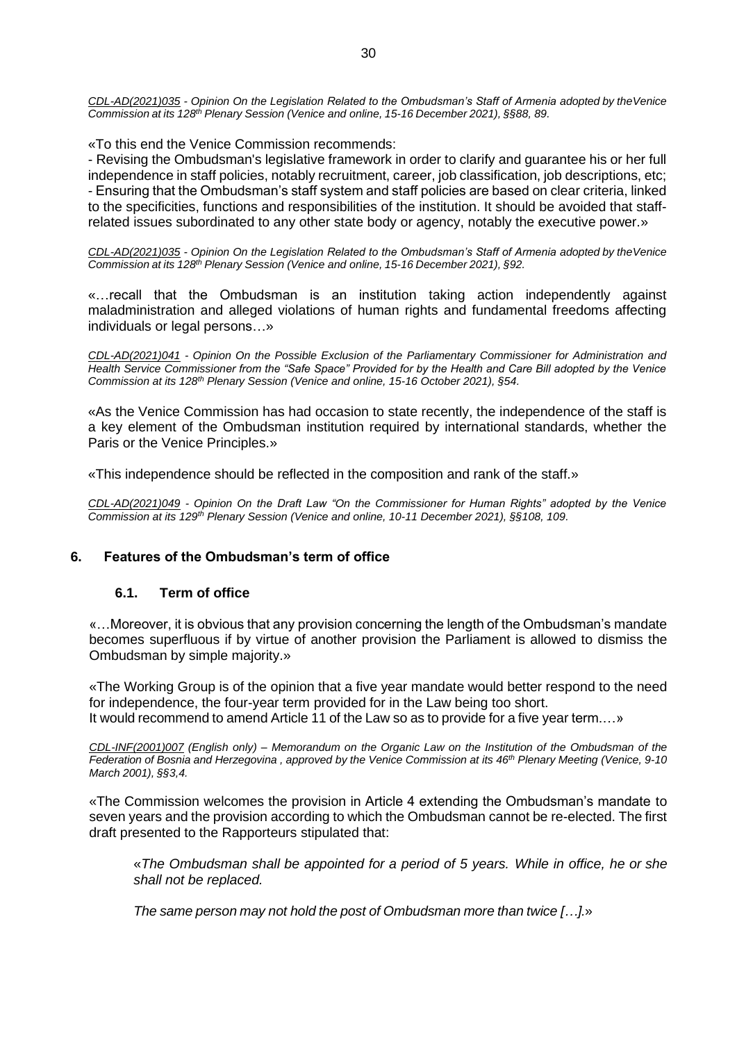*CDL-AD(2021)035 - Opinion On the Legislation Related to the Ombudsman's Staff of Armenia adopted by theVenice Commission at its 128th Plenary Session (Venice and online, 15-16 December 2021), §§88, 89.*

«To this end the Venice Commission recommends:

- Revising the Ombudsman's legislative framework in order to clarify and guarantee his or her full independence in staff policies, notably recruitment, career, job classification, job descriptions, etc; - Ensuring that the Ombudsman's staff system and staff policies are based on clear criteria, linked to the specificities, functions and responsibilities of the institution. It should be avoided that staffrelated issues subordinated to any other state body or agency, notably the executive power.»

*CDL-AD(2021)035 - Opinion On the Legislation Related to the Ombudsman's Staff of Armenia adopted by theVenice Commission at its 128th Plenary Session (Venice and online, 15-16 December 2021), §92.*

«…recall that the Ombudsman is an institution taking action independently against maladministration and alleged violations of human rights and fundamental freedoms affecting individuals or legal persons…»

*CDL-AD(2021)041 - Opinion On the Possible Exclusion of the Parliamentary Commissioner for Administration and Health Service Commissioner from the "Safe Space" Provided for by the Health and Care Bill adopted by the Venice Commission at its 128th Plenary Session (Venice and online, 15-16 October 2021), §54.*

«As the Venice Commission has had occasion to state recently, the independence of the staff is a key element of the Ombudsman institution required by international standards, whether the Paris or the Venice Principles.»

«This independence should be reflected in the composition and rank of the staff.»

*CDL-AD(2021)049 - Opinion On the Draft Law "On the Commissioner for Human Rights" adopted by the Venice Commission at its 129th Plenary Session (Venice and online, 10-11 December 2021), §§108, 109.*

# <span id="page-29-1"></span><span id="page-29-0"></span>**6. Features of the Ombudsman's term of office**

# **6.1. Term of office**

«…Moreover, it is obvious that any provision concerning the length of the Ombudsman's mandate becomes superfluous if by virtue of another provision the Parliament is allowed to dismiss the Ombudsman by simple majority.»

«The Working Group is of the opinion that a five year mandate would better respond to the need for independence, the four-year term provided for in the Law being too short. It would recommend to amend Article 11 of the Law so as to provide for a five year term.…»

CDL-INF(2001)007 (English only) – Memorandum on the Organic Law on the Institution of the Ombudsman of the Federation of Bosnia and Herzegovina, approved by the Venice Commission at its 46<sup>th</sup> Plenary Meeting (Venice, 9-10 *March 2001), §§3,4.*

«The Commission welcomes the provision in Article 4 extending the Ombudsman's mandate to seven years and the provision according to which the Ombudsman cannot be re-elected. The first draft presented to the Rapporteurs stipulated that:

«*The Ombudsman shall be appointed for a period of 5 years. While in office, he or she shall not be replaced.*

*The same person may not hold the post of Ombudsman more than twice […].*»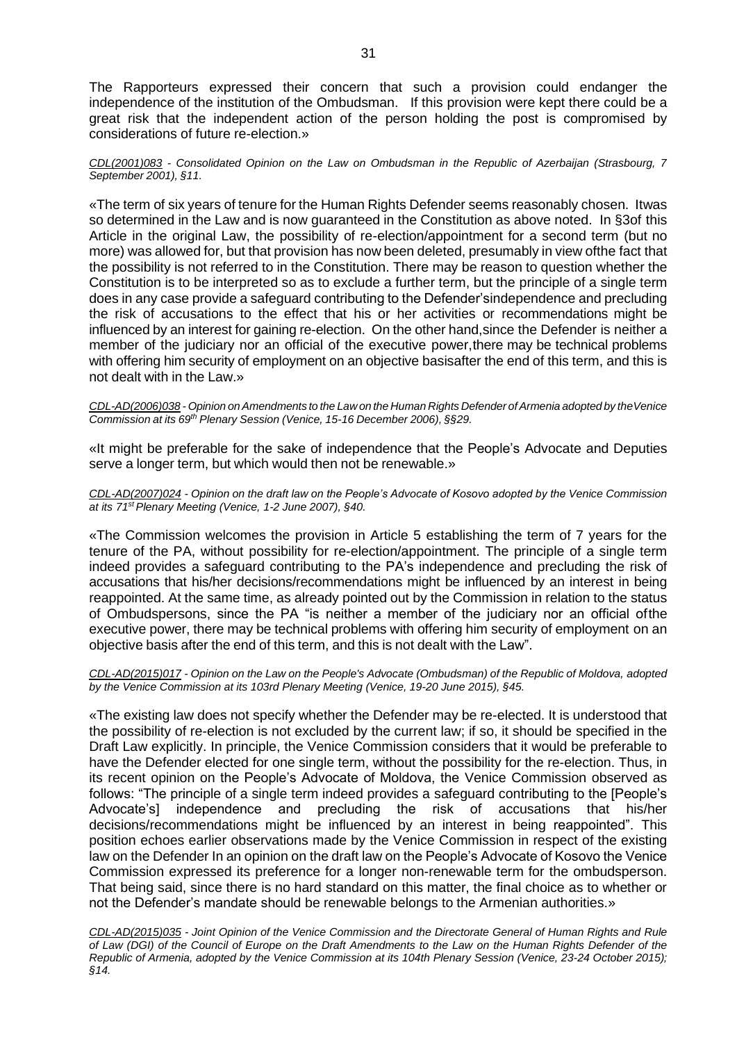The Rapporteurs expressed their concern that such a provision could endanger the independence of the institution of the Ombudsman. If this provision were kept there could be a great risk that the independent action of the person holding the post is compromised by considerations of future re-election.»

#### *CDL(2001)083 - Consolidated Opinion on the Law on Ombudsman in the Republic of Azerbaijan (Strasbourg, 7 September 2001), §11.*

«The term of six years of tenure for the Human Rights Defender seems reasonably chosen. Itwas so determined in the Law and is now guaranteed in the Constitution as above noted. In §3of this Article in the original Law, the possibility of re-election/appointment for a second term (but no more) was allowed for, but that provision has now been deleted, presumably in view ofthe fact that the possibility is not referred to in the Constitution. There may be reason to question whether the Constitution is to be interpreted so as to exclude a further term, but the principle of a single term does in any case provide a safeguard contributing to the Defender'sindependence and precluding the risk of accusations to the effect that his or her activities or recommendations might be influenced by an interest for gaining re-election. On the other hand,since the Defender is neither a member of the judiciary nor an official of the executive power,there may be technical problems with offering him security of employment on an objective basis after the end of this term, and this is not dealt with in the Law.»

*CDL-AD(2006)038 - Opinion onAmendments to the Law on the Human Rights Defender ofArmenia adopted by theVenice Commission at its 69th Plenary Session (Venice, 15-16 December 2006), §§29.*

«It might be preferable for the sake of independence that the People's Advocate and Deputies serve a longer term, but which would then not be renewable.»

*CDL-AD(2007)024 - Opinion on the draft law on the People's Advocate of Kosovo adopted by the Venice Commission at its 71stPlenary Meeting (Venice, 1-2 June 2007), §40.*

«The Commission welcomes the provision in Article 5 establishing the term of 7 years for the tenure of the PA, without possibility for re-election/appointment. The principle of a single term indeed provides a safeguard contributing to the PA's independence and precluding the risk of accusations that his/her decisions/recommendations might be influenced by an interest in being reappointed. At the same time, as already pointed out by the Commission in relation to the status of Ombudspersons, since the PA "is neither a member of the judiciary nor an official ofthe executive power, there may be technical problems with offering him security of employment on an objective basis after the end of this term, and this is not dealt with the Law".

#### *CDL-AD(2015)017 - Opinion on the Law on the People's Advocate (Ombudsman) of the Republic of Moldova, adopted by the Venice Commission at its 103rd Plenary Meeting (Venice, 19-20 June 2015), §45.*

«The existing law does not specify whether the Defender may be re-elected. It is understood that the possibility of re-election is not excluded by the current law; if so, it should be specified in the Draft Law explicitly. In principle, the Venice Commission considers that it would be preferable to have the Defender elected for one single term, without the possibility for the re-election. Thus, in its recent opinion on the People's Advocate of Moldova, the Venice Commission observed as follows: "The principle of a single term indeed provides a safeguard contributing to the [People's Advocate's] independence and precluding the risk of accusations that his/her decisions/recommendations might be influenced by an interest in being reappointed". This position echoes earlier observations made by the Venice Commission in respect of the existing law on the Defender In an opinion on the draft law on the People's Advocate of Kosovo the Venice Commission expressed its preference for a longer non-renewable term for the ombudsperson. That being said, since there is no hard standard on this matter, the final choice as to whether or not the Defender's mandate should be renewable belongs to the Armenian authorities.»

*CDL-AD(2015)035 - Joint Opinion of the Venice Commission and the Directorate General of Human Rights and Rule of Law (DGI) of the Council of Europe on the Draft Amendments to the Law on the Human Rights Defender of the Republic of Armenia, adopted by the Venice Commission at its 104th Plenary Session (Venice, 23-24 October 2015); §14.*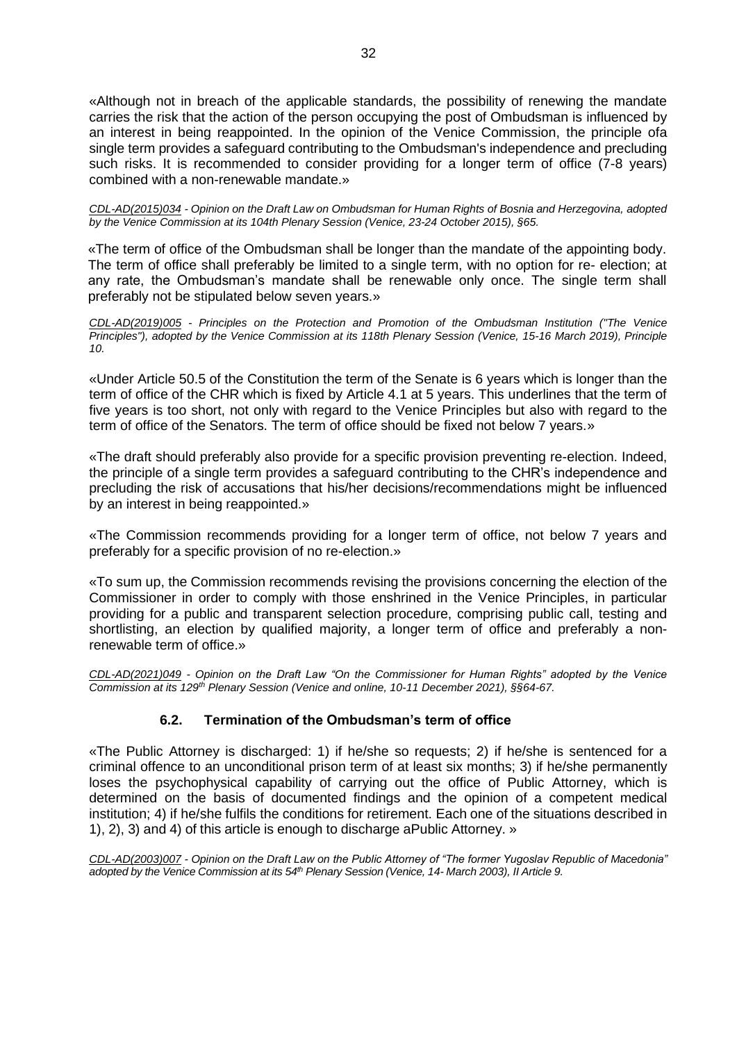«Although not in breach of the applicable standards, the possibility of renewing the mandate carries the risk that the action of the person occupying the post of Ombudsman is influenced by an interest in being reappointed. In the opinion of the Venice Commission, the principle ofa single term provides a safeguard contributing to the Ombudsman's independence and precluding such risks. It is recommended to consider providing for a longer term of office (7-8 years) combined with a non-renewable mandate.»

*CDL-AD(2015)034 - Opinion on the Draft Law on Ombudsman for Human Rights of Bosnia and Herzegovina, adopted by the Venice Commission at its 104th Plenary Session (Venice, 23-24 October 2015), §65.*

«The term of office of the Ombudsman shall be longer than the mandate of the appointing body. The term of office shall preferably be limited to a single term, with no option for re- election; at any rate, the Ombudsman's mandate shall be renewable only once. The single term shall preferably not be stipulated below seven years.»

*CDL-AD(2019)005 - Principles on the Protection and Promotion of the Ombudsman Institution ("The Venice Principles"), adopted by the Venice Commission at its 118th Plenary Session (Venice, 15-16 March 2019), Principle 10.*

«Under Article 50.5 of the Constitution the term of the Senate is 6 years which is longer than the term of office of the CHR which is fixed by Article 4.1 at 5 years. This underlines that the term of five years is too short, not only with regard to the Venice Principles but also with regard to the term of office of the Senators. The term of office should be fixed not below 7 years.»

«The draft should preferably also provide for a specific provision preventing re-election. Indeed, the principle of a single term provides a safeguard contributing to the CHR's independence and precluding the risk of accusations that his/her decisions/recommendations might be influenced by an interest in being reappointed.»

«The Commission recommends providing for a longer term of office, not below 7 years and preferably for a specific provision of no re-election.»

«To sum up, the Commission recommends revising the provisions concerning the election of the Commissioner in order to comply with those enshrined in the Venice Principles, in particular providing for a public and transparent selection procedure, comprising public call, testing and shortlisting, an election by qualified majority, a longer term of office and preferably a nonrenewable term of office.»

*CDL-AD(2021)049 - Opinion on the Draft Law "On the Commissioner for Human Rights" adopted by the Venice Commission at its 129th Plenary Session (Venice and online, 10-11 December 2021), §§64-67.*

# **6.2. Termination of the Ombudsman's term of office**

<span id="page-31-0"></span>«The Public Attorney is discharged: 1) if he/she so requests; 2) if he/she is sentenced for a criminal offence to an unconditional prison term of at least six months; 3) if he/she permanently loses the psychophysical capability of carrying out the office of Public Attorney, which is determined on the basis of documented findings and the opinion of a competent medical institution; 4) if he/she fulfils the conditions for retirement. Each one of the situations described in 1), 2), 3) and 4) of this article is enough to discharge aPublic Attorney. »

*CDL-AD(2003)007 - Opinion on the Draft Law on the Public Attorney of "The former Yugoslav Republic of Macedonia"* adopted by the Venice Commission at its 54<sup>th</sup> Plenary Session (Venice, 14- March 2003), II Article 9.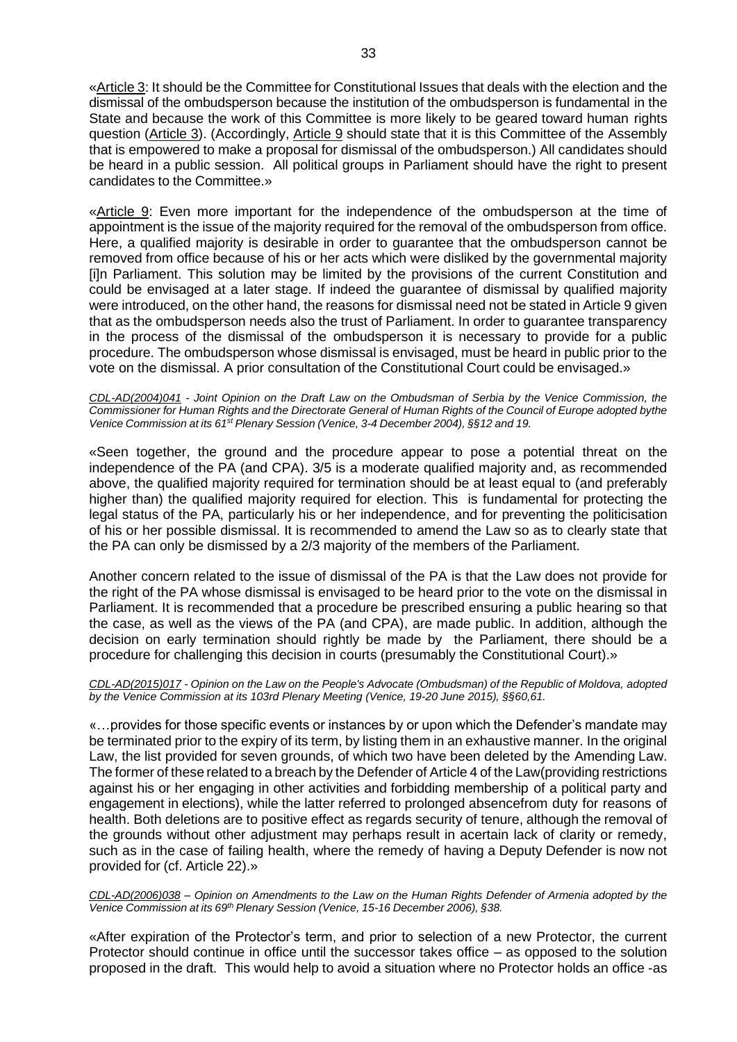«Article 3: It should be the Committee for Constitutional Issues that deals with the election and the dismissal of the ombudsperson because the institution of the ombudsperson is fundamental in the State and because the work of this Committee is more likely to be geared toward human rights question (Article 3). (Accordingly, Article 9 should state that it is this Committee of the Assembly that is empowered to make a proposal for dismissal of the ombudsperson.) All candidates should be heard in a public session. All political groups in Parliament should have the right to present candidates to the Committee.»

«Article 9: Even more important for the independence of the ombudsperson at the time of appointment is the issue of the majority required for the removal of the ombudsperson from office. Here, a qualified majority is desirable in order to guarantee that the ombudsperson cannot be removed from office because of his or her acts which were disliked by the governmental majority [i]n Parliament. This solution may be limited by the provisions of the current Constitution and could be envisaged at a later stage. If indeed the guarantee of dismissal by qualified majority were introduced, on the other hand, the reasons for dismissal need not be stated in Article 9 given that as the ombudsperson needs also the trust of Parliament. In order to guarantee transparency in the process of the dismissal of the ombudsperson it is necessary to provide for a public procedure. The ombudsperson whose dismissal is envisaged, must be heard in public prior to the vote on the dismissal. A prior consultation of the Constitutional Court could be envisaged.»

*CDL-AD(2004)041 - Joint Opinion on the Draft Law on the Ombudsman of Serbia by the Venice Commission, the* Commissioner for Human Rights and the Directorate General of Human Rights of the Council of Europe adopted bythe *Venice Commission at its 61st Plenary Session (Venice, 3-4 December 2004), §§12 and 19.*

«Seen together, the ground and the procedure appear to pose a potential threat on the independence of the PA (and CPA). 3/5 is a moderate qualified majority and, as recommended above, the qualified majority required for termination should be at least equal to (and preferably higher than) the qualified majority required for election. This is fundamental for protecting the legal status of the PA, particularly his or her independence, and for preventing the politicisation of his or her possible dismissal. It is recommended to amend the Law so as to clearly state that the PA can only be dismissed by a 2/3 majority of the members of the Parliament.

Another concern related to the issue of dismissal of the PA is that the Law does not provide for the right of the PA whose dismissal is envisaged to be heard prior to the vote on the dismissal in Parliament. It is recommended that a procedure be prescribed ensuring a public hearing so that the case, as well as the views of the PA (and CPA), are made public. In addition, although the decision on early termination should rightly be made by the Parliament, there should be a procedure for challenging this decision in courts (presumably the Constitutional Court).»

*CDL-AD(2015)017 - Opinion on the Law on the People's Advocate (Ombudsman) of the Republic of Moldova, adopted by the Venice Commission at its 103rd Plenary Meeting (Venice, 19-20 June 2015), §§60,61.*

«…provides for those specific events or instances by or upon which the Defender's mandate may be terminated prior to the expiry of its term, by listing them in an exhaustive manner. In the original Law, the list provided for seven grounds, of which two have been deleted by the Amending Law. The former of these related to a breach by the Defender of Article 4 of the Law(providing restrictions against his or her engaging in other activities and forbidding membership of a political party and engagement in elections), while the latter referred to prolonged absencefrom duty for reasons of health. Both deletions are to positive effect as regards security of tenure, although the removal of the grounds without other adjustment may perhaps result in acertain lack of clarity or remedy, such as in the case of failing health, where the remedy of having a Deputy Defender is now not provided for (cf. Article 22).»

CDL-AD(2006)038 - Opinion on Amendments to the Law on the Human Rights Defender of Armenia adopted by the *Venice Commission at its 69th Plenary Session (Venice, 15-16 December 2006), §38.*

«After expiration of the Protector's term, and prior to selection of a new Protector, the current Protector should continue in office until the successor takes office – as opposed to the solution proposed in the draft. This would help to avoid a situation where no Protector holds an office -as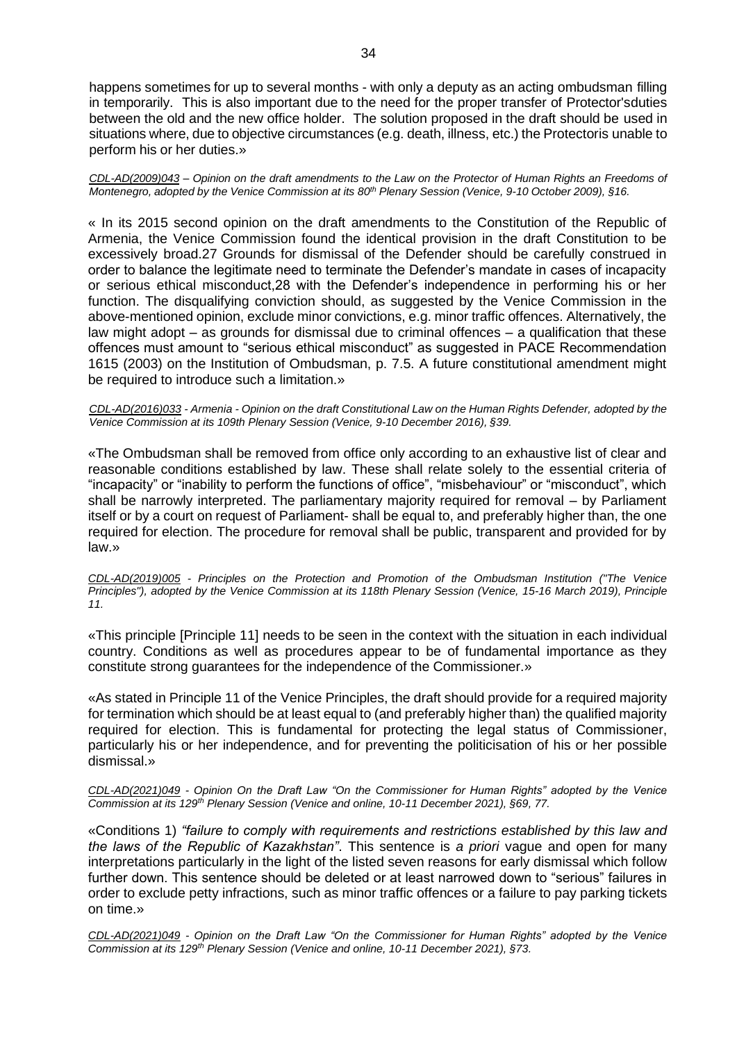happens sometimes for up to several months - with only a deputy as an acting ombudsman filling in temporarily. This is also important due to the need for the proper transfer of Protector'sduties between the old and the new office holder. The solution proposed in the draft should be used in situations where, due to objective circumstances (e.g. death, illness, etc.) the Protectoris unable to perform his or her duties.»

CDL-AD(2009)043 - Opinion on the draft amendments to the Law on the Protector of Human Rights an Freedoms of Montenegro, adopted by the Venice Commission at its 80<sup>th</sup> Plenary Session (Venice, 9-10 October 2009), §16.

« In its 2015 second opinion on the draft amendments to the Constitution of the Republic of Armenia, the Venice Commission found the identical provision in the draft Constitution to be excessively broad.27 Grounds for dismissal of the Defender should be carefully construed in order to balance the legitimate need to terminate the Defender's mandate in cases of incapacity or serious ethical misconduct,28 with the Defender's independence in performing his or her function. The disqualifying conviction should, as suggested by the Venice Commission in the above-mentioned opinion, exclude minor convictions, e.g. minor traffic offences. Alternatively, the law might adopt – as grounds for dismissal due to criminal offences – a qualification that these offences must amount to "serious ethical misconduct" as suggested in PACE Recommendation 1615 (2003) on the Institution of Ombudsman, p. 7.5. A future constitutional amendment might be required to introduce such a limitation.»

*CDL-AD(2016)033 - Armenia - Opinion on the draft Constitutional Law on the Human Rights Defender, adopted by the Venice Commission at its 109th Plenary Session (Venice, 9-10 December 2016), §39.*

«The Ombudsman shall be removed from office only according to an exhaustive list of clear and reasonable conditions established by law. These shall relate solely to the essential criteria of "incapacity" or "inability to perform the functions of office", "misbehaviour" or "misconduct", which shall be narrowly interpreted. The parliamentary majority required for removal – by Parliament itself or by a court on request of Parliament- shall be equal to, and preferably higher than, the one required for election. The procedure for removal shall be public, transparent and provided for by law.»

*CDL-AD(2019)005 - Principles on the Protection and Promotion of the Ombudsman Institution ("The Venice Principles"), adopted by the Venice Commission at its 118th Plenary Session (Venice, 15-16 March 2019), Principle 11.*

«This principle [Principle 11] needs to be seen in the context with the situation in each individual country. Conditions as well as procedures appear to be of fundamental importance as they constitute strong guarantees for the independence of the Commissioner.»

«As stated in Principle 11 of the Venice Principles, the draft should provide for a required majority for termination which should be at least equal to (and preferably higher than) the qualified majority required for election. This is fundamental for protecting the legal status of Commissioner, particularly his or her independence, and for preventing the politicisation of his or her possible dismissal.»

*CDL-AD(2021)049 - Opinion On the Draft Law "On the Commissioner for Human Rights" adopted by the Venice Commission at its 129th Plenary Session (Venice and online, 10-11 December 2021), §69, 77.*

«Conditions 1) *"failure to comply with requirements and restrictions established by this law and the laws of the Republic of Kazakhstan"*. This sentence is *a priori* vague and open for many interpretations particularly in the light of the listed seven reasons for early dismissal which follow further down. This sentence should be deleted or at least narrowed down to "serious" failures in order to exclude petty infractions, such as minor traffic offences or a failure to pay parking tickets on time.»

*CDL-AD(2021)049 - Opinion on the Draft Law "On the Commissioner for Human Rights" adopted by the Venice Commission at its 129th Plenary Session (Venice and online, 10-11 December 2021), §73.*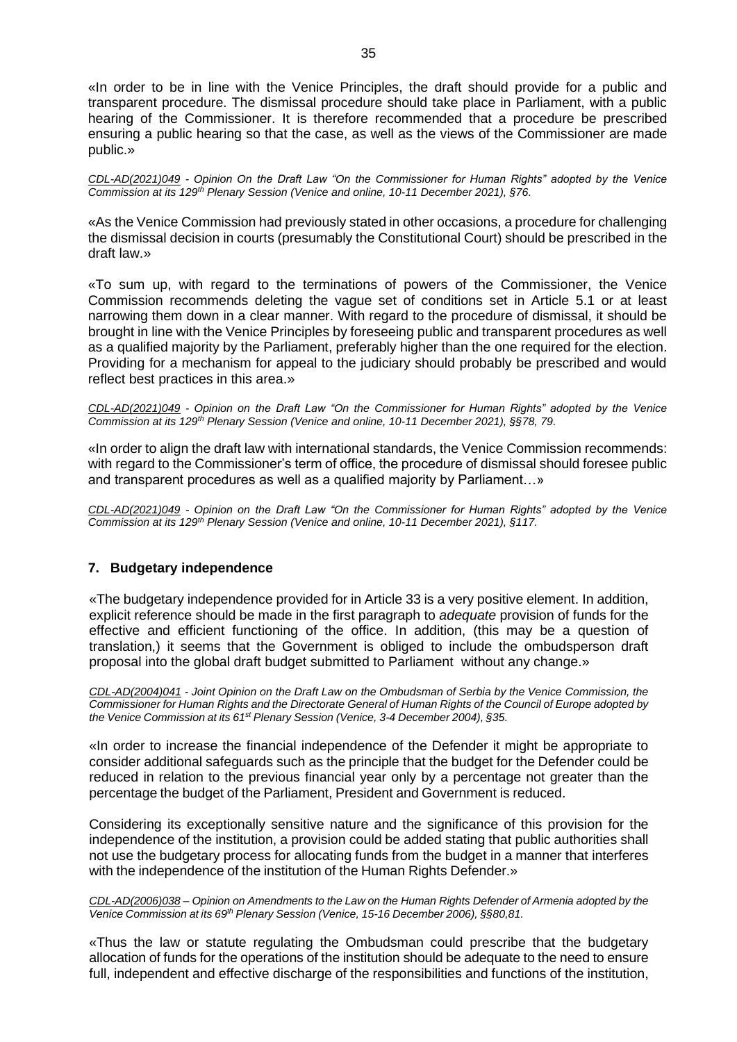«In order to be in line with the Venice Principles, the draft should provide for a public and transparent procedure. The dismissal procedure should take place in Parliament, with a public hearing of the Commissioner. It is therefore recommended that a procedure be prescribed ensuring a public hearing so that the case, as well as the views of the Commissioner are made public.»

*CDL-AD(2021)049 - Opinion On the Draft Law "On the Commissioner for Human Rights" adopted by the Venice Commission at its 129th Plenary Session (Venice and online, 10-11 December 2021), §76.*

«As the Venice Commission had previously stated in other occasions, a procedure for challenging the dismissal decision in courts (presumably the Constitutional Court) should be prescribed in the draft law.»

«To sum up, with regard to the terminations of powers of the Commissioner, the Venice Commission recommends deleting the vague set of conditions set in Article 5.1 or at least narrowing them down in a clear manner. With regard to the procedure of dismissal, it should be brought in line with the Venice Principles by foreseeing public and transparent procedures as well as a qualified majority by the Parliament, preferably higher than the one required for the election. Providing for a mechanism for appeal to the judiciary should probably be prescribed and would reflect best practices in this area.»

*CDL-AD(2021)049 - Opinion on the Draft Law "On the Commissioner for Human Rights" adopted by the Venice Commission at its 129th Plenary Session (Venice and online, 10-11 December 2021), §§78, 79.*

«In order to align the draft law with international standards, the Venice Commission recommends: with regard to the Commissioner's term of office, the procedure of dismissal should foresee public and transparent procedures as well as a qualified majority by Parliament…»

*CDL-AD(2021)049 - Opinion on the Draft Law "On the Commissioner for Human Rights" adopted by the Venice Commission at its 129th Plenary Session (Venice and online, 10-11 December 2021), §117.*

# <span id="page-34-0"></span>**7. Budgetary independence**

«The budgetary independence provided for in Article 33 is a very positive element. In addition, explicit reference should be made in the first paragraph to *adequate* provision of funds for the effective and efficient functioning of the office. In addition, (this may be a question of translation,) it seems that the Government is obliged to include the ombudsperson draft proposal into the global draft budget submitted to Parliament without any change.»

*[CDL-AD\(2004\)041](http://www.venice.coe.int/docs/2004/CDL-AD(2004)041-e.asp) - Joint Opinion on the Draft Law on the Ombudsman of Serbia by the Venice Commission, the* Commissioner for Human Rights and the Directorate General of Human Rights of the Council of Europe adopted by *the Venice Commission at its 61st Plenary Session (Venice, 3-4 December 2004), §35.*

«In order to increase the financial independence of the Defender it might be appropriate to consider additional safeguards such as the principle that the budget for the Defender could be reduced in relation to the previous financial year only by a percentage not greater than the percentage the budget of the Parliament, President and Government is reduced.

Considering its exceptionally sensitive nature and the significance of this provision for the independence of the institution, a provision could be added stating that public authorities shall not use the budgetary process for allocating funds from the budget in a manner that interferes with the independence of the institution of the Human Rights Defender.»

CDL-AD(2006)038 – Opinion on Amendments to the Law on the Human Rights Defender of Armenia adopted by the *Venice Commission at its 69th Plenary Session (Venice, 15-16 December 2006), §§80,81.*

«Thus the law or statute regulating the Ombudsman could prescribe that the budgetary allocation of funds for the operations of the institution should be adequate to the need to ensure full, independent and effective discharge of the responsibilities and functions of the institution,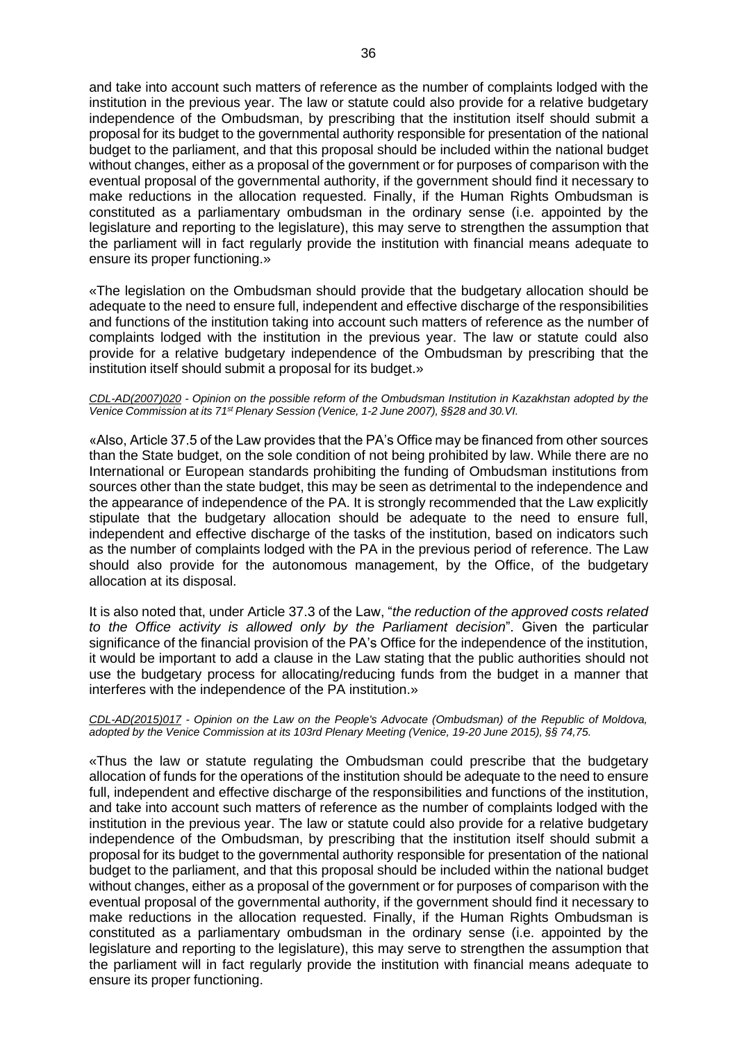and take into account such matters of reference as the number of complaints lodged with the institution in the previous year. The law or statute could also provide for a relative budgetary independence of the Ombudsman, by prescribing that the institution itself should submit a proposal for its budget to the governmental authority responsible for presentation of the national budget to the parliament, and that this proposal should be included within the national budget without changes, either as a proposal of the government or for purposes of comparison with the eventual proposal of the governmental authority, if the government should find it necessary to make reductions in the allocation requested. Finally, if the Human Rights Ombudsman is constituted as a parliamentary ombudsman in the ordinary sense (i.e. appointed by the legislature and reporting to the legislature), this may serve to strengthen the assumption that the parliament will in fact regularly provide the institution with financial means adequate to ensure its proper functioning.»

«The legislation on the Ombudsman should provide that the budgetary allocation should be adequate to the need to ensure full, independent and effective discharge of the responsibilities and functions of the institution taking into account such matters of reference as the number of complaints lodged with the institution in the previous year. The law or statute could also provide for a relative budgetary independence of the Ombudsman by prescribing that the institution itself should submit a proposal for its budget.»

#### *CDL-AD(2007)020 - Opinion on the possible reform of the Ombudsman Institution in Kazakhstan adopted by the Venice Commission at its 71st Plenary Session (Venice, 1-2 June 2007), §§28 and 30.VI.*

«Also, Article 37.5 of the Law provides that the PA's Office may be financed from other sources than the State budget, on the sole condition of not being prohibited by law. While there are no International or European standards prohibiting the funding of Ombudsman institutions from sources other than the state budget, this may be seen as detrimental to the independence and the appearance of independence of the PA. It is strongly recommended that the Law explicitly stipulate that the budgetary allocation should be adequate to the need to ensure full, independent and effective discharge of the tasks of the institution, based on indicators such as the number of complaints lodged with the PA in the previous period of reference. The Law should also provide for the autonomous management, by the Office, of the budgetary allocation at its disposal.

It is also noted that, under Article 37.3 of the Law, "*the reduction of the approved costs related to the Office activity is allowed only by the Parliament decision*". Given the particular significance of the financial provision of the PA's Office for the independence of the institution, it would be important to add a clause in the Law stating that the public authorities should not use the budgetary process for allocating/reducing funds from the budget in a manner that interferes with the independence of the PA institution.»

#### *CDL-AD(2015)017 - Opinion on the Law on the People's Advocate (Ombudsman) of the Republic of Moldova, adopted by the Venice Commission at its 103rd Plenary Meeting (Venice, 19-20 June 2015), §§ 74,75.*

«Thus the law or statute regulating the Ombudsman could prescribe that the budgetary allocation of funds for the operations of the institution should be adequate to the need to ensure full, independent and effective discharge of the responsibilities and functions of the institution, and take into account such matters of reference as the number of complaints lodged with the institution in the previous year. The law or statute could also provide for a relative budgetary independence of the Ombudsman, by prescribing that the institution itself should submit a proposal for its budget to the governmental authority responsible for presentation of the national budget to the parliament, and that this proposal should be included within the national budget without changes, either as a proposal of the government or for purposes of comparison with the eventual proposal of the governmental authority, if the government should find it necessary to make reductions in the allocation requested. Finally, if the Human Rights Ombudsman is constituted as a parliamentary ombudsman in the ordinary sense (i.e. appointed by the legislature and reporting to the legislature), this may serve to strengthen the assumption that the parliament will in fact regularly provide the institution with financial means adequate to ensure its proper functioning.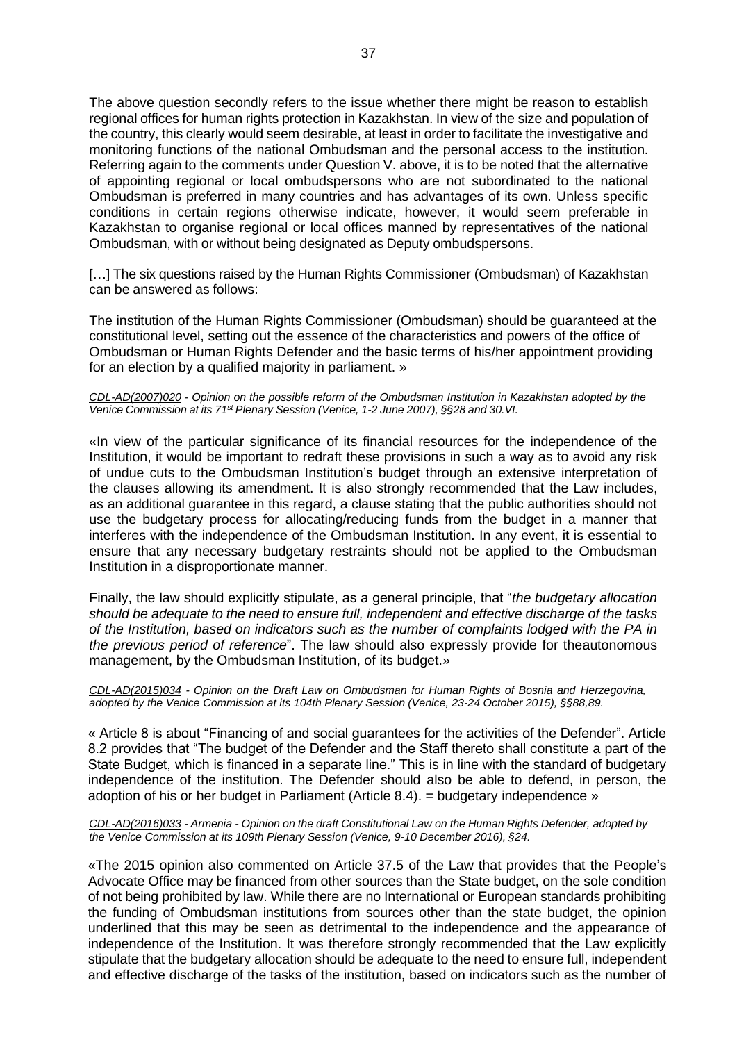The above question secondly refers to the issue whether there might be reason to establish regional offices for human rights protection in Kazakhstan. In view of the size and population of the country, this clearly would seem desirable, at least in order to facilitate the investigative and monitoring functions of the national Ombudsman and the personal access to the institution. Referring again to the comments under Question V. above, it is to be noted that the alternative of appointing regional or local ombudspersons who are not subordinated to the national Ombudsman is preferred in many countries and has advantages of its own. Unless specific conditions in certain regions otherwise indicate, however, it would seem preferable in Kazakhstan to organise regional or local offices manned by representatives of the national Ombudsman, with or without being designated as Deputy ombudspersons.

[...] The six questions raised by the Human Rights Commissioner (Ombudsman) of Kazakhstan can be answered as follows:

The institution of the Human Rights Commissioner (Ombudsman) should be guaranteed at the constitutional level, setting out the essence of the characteristics and powers of the office of Ombudsman or Human Rights Defender and the basic terms of his/her appointment providing for an election by a qualified majority in parliament. »

#### *CDL-AD(2007)020 - Opinion on the possible reform of the Ombudsman Institution in Kazakhstan adopted by the Venice Commission at its 71st Plenary Session (Venice, 1-2 June 2007), §§28 and 30.VI.*

«In view of the particular significance of its financial resources for the independence of the Institution, it would be important to redraft these provisions in such a way as to avoid any risk of undue cuts to the Ombudsman Institution's budget through an extensive interpretation of the clauses allowing its amendment. It is also strongly recommended that the Law includes, as an additional guarantee in this regard, a clause stating that the public authorities should not use the budgetary process for allocating/reducing funds from the budget in a manner that interferes with the independence of the Ombudsman Institution. In any event, it is essential to ensure that any necessary budgetary restraints should not be applied to the Ombudsman Institution in a disproportionate manner.

Finally, the law should explicitly stipulate, as a general principle, that "*the budgetary allocation should be adequate to the need to ensure full, independent and effective discharge of the tasks of the Institution, based on indicators such as the number of complaints lodged with the PA in the previous period of reference*". The law should also expressly provide for theautonomous management, by the Ombudsman Institution, of its budget.»

*CDL-AD(2015)034 - Opinion on the Draft Law on Ombudsman for Human Rights of Bosnia and Herzegovina, adopted by the Venice Commission at its 104th Plenary Session (Venice, 23-24 October 2015), §§88,89.*

« Article 8 is about "Financing of and social guarantees for the activities of the Defender". Article 8.2 provides that "The budget of the Defender and the Staff thereto shall constitute a part of the State Budget, which is financed in a separate line." This is in line with the standard of budgetary independence of the institution. The Defender should also be able to defend, in person, the adoption of his or her budget in Parliament (Article 8.4). = budgetary independence »

*CDL-AD(2016)033 - Armenia - Opinion on the draft Constitutional Law on the Human Rights Defender, adopted by the Venice Commission at its 109th Plenary Session (Venice, 9-10 December 2016), §24.*

«The 2015 opinion also commented on Article 37.5 of the Law that provides that the People's Advocate Office may be financed from other sources than the State budget, on the sole condition of not being prohibited by law. While there are no International or European standards prohibiting the funding of Ombudsman institutions from sources other than the state budget, the opinion underlined that this may be seen as detrimental to the independence and the appearance of independence of the Institution. It was therefore strongly recommended that the Law explicitly stipulate that the budgetary allocation should be adequate to the need to ensure full, independent and effective discharge of the tasks of the institution, based on indicators such as the number of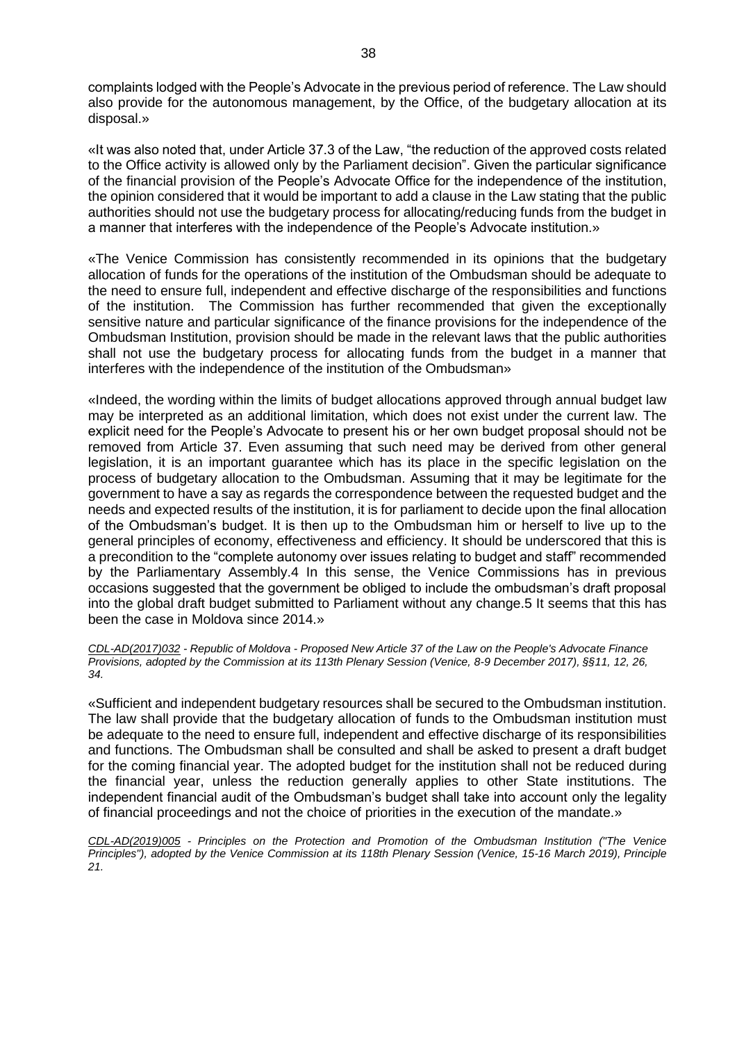complaints lodged with the People's Advocate in the previous period of reference. The Law should also provide for the autonomous management, by the Office, of the budgetary allocation at its disposal.»

«It was also noted that, under Article 37.3 of the Law, "the reduction of the approved costs related to the Office activity is allowed only by the Parliament decision". Given the particular significance of the financial provision of the People's Advocate Office for the independence of the institution, the opinion considered that it would be important to add a clause in the Law stating that the public authorities should not use the budgetary process for allocating/reducing funds from the budget in a manner that interferes with the independence of the People's Advocate institution.»

«The Venice Commission has consistently recommended in its opinions that the budgetary allocation of funds for the operations of the institution of the Ombudsman should be adequate to the need to ensure full, independent and effective discharge of the responsibilities and functions of the institution. The Commission has further recommended that given the exceptionally sensitive nature and particular significance of the finance provisions for the independence of the Ombudsman Institution, provision should be made in the relevant laws that the public authorities shall not use the budgetary process for allocating funds from the budget in a manner that interferes with the independence of the institution of the Ombudsman»

«Indeed, the wording within the limits of budget allocations approved through annual budget law may be interpreted as an additional limitation, which does not exist under the current law. The explicit need for the People's Advocate to present his or her own budget proposal should not be removed from Article 37. Even assuming that such need may be derived from other general legislation, it is an important guarantee which has its place in the specific legislation on the process of budgetary allocation to the Ombudsman. Assuming that it may be legitimate for the government to have a say as regards the correspondence between the requested budget and the needs and expected results of the institution, it is for parliament to decide upon the final allocation of the Ombudsman's budget. It is then up to the Ombudsman him or herself to live up to the general principles of economy, effectiveness and efficiency. It should be underscored that this is a precondition to the "complete autonomy over issues relating to budget and staff" recommended by the Parliamentary Assembly.4 In this sense, the Venice Commissions has in previous occasions suggested that the government be obliged to include the ombudsman's draft proposal into the global draft budget submitted to Parliament without any change.5 It seems that this has been the case in Moldova since 2014.»

*CDL-AD(2017)032 - Republic of Moldova - Proposed New Article 37 of the Law on the People's Advocate Finance Provisions, adopted by the Commission at its 113th Plenary Session (Venice, 8-9 December 2017), §§11, 12, 26, 34.*

«Sufficient and independent budgetary resources shall be secured to the Ombudsman institution. The law shall provide that the budgetary allocation of funds to the Ombudsman institution must be adequate to the need to ensure full, independent and effective discharge of its responsibilities and functions. The Ombudsman shall be consulted and shall be asked to present a draft budget for the coming financial year. The adopted budget for the institution shall not be reduced during the financial year, unless the reduction generally applies to other State institutions. The independent financial audit of the Ombudsman's budget shall take into account only the legality of financial proceedings and not the choice of priorities in the execution of the mandate.»

*CDL-AD(2019)005 - Principles on the Protection and Promotion of the Ombudsman Institution ("The Venice Principles"), adopted by the Venice Commission at its 118th Plenary Session (Venice, 15-16 March 2019), Principle 21.*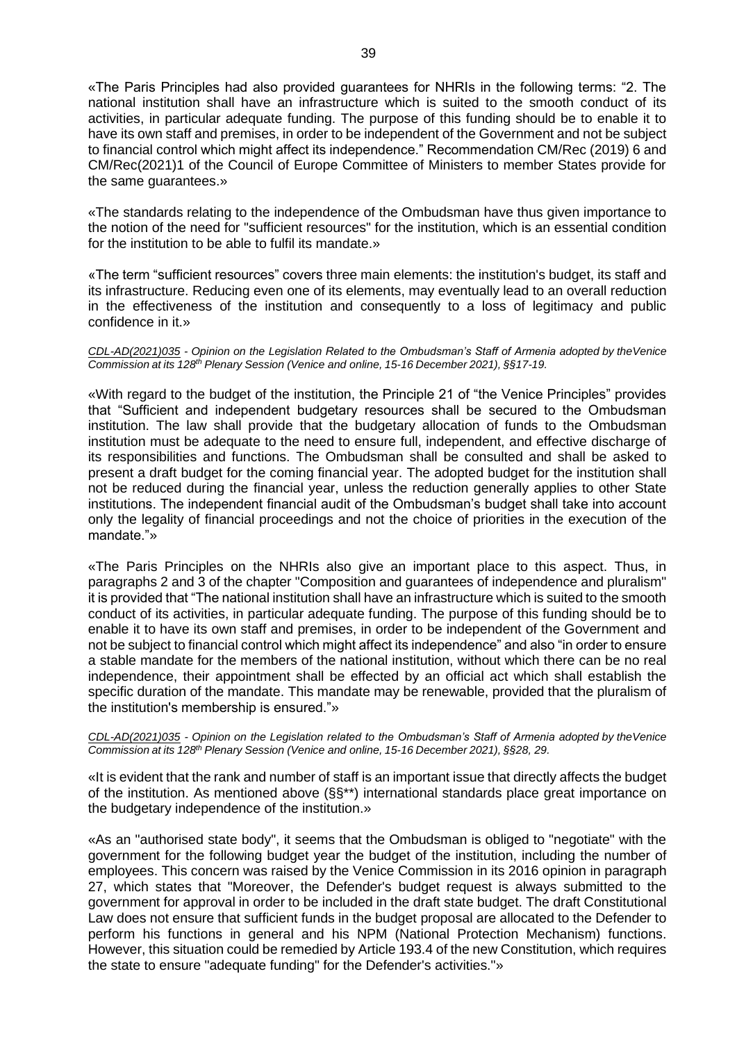«The Paris Principles had also provided guarantees for NHRIs in the following terms: "2. The national institution shall have an infrastructure which is suited to the smooth conduct of its activities, in particular adequate funding. The purpose of this funding should be to enable it to have its own staff and premises, in order to be independent of the Government and not be subject to financial control which might affect its independence." Recommendation CM/Rec (2019) 6 and CM/Rec(2021)1 of the Council of Europe Committee of Ministers to member States provide for the same guarantees.»

«The standards relating to the independence of the Ombudsman have thus given importance to the notion of the need for "sufficient resources" for the institution, which is an essential condition for the institution to be able to fulfil its mandate.»

«The term "sufficient resources" covers three main elements: the institution's budget, its staff and its infrastructure. Reducing even one of its elements, may eventually lead to an overall reduction in the effectiveness of the institution and consequently to a loss of legitimacy and public confidence in it.»

*CDL-AD(2021)035 - Opinion on the Legislation Related to the Ombudsman's Staff of Armenia adopted by theVenice Commission at its 128th Plenary Session (Venice and online, 15-16 December 2021), §§17-19.*

«With regard to the budget of the institution, the Principle 21 of "the Venice Principles" provides that "Sufficient and independent budgetary resources shall be secured to the Ombudsman institution. The law shall provide that the budgetary allocation of funds to the Ombudsman institution must be adequate to the need to ensure full, independent, and effective discharge of its responsibilities and functions. The Ombudsman shall be consulted and shall be asked to present a draft budget for the coming financial year. The adopted budget for the institution shall not be reduced during the financial year, unless the reduction generally applies to other State institutions. The independent financial audit of the Ombudsman's budget shall take into account only the legality of financial proceedings and not the choice of priorities in the execution of the mandate."»

«The Paris Principles on the NHRIs also give an important place to this aspect. Thus, in paragraphs 2 and 3 of the chapter "Composition and guarantees of independence and pluralism" it is provided that "The national institution shall have an infrastructure which is suited to the smooth conduct of its activities, in particular adequate funding. The purpose of this funding should be to enable it to have its own staff and premises, in order to be independent of the Government and not be subject to financial control which might affect its independence" and also "in order to ensure a stable mandate for the members of the national institution, without which there can be no real independence, their appointment shall be effected by an official act which shall establish the specific duration of the mandate. This mandate may be renewable, provided that the pluralism of the institution's membership is ensured."»

*CDL-AD(2021)035 - Opinion on the Legislation related to the Ombudsman's Staff of Armenia adopted by theVenice Commission at its 128th Plenary Session (Venice and online, 15-16 December 2021), §§28, 29.*

«It is evident that the rank and number of staff is an important issue that directly affects the budget of the institution. As mentioned above (§§\*\*) international standards place great importance on the budgetary independence of the institution.»

«As an "authorised state body", it seems that the Ombudsman is obliged to "negotiate" with the government for the following budget year the budget of the institution, including the number of employees. This concern was raised by the Venice Commission in its 2016 opinion in paragraph 27, which states that "Moreover, the Defender's budget request is always submitted to the government for approval in order to be included in the draft state budget. The draft Constitutional Law does not ensure that sufficient funds in the budget proposal are allocated to the Defender to perform his functions in general and his NPM (National Protection Mechanism) functions. However, this situation could be remedied by Article 193.4 of the new Constitution, which requires the state to ensure "adequate funding" for the Defender's activities."»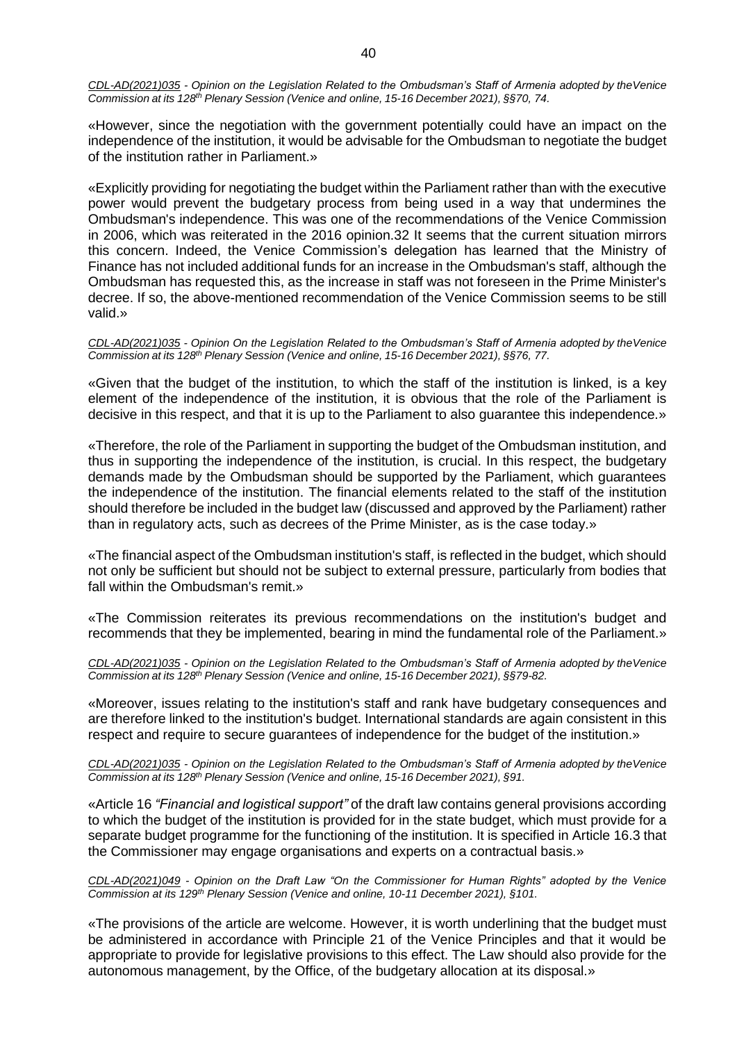*CDL-AD(2021)035 - Opinion on the Legislation Related to the Ombudsman's Staff of Armenia adopted by theVenice Commission at its 128th Plenary Session (Venice and online, 15-16 December 2021), §§70, 74.*

«However, since the negotiation with the government potentially could have an impact on the independence of the institution, it would be advisable for the Ombudsman to negotiate the budget of the institution rather in Parliament.»

«Explicitly providing for negotiating the budget within the Parliament rather than with the executive power would prevent the budgetary process from being used in a way that undermines the Ombudsman's independence. This was one of the recommendations of the Venice Commission in 2006, which was reiterated in the 2016 opinion.32 It seems that the current situation mirrors this concern. Indeed, the Venice Commission's delegation has learned that the Ministry of Finance has not included additional funds for an increase in the Ombudsman's staff, although the Ombudsman has requested this, as the increase in staff was not foreseen in the Prime Minister's decree. If so, the above-mentioned recommendation of the Venice Commission seems to be still valid.»

*CDL-AD(2021)035 - Opinion On the Legislation Related to the Ombudsman's Staff of Armenia adopted by theVenice Commission at its 128th Plenary Session (Venice and online, 15-16 December 2021), §§76, 77.*

«Given that the budget of the institution, to which the staff of the institution is linked, is a key element of the independence of the institution, it is obvious that the role of the Parliament is decisive in this respect, and that it is up to the Parliament to also guarantee this independence.»

«Therefore, the role of the Parliament in supporting the budget of the Ombudsman institution, and thus in supporting the independence of the institution, is crucial. In this respect, the budgetary demands made by the Ombudsman should be supported by the Parliament, which guarantees the independence of the institution. The financial elements related to the staff of the institution should therefore be included in the budget law (discussed and approved by the Parliament) rather than in regulatory acts, such as decrees of the Prime Minister, as is the case today.»

«The financial aspect of the Ombudsman institution's staff, is reflected in the budget, which should not only be sufficient but should not be subject to external pressure, particularly from bodies that fall within the Ombudsman's remit.»

«The Commission reiterates its previous recommendations on the institution's budget and recommends that they be implemented, bearing in mind the fundamental role of the Parliament.»

*CDL-AD(2021)035 - Opinion on the Legislation Related to the Ombudsman's Staff of Armenia adopted by theVenice Commission at its 128th Plenary Session (Venice and online, 15-16 December 2021), §§79-82.*

«Moreover, issues relating to the institution's staff and rank have budgetary consequences and are therefore linked to the institution's budget. International standards are again consistent in this respect and require to secure guarantees of independence for the budget of the institution.»

*CDL-AD(2021)035 - Opinion on the Legislation Related to the Ombudsman's Staff of Armenia adopted by theVenice Commission at its 128th Plenary Session (Venice and online, 15-16 December 2021), §91.*

«Article 16 *"Financial and logistical support"* of the draft law contains general provisions according to which the budget of the institution is provided for in the state budget, which must provide for a separate budget programme for the functioning of the institution. It is specified in Article 16.3 that the Commissioner may engage organisations and experts on a contractual basis.»

*CDL-AD(2021)049 - Opinion on the Draft Law "On the Commissioner for Human Rights" adopted by the Venice Commission at its 129th Plenary Session (Venice and online, 10-11 December 2021), §101.*

«The provisions of the article are welcome. However, it is worth underlining that the budget must be administered in accordance with Principle 21 of the Venice Principles and that it would be appropriate to provide for legislative provisions to this effect. The Law should also provide for the autonomous management, by the Office, of the budgetary allocation at its disposal.»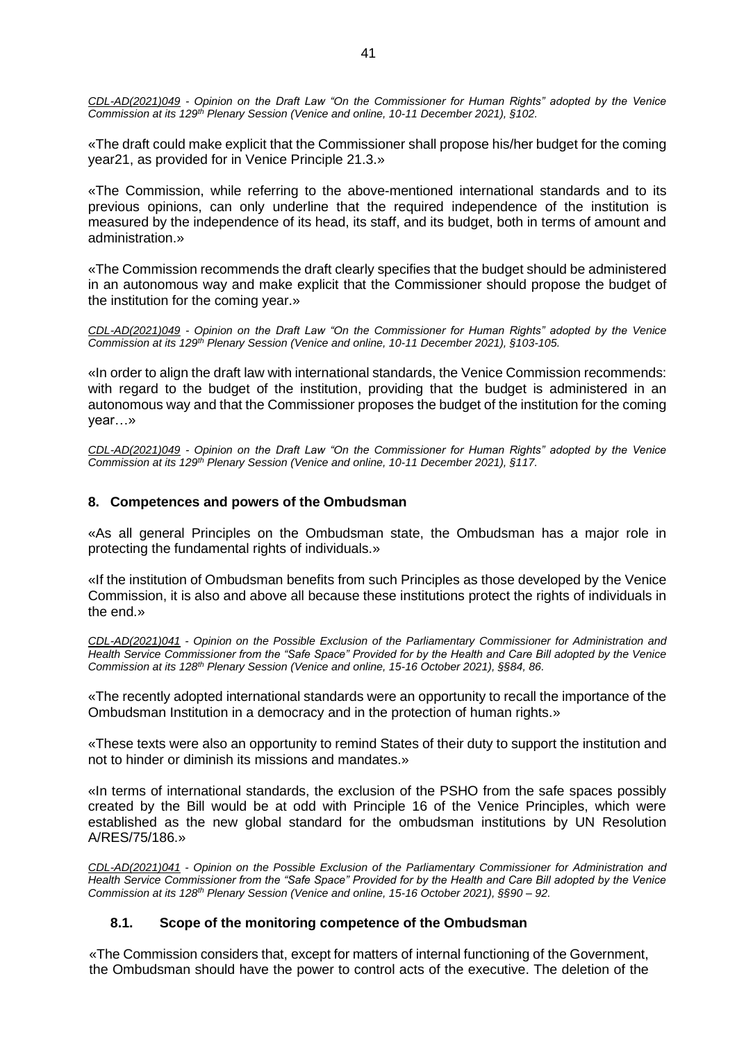*CDL-AD(2021)049 - Opinion on the Draft Law "On the Commissioner for Human Rights" adopted by the Venice Commission at its 129th Plenary Session (Venice and online, 10-11 December 2021), §102.*

«The draft could make explicit that the Commissioner shall propose his/her budget for the coming year21, as provided for in Venice Principle 21.3.»

«The Commission, while referring to the above-mentioned international standards and to its previous opinions, can only underline that the required independence of the institution is measured by the independence of its head, its staff, and its budget, both in terms of amount and administration.»

«The Commission recommends the draft clearly specifies that the budget should be administered in an autonomous way and make explicit that the Commissioner should propose the budget of the institution for the coming year.»

*CDL-AD(2021)049 - Opinion on the Draft Law "On the Commissioner for Human Rights" adopted by the Venice Commission at its 129th Plenary Session (Venice and online, 10-11 December 2021), §103-105.*

«In order to align the draft law with international standards, the Venice Commission recommends: with regard to the budget of the institution, providing that the budget is administered in an autonomous way and that the Commissioner proposes the budget of the institution for the coming year…»

*CDL-AD(2021)049 - Opinion on the Draft Law "On the Commissioner for Human Rights" adopted by the Venice Commission at its 129th Plenary Session (Venice and online, 10-11 December 2021), §117.*

# <span id="page-40-0"></span>**8. Competences and powers of the Ombudsman**

«As all general Principles on the Ombudsman state, the Ombudsman has a major role in protecting the fundamental rights of individuals.»

«If the institution of Ombudsman benefits from such Principles as those developed by the Venice Commission, it is also and above all because these institutions protect the rights of individuals in the end.»

*CDL-AD(2021)041 - Opinion on the Possible Exclusion of the Parliamentary Commissioner for Administration and Health Service Commissioner from the "Safe Space" Provided for by the Health and Care Bill adopted by the Venice Commission at its 128th Plenary Session (Venice and online, 15-16 October 2021), §§84, 86.*

«The recently adopted international standards were an opportunity to recall the importance of the Ombudsman Institution in a democracy and in the protection of human rights.»

«These texts were also an opportunity to remind States of their duty to support the institution and not to hinder or diminish its missions and mandates.»

«In terms of international standards, the exclusion of the PSHO from the safe spaces possibly created by the Bill would be at odd with Principle 16 of the Venice Principles, which were established as the new global standard for the ombudsman institutions by UN Resolution A/RES/75/186.»

*CDL-AD(2021)041 - Opinion on the Possible Exclusion of the Parliamentary Commissioner for Administration and Health Service Commissioner from the "Safe Space" Provided for by the Health and Care Bill adopted by the Venice Commission at its 128th Plenary Session (Venice and online, 15-16 October 2021), §§90 – 92.*

# **8.1. Scope of the monitoring competence of the Ombudsman**

<span id="page-40-1"></span>«The Commission considers that, except for matters of internal functioning of the Government, the Ombudsman should have the power to control acts of the executive. The deletion of the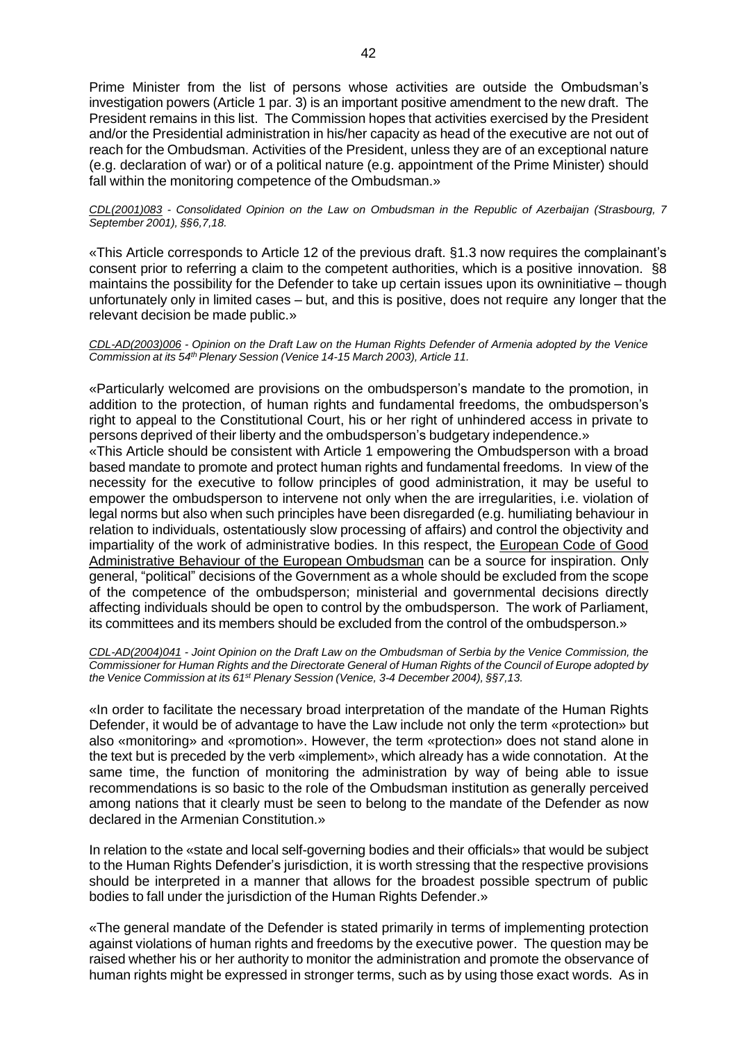Prime Minister from the list of persons whose activities are outside the Ombudsman's investigation powers (Article 1 par. 3) is an important positive amendment to the new draft. The President remains in this list. The Commission hopes that activities exercised by the President and/or the Presidential administration in his/her capacity as head of the executive are not out of reach for the Ombudsman. Activities of the President, unless they are of an exceptional nature (e.g. declaration of war) or of a political nature (e.g. appointment of the Prime Minister) should fall within the monitoring competence of the Ombudsman.»

*CDL(2001)083 - Consolidated Opinion on the Law on Ombudsman in the Republic of Azerbaijan (Strasbourg, 7 September 2001), §§6,7,18.*

«This Article corresponds to Article 12 of the previous draft. §1.3 now requires the complainant's consent prior to referring a claim to the competent authorities, which is a positive innovation. §8 maintains the possibility for the Defender to take up certain issues upon its owninitiative – though unfortunately only in limited cases – but, and this is positive, does not require any longer that the relevant decision be made public.»

#### *CDL-AD(2003)006 - Opinion on the Draft Law on the Human Rights Defender of Armenia adopted by the Venice Commission at its 54thPlenary Session (Venice 14-15 March 2003), Article 11.*

«Particularly welcomed are provisions on the ombudsperson's mandate to the promotion, in addition to the protection, of human rights and fundamental freedoms, the ombudsperson's right to appeal to the Constitutional Court, his or her right of unhindered access in private to persons deprived of their liberty and the ombudsperson's budgetary independence.»

«This Article should be consistent with Article 1 empowering the Ombudsperson with a broad based mandate to promote and protect human rights and fundamental freedoms. In view of the necessity for the executive to follow principles of good administration, it may be useful to empower the ombudsperson to intervene not only when the are irregularities, i.e. violation of legal norms but also when such principles have been disregarded (e.g. humiliating behaviour in relation to individuals, ostentatiously slow processing of affairs) and control the objectivity and impartiality of the work of administrative bodies. In this respect, the [European Code of Good](http://www.euro-ombudsman.eu.int/code/pdf/en/code_en.pdf) [Administrative Behaviour of the European Ombudsman](http://www.euro-ombudsman.eu.int/code/pdf/en/code_en.pdf) can be a source for inspiration. Only general, "political" decisions of the Government as a whole should be excluded from the scope of the competence of the ombudsperson; ministerial and governmental decisions directly affecting individuals should be open to control by the ombudsperson. The work of Parliament, its committees and its members should be excluded from the control of the ombudsperson.»

*[CDL-AD\(2004\)041](http://www.venice.coe.int/docs/2004/CDL-AD(2004)041-e.asp) - Joint Opinion on the Draft Law on the Ombudsman of Serbia by the Venice Commission, the* Commissioner for Human Rights and the Directorate General of Human Rights of the Council of Europe adopted by *the Venice Commission at its 61st Plenary Session (Venice, 3-4 December 2004), §§7,13.*

«In order to facilitate the necessary broad interpretation of the mandate of the Human Rights Defender, it would be of advantage to have the Law include not only the term «protection» but also «monitoring» and «promotion». However, the term «protection» does not stand alone in the text but is preceded by the verb «implement», which already has a wide connotation. At the same time, the function of monitoring the administration by way of being able to issue recommendations is so basic to the role of the Ombudsman institution as generally perceived among nations that it clearly must be seen to belong to the mandate of the Defender as now declared in the Armenian Constitution.»

In relation to the «state and local self-governing bodies and their officials» that would be subject to the Human Rights Defender's jurisdiction, it is worth stressing that the respective provisions should be interpreted in a manner that allows for the broadest possible spectrum of public bodies to fall under the jurisdiction of the Human Rights Defender.»

«The general mandate of the Defender is stated primarily in terms of implementing protection against violations of human rights and freedoms by the executive power. The question may be raised whether his or her authority to monitor the administration and promote the observance of human rights might be expressed in stronger terms, such as by using those exact words. As in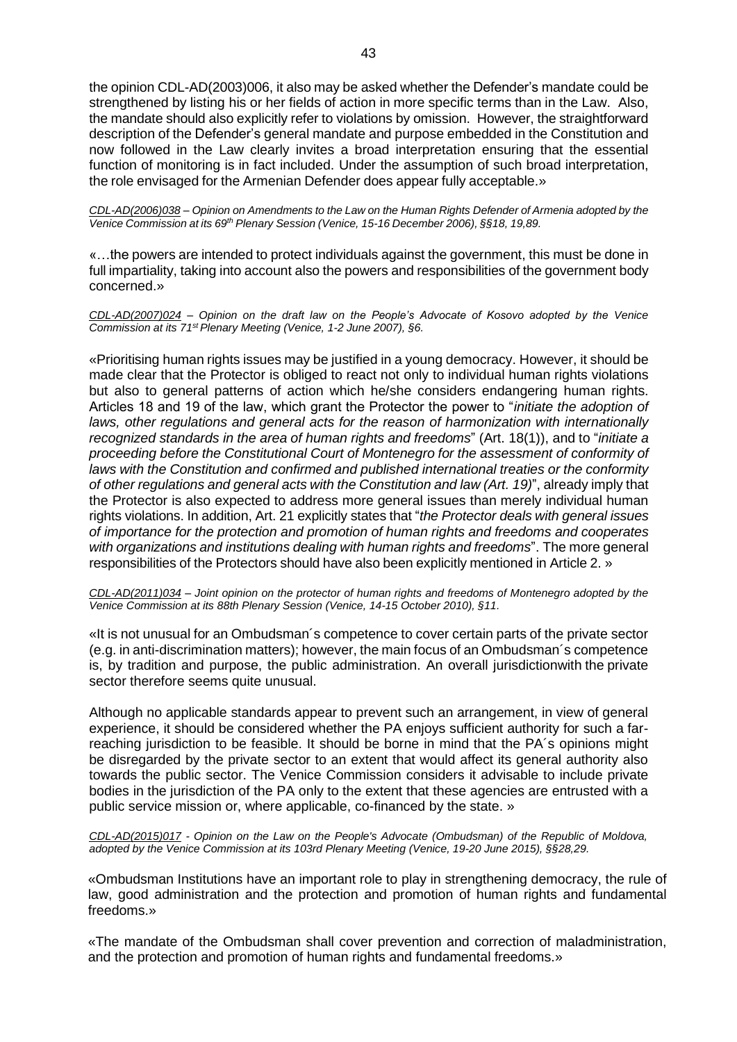the opinion CDL-AD(2003)006, it also may be asked whether the Defender's mandate could be strengthened by listing his or her fields of action in more specific terms than in the Law. Also, the mandate should also explicitly refer to violations by omission. However, the straightforward description of the Defender's general mandate and purpose embedded in the Constitution and now followed in the Law clearly invites a broad interpretation ensuring that the essential function of monitoring is in fact included. Under the assumption of such broad interpretation, the role envisaged for the Armenian Defender does appear fully acceptable.»

CDL-AD(2006)038 - Opinion on Amendments to the Law on the Human Rights Defender of Armenia adopted by the *Venice Commission at its 69th Plenary Session (Venice, 15-16 December 2006), §§18, 19,89.*

«…the powers are intended to protect individuals against the government, this must be done in full impartiality, taking into account also the powers and responsibilities of the government body concerned.»

*CDL-AD(2007)024 – Opinion on the draft law on the People's Advocate of Kosovo adopted by the Venice Commission at its 71st Plenary Meeting (Venice, 1-2 June 2007), §6.*

«Prioritising human rights issues may be justified in a young democracy. However, it should be made clear that the Protector is obliged to react not only to individual human rights violations but also to general patterns of action which he/she considers endangering human rights. Articles 18 and 19 of the law, which grant the Protector the power to "*initiate the adoption of laws, other regulations and general acts for the reason of harmonization with internationally recognized standards in the area of human rights and freedoms*" (Art. 18(1)), and to "*initiate a proceeding before the Constitutional Court of Montenegro for the assessment of conformity of laws with the Constitution and confirmed and published international treaties or the conformity of other regulations and general acts with the Constitution and law (Art. 19)*", already imply that the Protector is also expected to address more general issues than merely individual human rights violations. In addition, Art. 21 explicitly states that "*the Protector deals with general issues of importance for the protection and promotion of human rights and freedoms and cooperates with organizations and institutions dealing with human rights and freedoms*". The more general responsibilities of the Protectors should have also been explicitly mentioned in Article 2. »

*CDL-AD(2011)034 – Joint opinion on the protector of human rights and freedoms of Montenegro adopted by the Venice Commission at its 88th Plenary Session (Venice, 14-15 October 2010), §11.*

«It is not unusual for an Ombudsman´s competence to cover certain parts of the private sector (e.g. in anti-discrimination matters); however, the main focus of an Ombudsman´s competence is, by tradition and purpose, the public administration. An overall jurisdictionwith the private sector therefore seems quite unusual.

Although no applicable standards appear to prevent such an arrangement, in view of general experience, it should be considered whether the PA enjoys sufficient authority for such a farreaching jurisdiction to be feasible. It should be borne in mind that the PA´s opinions might be disregarded by the private sector to an extent that would affect its general authority also towards the public sector. The Venice Commission considers it advisable to include private bodies in the jurisdiction of the PA only to the extent that these agencies are entrusted with a public service mission or, where applicable, co-financed by the state. »

*CDL-AD(2015)017 - Opinion on the Law on the People's Advocate (Ombudsman) of the Republic of Moldova, adopted by the Venice Commission at its 103rd Plenary Meeting (Venice, 19-20 June 2015), §§28,29.*

«Ombudsman Institutions have an important role to play in strengthening democracy, the rule of law, good administration and the protection and promotion of human rights and fundamental freedoms.»

«The mandate of the Ombudsman shall cover prevention and correction of maladministration, and the protection and promotion of human rights and fundamental freedoms.»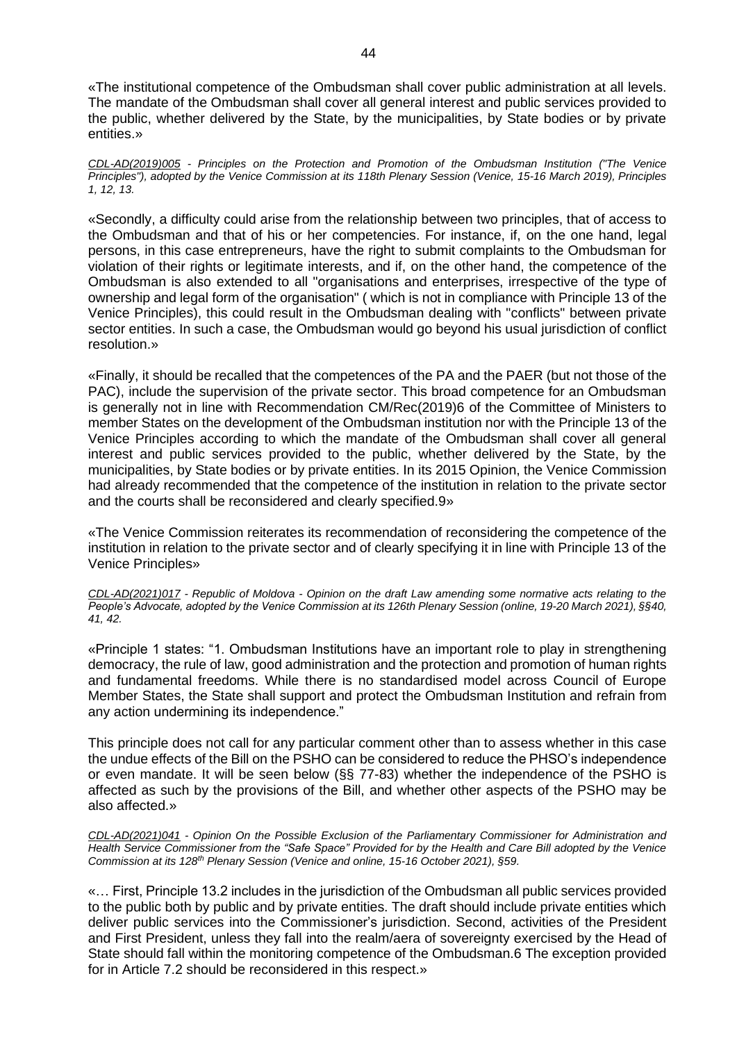«The institutional competence of the Ombudsman shall cover public administration at all levels. The mandate of the Ombudsman shall cover all general interest and public services provided to the public, whether delivered by the State, by the municipalities, by State bodies or by private entities.»

*CDL-AD(2019)005 - Principles on the Protection and Promotion of the Ombudsman Institution ("The Venice Principles"), adopted by the Venice Commission at its 118th Plenary Session (Venice, 15-16 March 2019), Principles 1, 12, 13.*

«Secondly, a difficulty could arise from the relationship between two principles, that of access to the Ombudsman and that of his or her competencies. For instance, if, on the one hand, legal persons, in this case entrepreneurs, have the right to submit complaints to the Ombudsman for violation of their rights or legitimate interests, and if, on the other hand, the competence of the Ombudsman is also extended to all "organisations and enterprises, irrespective of the type of ownership and legal form of the organisation" ( which is not in compliance with Principle 13 of the Venice Principles), this could result in the Ombudsman dealing with "conflicts" between private sector entities. In such a case, the Ombudsman would go beyond his usual jurisdiction of conflict resolution.»

«Finally, it should be recalled that the competences of the PA and the PAER (but not those of the PAC), include the supervision of the private sector. This broad competence for an Ombudsman is generally not in line with Recommendation CM/Rec(2019)6 of the Committee of Ministers to member States on the development of the Ombudsman institution nor with the Principle 13 of the Venice Principles according to which the mandate of the Ombudsman shall cover all general interest and public services provided to the public, whether delivered by the State, by the municipalities, by State bodies or by private entities. In its 2015 Opinion, the Venice Commission had already recommended that the competence of the institution in relation to the private sector and the courts shall be reconsidered and clearly specified.9»

«The Venice Commission reiterates its recommendation of reconsidering the competence of the institution in relation to the private sector and of clearly specifying it in line with Principle 13 of the Venice Principles»

*CDL-AD(2021)017 - Republic of Moldova - Opinion on the draft Law amending some normative acts relating to the People's Advocate, adopted by the Venice Commission at its 126th Plenary Session (online, 19-20 March 2021), §§40, 41, 42.*

«Principle 1 states: "1. Ombudsman Institutions have an important role to play in strengthening democracy, the rule of law, good administration and the protection and promotion of human rights and fundamental freedoms. While there is no standardised model across Council of Europe Member States, the State shall support and protect the Ombudsman Institution and refrain from any action undermining its independence."

This principle does not call for any particular comment other than to assess whether in this case the undue effects of the Bill on the PSHO can be considered to reduce the PHSO's independence or even mandate. It will be seen below (§§ 77-83) whether the independence of the PSHO is affected as such by the provisions of the Bill, and whether other aspects of the PSHO may be also affected.»

*CDL-AD(2021)041 - Opinion On the Possible Exclusion of the Parliamentary Commissioner for Administration and Health Service Commissioner from the "Safe Space" Provided for by the Health and Care Bill adopted by the Venice Commission at its 128th Plenary Session (Venice and online, 15-16 October 2021), §59.*

«… First, Principle 13.2 includes in the jurisdiction of the Ombudsman all public services provided to the public both by public and by private entities. The draft should include private entities which deliver public services into the Commissioner's jurisdiction. Second, activities of the President and First President, unless they fall into the realm/aera of sovereignty exercised by the Head of State should fall within the monitoring competence of the Ombudsman.6 The exception provided for in Article 7.2 should be reconsidered in this respect.»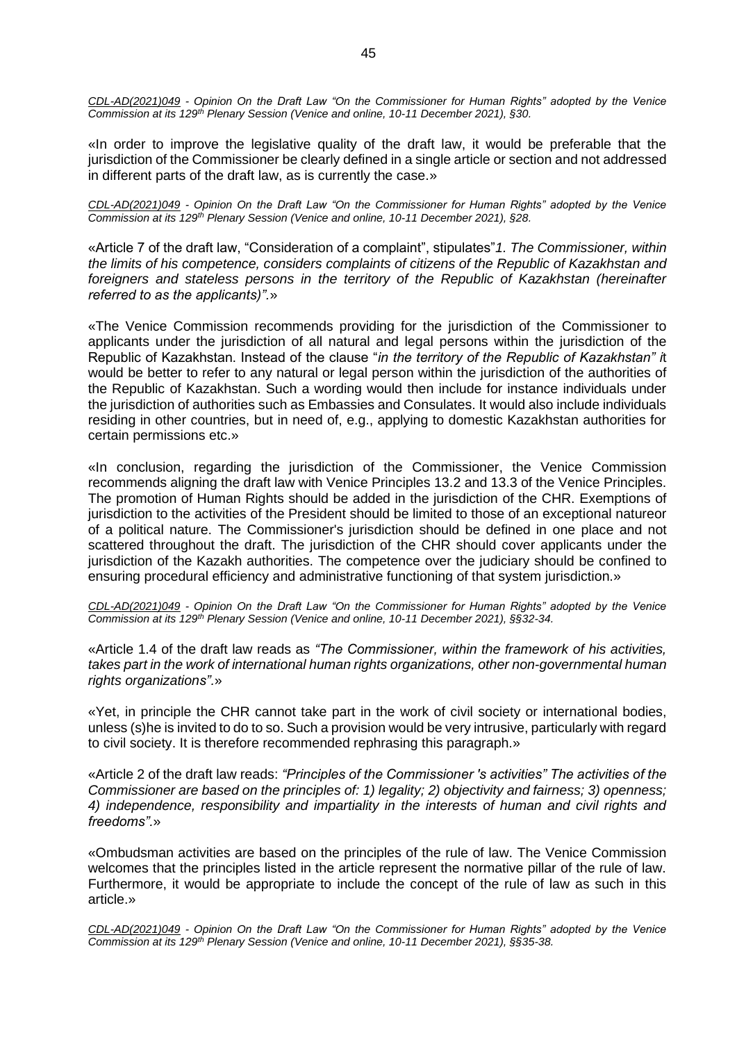*CDL-AD(2021)049 - Opinion On the Draft Law "On the Commissioner for Human Rights" adopted by the Venice Commission at its 129th Plenary Session (Venice and online, 10-11 December 2021), §30.*

«In order to improve the legislative quality of the draft law, it would be preferable that the jurisdiction of the Commissioner be clearly defined in a single article or section and not addressed in different parts of the draft law, as is currently the case.»

*CDL-AD(2021)049 - Opinion On the Draft Law "On the Commissioner for Human Rights" adopted by the Venice Commission at its 129th Plenary Session (Venice and online, 10-11 December 2021), §28.*

«Article 7 of the draft law, "Consideration of a complaint", stipulates"*1. The Commissioner, within the limits of his competence, considers complaints of citizens of the Republic of Kazakhstan and foreigners and stateless persons in the territory of the Republic of Kazakhstan (hereinafter referred to as the applicants)".*»

«The Venice Commission recommends providing for the jurisdiction of the Commissioner to applicants under the jurisdiction of all natural and legal persons within the jurisdiction of the Republic of Kazakhstan. Instead of the clause "*in the territory of the Republic of Kazakhstan" i*t would be better to refer to any natural or legal person within the jurisdiction of the authorities of the Republic of Kazakhstan. Such a wording would then include for instance individuals under the jurisdiction of authorities such as Embassies and Consulates. It would also include individuals residing in other countries, but in need of, e.g., applying to domestic Kazakhstan authorities for certain permissions etc.»

«In conclusion, regarding the jurisdiction of the Commissioner, the Venice Commission recommends aligning the draft law with Venice Principles 13.2 and 13.3 of the Venice Principles. The promotion of Human Rights should be added in the jurisdiction of the CHR. Exemptions of jurisdiction to the activities of the President should be limited to those of an exceptional natureor of a political nature. The Commissioner's jurisdiction should be defined in one place and not scattered throughout the draft. The jurisdiction of the CHR should cover applicants under the jurisdiction of the Kazakh authorities. The competence over the judiciary should be confined to ensuring procedural efficiency and administrative functioning of that system jurisdiction.»

*CDL-AD(2021)049 - Opinion On the Draft Law "On the Commissioner for Human Rights" adopted by the Venice Commission at its 129th Plenary Session (Venice and online, 10-11 December 2021), §§32-34.*

«Article 1.4 of the draft law reads as *"The Commissioner, within the framework of his activities, takes part in the work of international human rights organizations, other non-governmental human rights organizations".*»

«Yet, in principle the CHR cannot take part in the work of civil society or international bodies, unless (s)he is invited to do to so. Such a provision would be very intrusive, particularly with regard to civil society. It is therefore recommended rephrasing this paragraph.»

«Article 2 of the draft law reads: *"Principles of the Commissioner 's activities" The activities of the Commissioner are based on the principles of: 1) legality; 2) objectivity and fairness; 3) openness; 4) independence, responsibility and impartiality in the interests of human and civil rights and freedoms".*»

«Ombudsman activities are based on the principles of the rule of law. The Venice Commission welcomes that the principles listed in the article represent the normative pillar of the rule of law. Furthermore, it would be appropriate to include the concept of the rule of law as such in this article.»

*CDL-AD(2021)049 - Opinion On the Draft Law "On the Commissioner for Human Rights" adopted by the Venice Commission at its 129th Plenary Session (Venice and online, 10-11 December 2021), §§35-38.*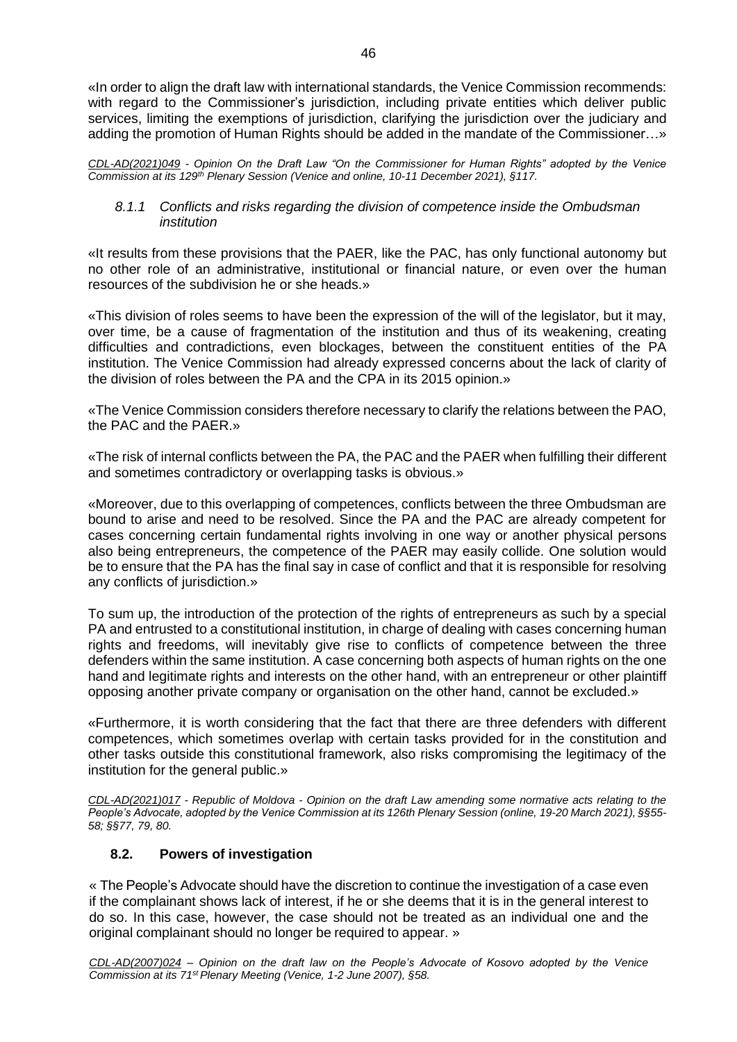«In order to align the draft law with international standards, the Venice Commission recommends: with regard to the Commissioner's jurisdiction, including private entities which deliver public services, limiting the exemptions of jurisdiction, clarifying the jurisdiction over the judiciary and adding the promotion of Human Rights should be added in the mandate of the Commissioner…»

*CDL-AD(2021)049 - Opinion On the Draft Law "On the Commissioner for Human Rights" adopted by the Venice Commission at its 129th Plenary Session (Venice and online, 10-11 December 2021), §117.*

# *8.1.1 Conflicts and risks regarding the division of competence inside the Ombudsman institution*

«It results from these provisions that the PAER, like the PAC, has only functional autonomy but no other role of an administrative, institutional or financial nature, or even over the human resources of the subdivision he or she heads.»

«This division of roles seems to have been the expression of the will of the legislator, but it may, over time, be a cause of fragmentation of the institution and thus of its weakening, creating difficulties and contradictions, even blockages, between the constituent entities of the PA institution. The Venice Commission had already expressed concerns about the lack of clarity of the division of roles between the PA and the CPA in its 2015 opinion.»

«The Venice Commission considers therefore necessary to clarify the relations between the PAO, the PAC and the PAER.»

«The risk of internal conflicts between the PA, the PAC and the PAER when fulfilling their different and sometimes contradictory or overlapping tasks is obvious.»

«Moreover, due to this overlapping of competences, conflicts between the three Ombudsman are bound to arise and need to be resolved. Since the PA and the PAC are already competent for cases concerning certain fundamental rights involving in one way or another physical persons also being entrepreneurs, the competence of the PAER may easily collide. One solution would be to ensure that the PA has the final say in case of conflict and that it is responsible for resolving any conflicts of jurisdiction.»

To sum up, the introduction of the protection of the rights of entrepreneurs as such by a special PA and entrusted to a constitutional institution, in charge of dealing with cases concerning human rights and freedoms, will inevitably give rise to conflicts of competence between the three defenders within the same institution. A case concerning both aspects of human rights on the one hand and legitimate rights and interests on the other hand, with an entrepreneur or other plaintiff opposing another private company or organisation on the other hand, cannot be excluded.»

«Furthermore, it is worth considering that the fact that there are three defenders with different competences, which sometimes overlap with certain tasks provided for in the constitution and other tasks outside this constitutional framework, also risks compromising the legitimacy of the institution for the general public.»

*CDL-AD(2021)017 - Republic of Moldova - Opinion on the draft Law amending some normative acts relating to the People's Advocate, adopted by the Venice Commission at its 126th Plenary Session (online, 19-20 March 2021), §§55- 58; §§77, 79, 80.*

# **8.2. Powers of investigation**

<span id="page-45-0"></span>« The People's Advocate should have the discretion to continue the investigation of a case even if the complainant shows lack of interest, if he or she deems that it is in the general interest to do so. In this case, however, the case should not be treated as an individual one and the original complainant should no longer be required to appear. »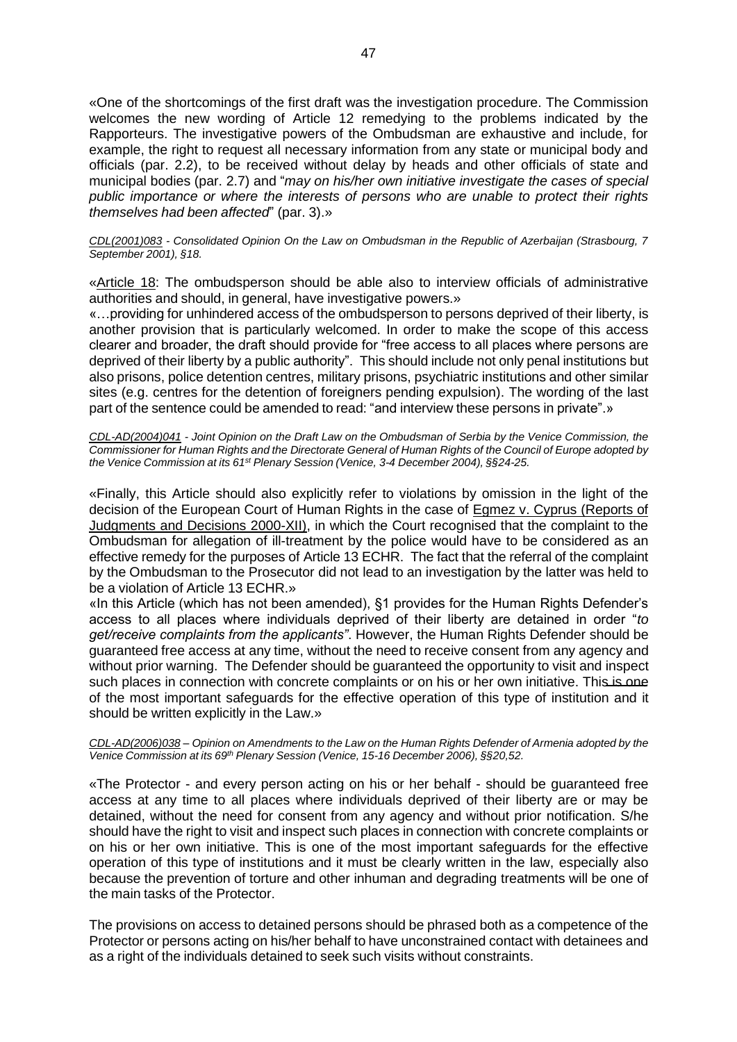«One of the shortcomings of the first draft was the investigation procedure. The Commission welcomes the new wording of Article 12 remedying to the problems indicated by the Rapporteurs. The investigative powers of the Ombudsman are exhaustive and include, for example, the right to request all necessary information from any state or municipal body and officials (par. 2.2), to be received without delay by heads and other officials of state and municipal bodies (par. 2.7) and "*may on his/her own initiative investigate the cases of special public importance or where the interests of persons who are unable to protect their rights themselves had been affected*" (par. 3).»

*CDL(2001)083 - Consolidated Opinion On the Law on Ombudsman in the Republic of Azerbaijan (Strasbourg, 7 September 2001), §18.*

«Article 18: The ombudsperson should be able also to interview officials of administrative authorities and should, in general, have investigative powers.»

«…providing for unhindered access of the ombudsperson to persons deprived of their liberty, is another provision that is particularly welcomed. In order to make the scope of this access clearer and broader, the draft should provide for "free access to all places where persons are deprived of their liberty by a public authority". This should include not only penal institutions but also prisons, police detention centres, military prisons, psychiatric institutions and other similar sites (e.g. centres for the detention of foreigners pending expulsion). The wording of the last part of the sentence could be amended to read: "and interview these persons in private".»

*[CDL-AD\(2004\)041](http://www.venice.coe.int/docs/2004/CDL-AD(2004)041-e.asp) - Joint Opinion on the Draft Law on the Ombudsman of Serbia by the Venice Commission, the* Commissioner for Human Rights and the Directorate General of Human Rights of the Council of Europe adopted by *the Venice Commission at its 61st Plenary Session (Venice, 3-4 December 2004), §§24-25.*

«Finally, this Article should also explicitly refer to violations by omission in the light of the decision of the European Court of Human Rights in the case of [Egmez v. Cyprus \(Reports of](http://cmiskp.echr.coe.int/tkp197/view.asp?action=html&documentId=696977&portal=hbkm&source=externalbydocnumber&table=1132746FF1FE2A468ACCBCD1763D4D8149) [Judgments and Decisions 2000-XII\),](http://cmiskp.echr.coe.int/tkp197/view.asp?action=html&documentId=696977&portal=hbkm&source=externalbydocnumber&table=1132746FF1FE2A468ACCBCD1763D4D8149) in which the Court recognised that the complaint to the Ombudsman for allegation of ill-treatment by the police would have to be considered as an effective remedy for the purposes of Article 13 ECHR. The fact that the referral of the complaint by the Ombudsman to the Prosecutor did not lead to an investigation by the latter was held to be a violation of Article 13 ECHR.»

«In this Article (which has not been amended), §1 provides for the Human Rights Defender's access to all places where individuals deprived of their liberty are detained in order "*to get/receive complaints from the applicants"*. However, the Human Rights Defender should be guaranteed free access at any time, without the need to receive consent from any agency and without prior warning. The Defender should be guaranteed the opportunity to visit and inspect such places in connection with concrete complaints or on his or her own initiative. This is one of the most important safeguards for the effective operation of this type of institution and it should be written explicitly in the Law.»

#### CDL-AD(2006)038 - Opinion on Amendments to the Law on the Human Rights Defender of Armenia adopted by the *Venice Commission at its 69th Plenary Session (Venice, 15-16 December 2006), §§20,52.*

«The Protector - and every person acting on his or her behalf - should be guaranteed free access at any time to all places where individuals deprived of their liberty are or may be detained, without the need for consent from any agency and without prior notification. S/he should have the right to visit and inspect such places in connection with concrete complaints or on his or her own initiative. This is one of the most important safeguards for the effective operation of this type of institutions and it must be clearly written in the law, especially also because the prevention of torture and other inhuman and degrading treatments will be one of the main tasks of the Protector.

The provisions on access to detained persons should be phrased both as a competence of the Protector or persons acting on his/her behalf to have unconstrained contact with detainees and as a right of the individuals detained to seek such visits without constraints.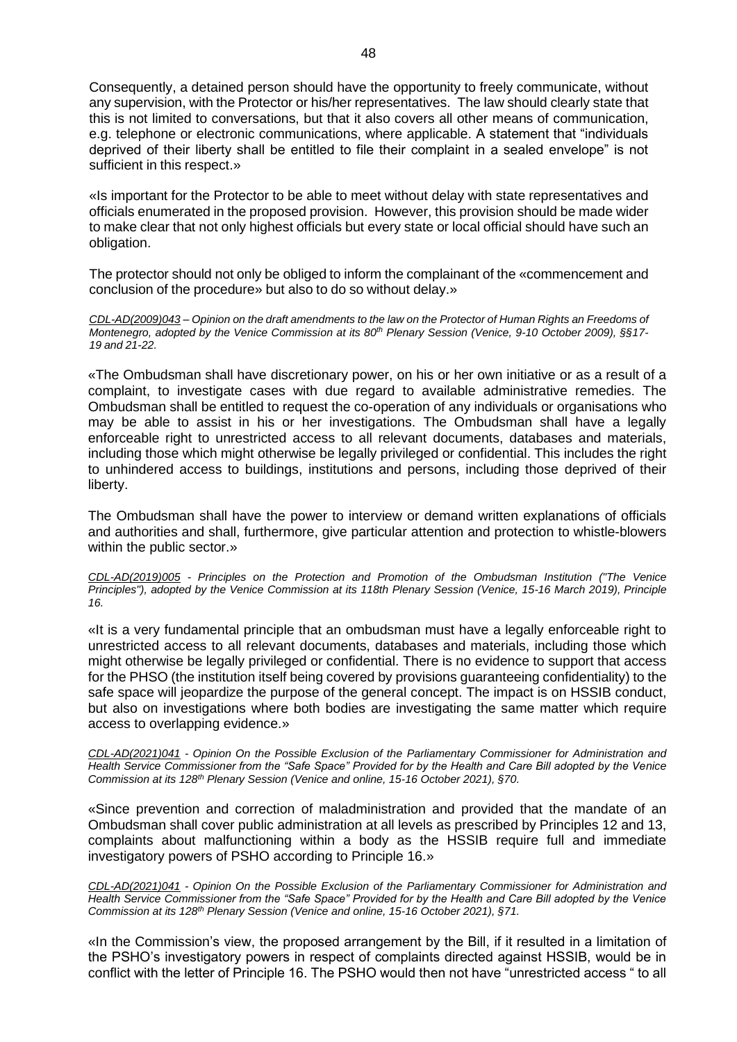Consequently, a detained person should have the opportunity to freely communicate, without any supervision, with the Protector or his/her representatives. The law should clearly state that this is not limited to conversations, but that it also covers all other means of communication, e.g. telephone or electronic communications, where applicable. A statement that "individuals deprived of their liberty shall be entitled to file their complaint in a sealed envelope" is not sufficient in this respect.»

«Is important for the Protector to be able to meet without delay with state representatives and officials enumerated in the proposed provision. However, this provision should be made wider to make clear that not only highest officials but every state or local official should have such an obligation.

The protector should not only be obliged to inform the complainant of the «commencement and conclusion of the procedure» but also to do so without delay.»

CDL-AD(2009)043 - Opinion on the draft amendments to the law on the Protector of Human Rights an Freedoms of *Montenegro, adopted by the Venice Commission at its 80th Plenary Session (Venice, 9-10 October 2009), §§17- 19 and 21-22.*

«The Ombudsman shall have discretionary power, on his or her own initiative or as a result of a complaint, to investigate cases with due regard to available administrative remedies. The Ombudsman shall be entitled to request the co-operation of any individuals or organisations who may be able to assist in his or her investigations. The Ombudsman shall have a legally enforceable right to unrestricted access to all relevant documents, databases and materials, including those which might otherwise be legally privileged or confidential. This includes the right to unhindered access to buildings, institutions and persons, including those deprived of their liberty.

The Ombudsman shall have the power to interview or demand written explanations of officials and authorities and shall, furthermore, give particular attention and protection to whistle-blowers within the public sector.»

*CDL-AD(2019)005 - Principles on the Protection and Promotion of the Ombudsman Institution ("The Venice Principles"), adopted by the Venice Commission at its 118th Plenary Session (Venice, 15-16 March 2019), Principle 16.*

«It is a very fundamental principle that an ombudsman must have a legally enforceable right to unrestricted access to all relevant documents, databases and materials, including those which might otherwise be legally privileged or confidential. There is no evidence to support that access for the PHSO (the institution itself being covered by provisions guaranteeing confidentiality) to the safe space will jeopardize the purpose of the general concept. The impact is on HSSIB conduct, but also on investigations where both bodies are investigating the same matter which require access to overlapping evidence.»

*CDL-AD(2021)041 - Opinion On the Possible Exclusion of the Parliamentary Commissioner for Administration and Health Service Commissioner from the "Safe Space" Provided for by the Health and Care Bill adopted by the Venice Commission at its 128th Plenary Session (Venice and online, 15-16 October 2021), §70.*

«Since prevention and correction of maladministration and provided that the mandate of an Ombudsman shall cover public administration at all levels as prescribed by Principles 12 and 13, complaints about malfunctioning within a body as the HSSIB require full and immediate investigatory powers of PSHO according to Principle 16.»

*CDL-AD(2021)041 - Opinion On the Possible Exclusion of the Parliamentary Commissioner for Administration and Health Service Commissioner from the "Safe Space" Provided for by the Health and Care Bill adopted by the Venice Commission at its 128th Plenary Session (Venice and online, 15-16 October 2021), §71.*

«In the Commission's view, the proposed arrangement by the Bill, if it resulted in a limitation of the PSHO's investigatory powers in respect of complaints directed against HSSIB, would be in conflict with the letter of Principle 16. The PSHO would then not have "unrestricted access " to all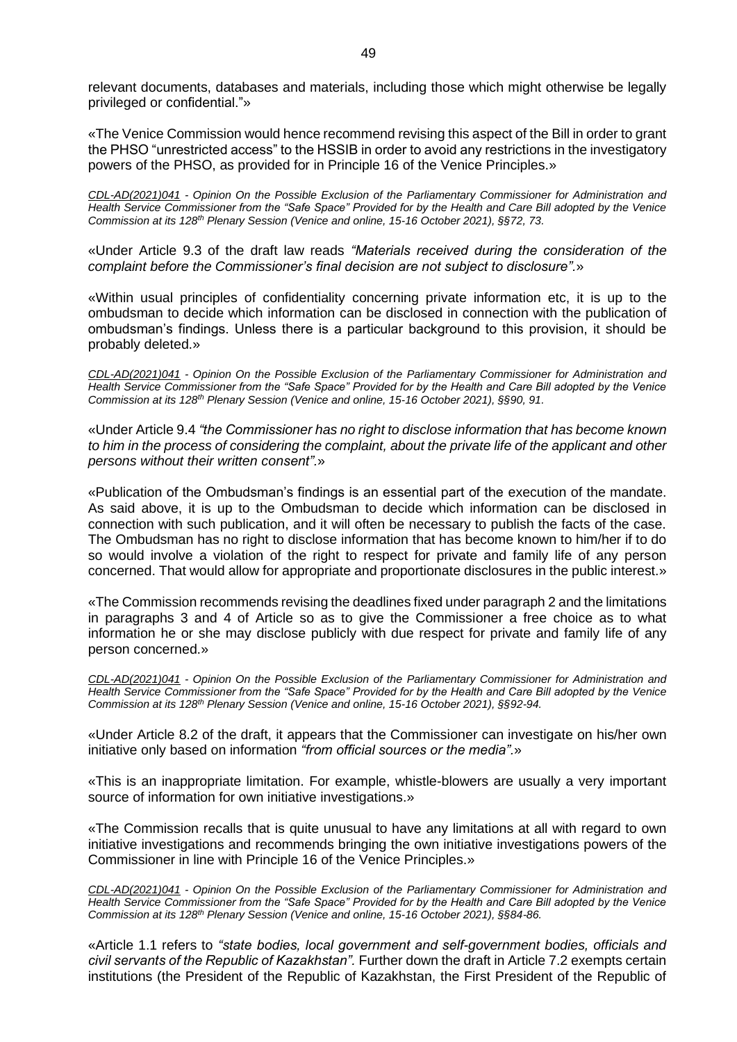relevant documents, databases and materials, including those which might otherwise be legally privileged or confidential."»

«The Venice Commission would hence recommend revising this aspect of the Bill in order to grant the PHSO "unrestricted access" to the HSSIB in order to avoid any restrictions in the investigatory powers of the PHSO, as provided for in Principle 16 of the Venice Principles.»

*CDL-AD(2021)041 - Opinion On the Possible Exclusion of the Parliamentary Commissioner for Administration and Health Service Commissioner from the "Safe Space" Provided for by the Health and Care Bill adopted by the Venice Commission at its 128th Plenary Session (Venice and online, 15-16 October 2021), §§72, 73.*

«Under Article 9.3 of the draft law reads *"Materials received during the consideration of the complaint before the Commissioner's final decision are not subject to disclosure".*»

«Within usual principles of confidentiality concerning private information etc, it is up to the ombudsman to decide which information can be disclosed in connection with the publication of ombudsman's findings. Unless there is a particular background to this provision, it should be probably deleted.»

*CDL-AD(2021)041 - Opinion On the Possible Exclusion of the Parliamentary Commissioner for Administration and Health Service Commissioner from the "Safe Space" Provided for by the Health and Care Bill adopted by the Venice Commission at its 128th Plenary Session (Venice and online, 15-16 October 2021), §§90, 91.*

«Under Article 9.4 *"the Commissioner has no right to disclose information that has become known to him in the process of considering the complaint, about the private life of the applicant and other persons without their written consent".*»

«Publication of the Ombudsman's findings is an essential part of the execution of the mandate. As said above, it is up to the Ombudsman to decide which information can be disclosed in connection with such publication, and it will often be necessary to publish the facts of the case. The Ombudsman has no right to disclose information that has become known to him/her if to do so would involve a violation of the right to respect for private and family life of any person concerned. That would allow for appropriate and proportionate disclosures in the public interest.»

«The Commission recommends revising the deadlines fixed under paragraph 2 and the limitations in paragraphs 3 and 4 of Article so as to give the Commissioner a free choice as to what information he or she may disclose publicly with due respect for private and family life of any person concerned.»

*CDL-AD(2021)041 - Opinion On the Possible Exclusion of the Parliamentary Commissioner for Administration and Health Service Commissioner from the "Safe Space" Provided for by the Health and Care Bill adopted by the Venice Commission at its 128th Plenary Session (Venice and online, 15-16 October 2021), §§92-94.*

«Under Article 8.2 of the draft, it appears that the Commissioner can investigate on his/her own initiative only based on information *"from official sources or the media".*»

«This is an inappropriate limitation. For example, whistle-blowers are usually a very important source of information for own initiative investigations.»

«The Commission recalls that is quite unusual to have any limitations at all with regard to own initiative investigations and recommends bringing the own initiative investigations powers of the Commissioner in line with Principle 16 of the Venice Principles.»

*CDL-AD(2021)041 - Opinion On the Possible Exclusion of the Parliamentary Commissioner for Administration and Health Service Commissioner from the "Safe Space" Provided for by the Health and Care Bill adopted by the Venice Commission at its 128th Plenary Session (Venice and online, 15-16 October 2021), §§84-86.*

«Article 1.1 refers to *"state bodies, local government and self-government bodies, officials and civil servants of the Republic of Kazakhstan".* Further down the draft in Article 7.2 exempts certain institutions (the President of the Republic of Kazakhstan, the First President of the Republic of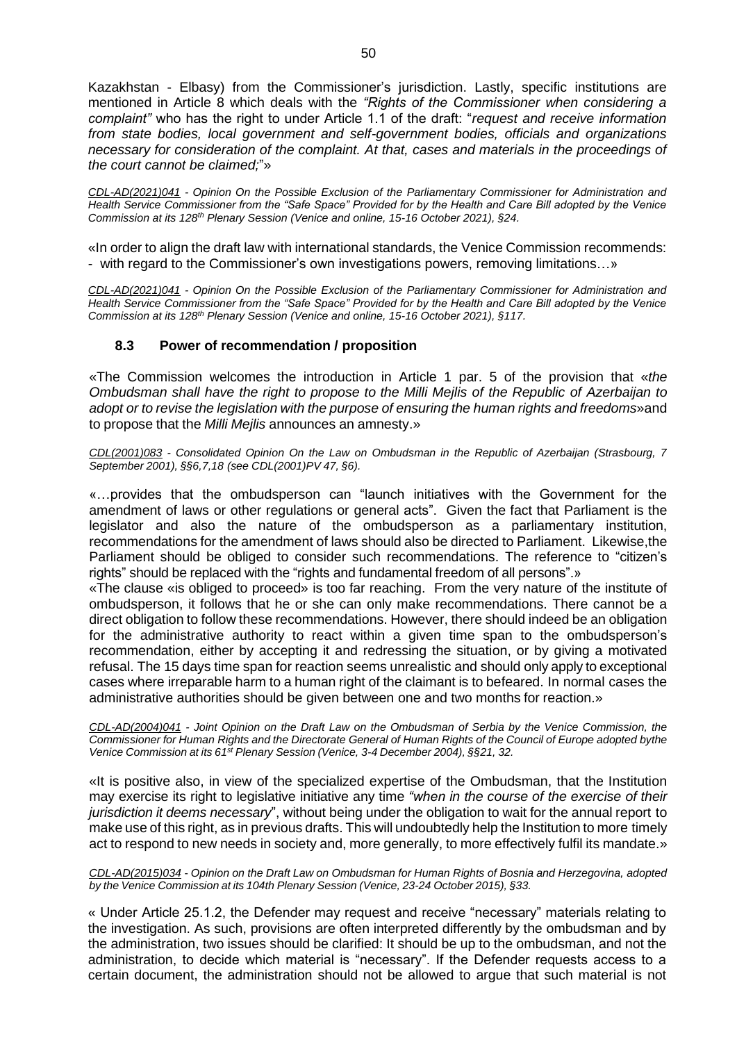Kazakhstan - Elbasy) from the Commissioner's jurisdiction. Lastly, specific institutions are mentioned in Article 8 which deals with the *"Rights of the Commissioner when considering a complaint"* who has the right to under Article 1.1 of the draft: "*request and receive information from state bodies, local government and self-government bodies, officials and organizations necessary for consideration of the complaint. At that, cases and materials in the proceedings of the court cannot be claimed;*"»

*CDL-AD(2021)041 - Opinion On the Possible Exclusion of the Parliamentary Commissioner for Administration and Health Service Commissioner from the "Safe Space" Provided for by the Health and Care Bill adopted by the Venice Commission at its 128th Plenary Session (Venice and online, 15-16 October 2021), §24.*

«In order to align the draft law with international standards, the Venice Commission recommends: - with regard to the Commissioner's own investigations powers, removing limitations…»

*CDL-AD(2021)041 - Opinion On the Possible Exclusion of the Parliamentary Commissioner for Administration and Health Service Commissioner from the "Safe Space" Provided for by the Health and Care Bill adopted by the Venice Commission at its 128th Plenary Session (Venice and online, 15-16 October 2021), §117.*

# **8.3 Power of recommendation / proposition**

<span id="page-49-0"></span>«The Commission welcomes the introduction in Article 1 par. 5 of the provision that «*the Ombudsman shall have the right to propose to the Milli Mejlis of the Republic of Azerbaijan to adopt or to revise the legislation with the purpose of ensuring the human rights and freedoms*»and to propose that the *Milli Mejlis* announces an amnesty.»

*CDL(2001)083 - Consolidated Opinion On the Law on Ombudsman in the Republic of Azerbaijan (Strasbourg, 7 September 2001), §§6,7,18 (see CDL(2001)PV 47, §6).*

«…provides that the ombudsperson can "launch initiatives with the Government for the amendment of laws or other regulations or general acts". Given the fact that Parliament is the legislator and also the nature of the ombudsperson as a parliamentary institution, recommendations for the amendment of laws should also be directed to Parliament. Likewise,the Parliament should be obliged to consider such recommendations. The reference to "citizen's rights" should be replaced with the "rights and fundamental freedom of all persons".»

«The clause «is obliged to proceed» is too far reaching. From the very nature of the institute of ombudsperson, it follows that he or she can only make recommendations. There cannot be a direct obligation to follow these recommendations. However, there should indeed be an obligation for the administrative authority to react within a given time span to the ombudsperson's recommendation, either by accepting it and redressing the situation, or by giving a motivated refusal. The 15 days time span for reaction seems unrealistic and should only apply to exceptional cases where irreparable harm to a human right of the claimant is to befeared. In normal cases the administrative authorities should be given between one and two months for reaction.»

*[CDL-AD\(2004\)041](http://www.venice.coe.int/docs/2004/CDL-AD(2004)041-e.asp) - Joint Opinion on the Draft Law on the Ombudsman of Serbia by the Venice Commission, the* Commissioner for Human Rights and the Directorate General of Human Rights of the Council of Europe adopted bythe *Venice Commission at its 61st Plenary Session (Venice, 3-4 December 2004), §§21, 32.*

«It is positive also, in view of the specialized expertise of the Ombudsman, that the Institution may exercise its right to legislative initiative any time *"when in the course of the exercise of their jurisdiction it deems necessary*", without being under the obligation to wait for the annual report to make use of this right, as in previous drafts. This will undoubtedly help the Institution to more timely act to respond to new needs in society and, more generally, to more effectively fulfil its mandate.»

*CDL-AD(2015)034* - *Opinion on the Draft Law on Ombudsman for Human Rights of Bosnia and Herzegovina, adopted by the Venice Commission at its 104th Plenary Session (Venice, 23-24 October 2015), §33.*

« Under Article 25.1.2, the Defender may request and receive "necessary" materials relating to the investigation. As such, provisions are often interpreted differently by the ombudsman and by the administration, two issues should be clarified: It should be up to the ombudsman, and not the administration, to decide which material is "necessary". If the Defender requests access to a certain document, the administration should not be allowed to argue that such material is not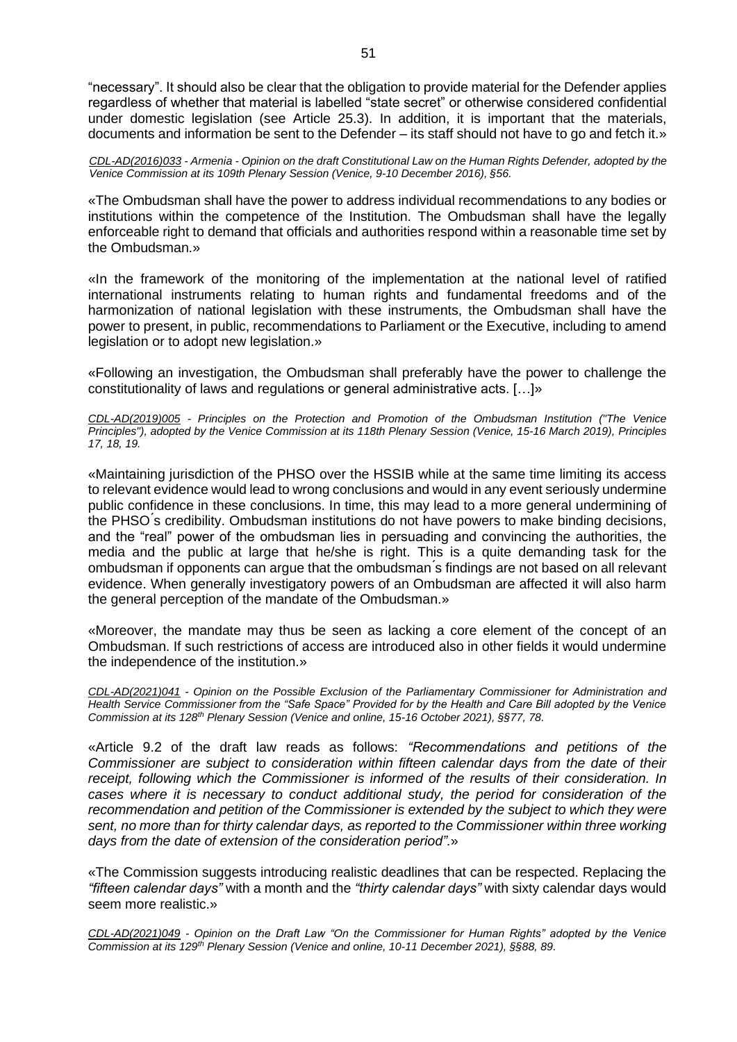"necessary". It should also be clear that the obligation to provide material for the Defender applies regardless of whether that material is labelled "state secret" or otherwise considered confidential under domestic legislation (see Article 25.3). In addition, it is important that the materials, documents and information be sent to the Defender – its staff should not have to go and fetch it.»

*CDL-AD(2016)033 - Armenia - Opinion on the draft Constitutional Law on the Human Rights Defender, adopted by the Venice Commission at its 109th Plenary Session (Venice, 9-10 December 2016), §56.*

«The Ombudsman shall have the power to address individual recommendations to any bodies or institutions within the competence of the Institution. The Ombudsman shall have the legally enforceable right to demand that officials and authorities respond within a reasonable time set by the Ombudsman.»

«In the framework of the monitoring of the implementation at the national level of ratified international instruments relating to human rights and fundamental freedoms and of the harmonization of national legislation with these instruments, the Ombudsman shall have the power to present, in public, recommendations to Parliament or the Executive, including to amend legislation or to adopt new legislation.»

«Following an investigation, the Ombudsman shall preferably have the power to challenge the constitutionality of laws and regulations or general administrative acts. […]»

*CDL-AD(2019)005 - Principles on the Protection and Promotion of the Ombudsman Institution ("The Venice Principles"), adopted by the Venice Commission at its 118th Plenary Session (Venice, 15-16 March 2019), Principles 17, 18, 19.*

«Maintaining jurisdiction of the PHSO over the HSSIB while at the same time limiting its access to relevant evidence would lead to wrong conclusions and would in any event seriously undermine public confidence in these conclusions. In time, this may lead to a more general undermining of the PHSO ́s credibility. Ombudsman institutions do not have powers to make binding decisions, and the "real" power of the ombudsman lies in persuading and convincing the authorities, the media and the public at large that he/she is right. This is a quite demanding task for the ombudsman if opponents can argue that the ombudsman ́s findings are not based on all relevant evidence. When generally investigatory powers of an Ombudsman are affected it will also harm the general perception of the mandate of the Ombudsman.»

«Moreover, the mandate may thus be seen as lacking a core element of the concept of an Ombudsman. If such restrictions of access are introduced also in other fields it would undermine the independence of the institution.»

*CDL-AD(2021)041 - Opinion on the Possible Exclusion of the Parliamentary Commissioner for Administration and Health Service Commissioner from the "Safe Space" Provided for by the Health and Care Bill adopted by the Venice Commission at its 128th Plenary Session (Venice and online, 15-16 October 2021), §§77, 78.*

«Article 9.2 of the draft law reads as follows: *"Recommendations and petitions of the Commissioner are subject to consideration within fifteen calendar days from the date of their receipt, following which the Commissioner is informed of the results of their consideration. In cases where it is necessary to conduct additional study, the period for consideration of the recommendation and petition of the Commissioner is extended by the subject to which they were sent, no more than for thirty calendar days, as reported to the Commissioner within three working days from the date of extension of the consideration period".*»

«The Commission suggests introducing realistic deadlines that can be respected. Replacing the *"fifteen calendar days"* with a month and the *"thirty calendar days"* with sixty calendar days would seem more realistic.»

*CDL-AD(2021)049 - Opinion on the Draft Law "On the Commissioner for Human Rights" adopted by the Venice Commission at its 129th Plenary Session (Venice and online, 10-11 December 2021), §§88, 89.*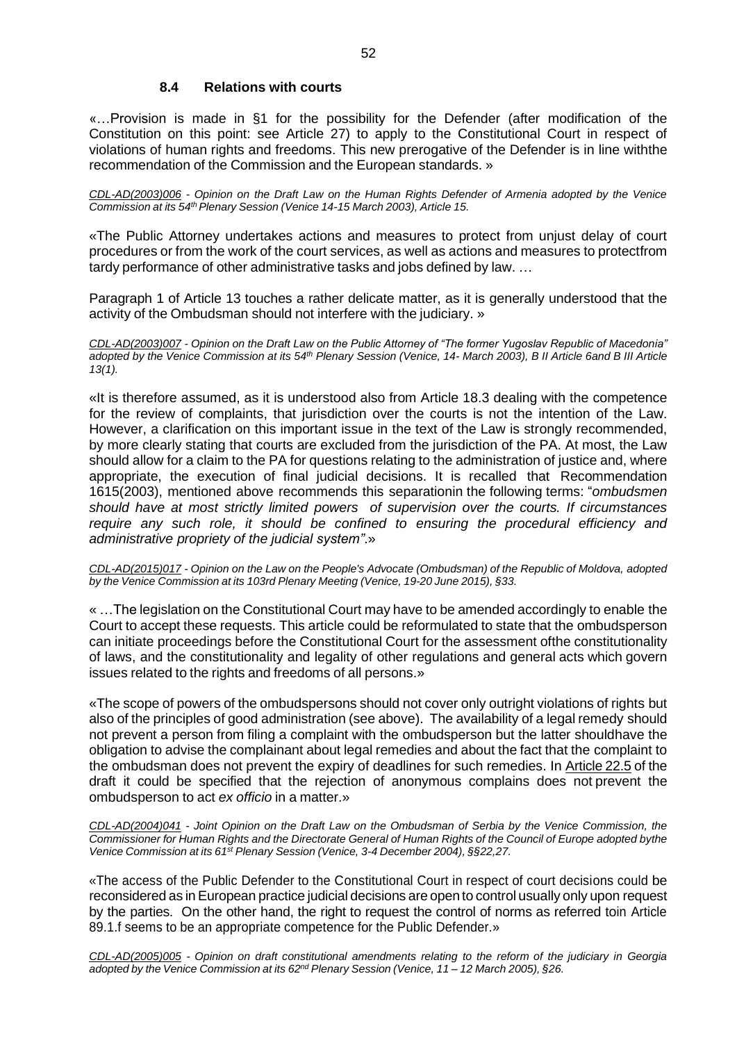# <span id="page-51-0"></span>**8.4 Relations with courts**

«…Provision is made in §1 for the possibility for the Defender (after modification of the Constitution on this point: see Article 27) to apply to the Constitutional Court in respect of violations of human rights and freedoms. This new prerogative of the Defender is in line withthe recommendation of the Commission and the European standards. »

*CDL-AD(2003)006 - Opinion on the Draft Law on the Human Rights Defender of Armenia adopted by the Venice Commission at its 54thPlenary Session (Venice 14-15 March 2003), Article 15.*

«The Public Attorney undertakes actions and measures to protect from unjust delay of court procedures or from the work of the court services, as well as actions and measures to protectfrom tardy performance of other administrative tasks and jobs defined by law. …

Paragraph 1 of Article 13 touches a rather delicate matter, as it is generally understood that the activity of the Ombudsman should not interfere with the judiciary. »

*CDL-AD(2003)007 - Opinion on the Draft Law on the Public Attorney of "The former Yugoslav Republic of Macedonia"* adopted by the Venice Commission at its 54<sup>th</sup> Plenary Session (Venice, 14- March 2003), B II Article 6and B III Article *13(1).*

«It is therefore assumed, as it is understood also from Article 18.3 dealing with the competence for the review of complaints, that jurisdiction over the courts is not the intention of the Law. However, a clarification on this important issue in the text of the Law is strongly recommended, by more clearly stating that courts are excluded from the jurisdiction of the PA. At most, the Law should allow for a claim to the PA for questions relating to the administration of justice and, where appropriate, the execution of final judicial decisions. It is recalled that Recommendation 1615(2003), mentioned above recommends this separationin the following terms: "*ombudsmen should have at most strictly limited powers of supervision over the courts. If circumstances require any such role, it should be confined to ensuring the procedural efficiency and administrative propriety of the judicial system"*.»

*CDL-AD(2015)017 - Opinion on the Law on the People's Advocate (Ombudsman) of the Republic of Moldova, adopted by the Venice Commission at its 103rd Plenary Meeting (Venice, 19-20 June 2015), §33.*

« …The legislation on the Constitutional Court may have to be amended accordingly to enable the Court to accept these requests. This article could be reformulated to state that the ombudsperson can initiate proceedings before the Constitutional Court for the assessment ofthe constitutionality of laws, and the constitutionality and legality of other regulations and general acts which govern issues related to the rights and freedoms of all persons.»

«The scope of powers of the ombudspersons should not cover only outright violations of rights but also of the principles of good administration (see above). The availability of a legal remedy should not prevent a person from filing a complaint with the ombudsperson but the latter shouldhave the obligation to advise the complainant about legal remedies and about the fact that the complaint to the ombudsman does not prevent the expiry of deadlines for such remedies. In Article 22.5 of the draft it could be specified that the rejection of anonymous complains does not prevent the ombudsperson to act *ex officio* in a matter.»

*[CDL-AD\(2004\)041](http://www.venice.coe.int/docs/2004/CDL-AD(2004)041-e.asp) - Joint Opinion on the Draft Law on the Ombudsman of Serbia by the Venice Commission, the* Commissioner for Human Rights and the Directorate General of Human Rights of the Council of Europe adopted bythe *Venice Commission at its 61st Plenary Session (Venice, 3-4 December 2004), §§22,27.*

«The access of the Public Defender to the Constitutional Court in respect of court decisions could be reconsidered as in European practice judicial decisions are open to control usually only upon request by the parties. On the other hand, the right to request the control of norms as referred toin Article 89.1.f seems to be an appropriate competence for the Public Defender.»

*[CDL-AD\(2005\)005](http://venice.coe.int/docs/2005/CDL-AD(2005)005-e.asp) - Opinion on draft constitutional amendments relating to the reform of the judiciary in Georgia adopted by the Venice Commission at its 62nd Plenary Session (Venice, 11 – 12 March 2005), §26.*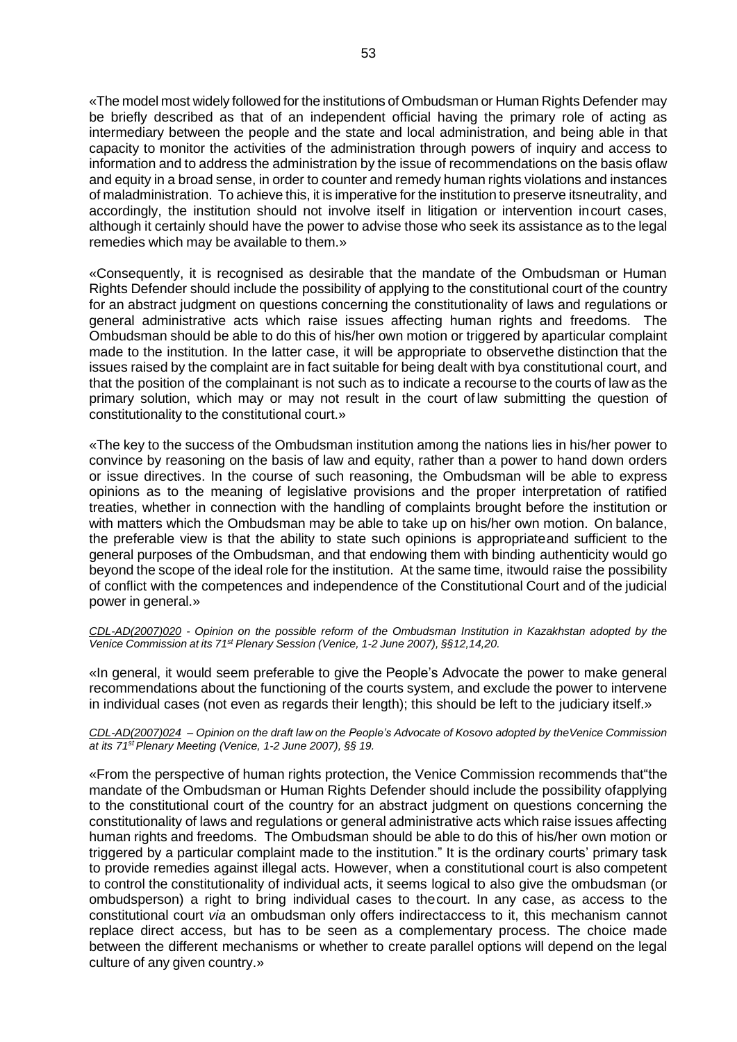«The model most widely followed for the institutions of Ombudsman or Human Rights Defender may be briefly described as that of an independent official having the primary role of acting as intermediary between the people and the state and local administration, and being able in that capacity to monitor the activities of the administration through powers of inquiry and access to information and to address the administration by the issue of recommendations on the basis oflaw and equity in a broad sense, in order to counter and remedy human rights violations and instances of maladministration. To achieve this, it is imperative for the institution to preserve itsneutrality, and accordingly, the institution should not involve itself in litigation or intervention incourt cases, although it certainly should have the power to advise those who seek its assistance as to the legal remedies which may be available to them.»

«Consequently, it is recognised as desirable that the mandate of the Ombudsman or Human Rights Defender should include the possibility of applying to the constitutional court of the country for an abstract judgment on questions concerning the constitutionality of laws and regulations or general administrative acts which raise issues affecting human rights and freedoms. The Ombudsman should be able to do this of his/her own motion or triggered by aparticular complaint made to the institution. In the latter case, it will be appropriate to observethe distinction that the issues raised by the complaint are in fact suitable for being dealt with bya constitutional court, and that the position of the complainant is not such as to indicate a recourse to the courts of law as the primary solution, which may or may not result in the court of law submitting the question of constitutionality to the constitutional court.»

«The key to the success of the Ombudsman institution among the nations lies in his/her power to convince by reasoning on the basis of law and equity, rather than a power to hand down orders or issue directives. In the course of such reasoning, the Ombudsman will be able to express opinions as to the meaning of legislative provisions and the proper interpretation of ratified treaties, whether in connection with the handling of complaints brought before the institution or with matters which the Ombudsman may be able to take up on his/her own motion. On balance, the preferable view is that the ability to state such opinions is appropriateand sufficient to the general purposes of the Ombudsman, and that endowing them with binding authenticity would go beyond the scope of the ideal role for the institution. At the same time, itwould raise the possibility of conflict with the competences and independence of the Constitutional Court and of the judicial power in general.»

*CDL-AD(2007)020 - Opinion on the possible reform of the Ombudsman Institution in Kazakhstan adopted by the Venice Commission at its 71st Plenary Session (Venice, 1-2 June 2007), §§12,14,20.*

«In general, it would seem preferable to give the People's Advocate the power to make general recommendations about the functioning of the courts system, and exclude the power to intervene in individual cases (not even as regards their length); this should be left to the judiciary itself.»

#### CDL-AD(2007)024 - Opinion on the draft law on the People's Advocate of Kosovo adopted by the Venice Commission *at its 71stPlenary Meeting (Venice, 1-2 June 2007), §§ 19.*

«From the perspective of human rights protection, the Venice Commission recommends that"the mandate of the Ombudsman or Human Rights Defender should include the possibility ofapplying to the constitutional court of the country for an abstract judgment on questions concerning the constitutionality of laws and regulations or general administrative acts which raise issues affecting human rights and freedoms. The Ombudsman should be able to do this of his/her own motion or triggered by a particular complaint made to the institution." It is the ordinary courts' primary task to provide remedies against illegal acts. However, when a constitutional court is also competent to control the constitutionality of individual acts, it seems logical to also give the ombudsman (or ombudsperson) a right to bring individual cases to thecourt. In any case, as access to the constitutional court *via* an ombudsman only offers indirectaccess to it, this mechanism cannot replace direct access, but has to be seen as a complementary process. The choice made between the different mechanisms or whether to create parallel options will depend on the legal culture of any given country.»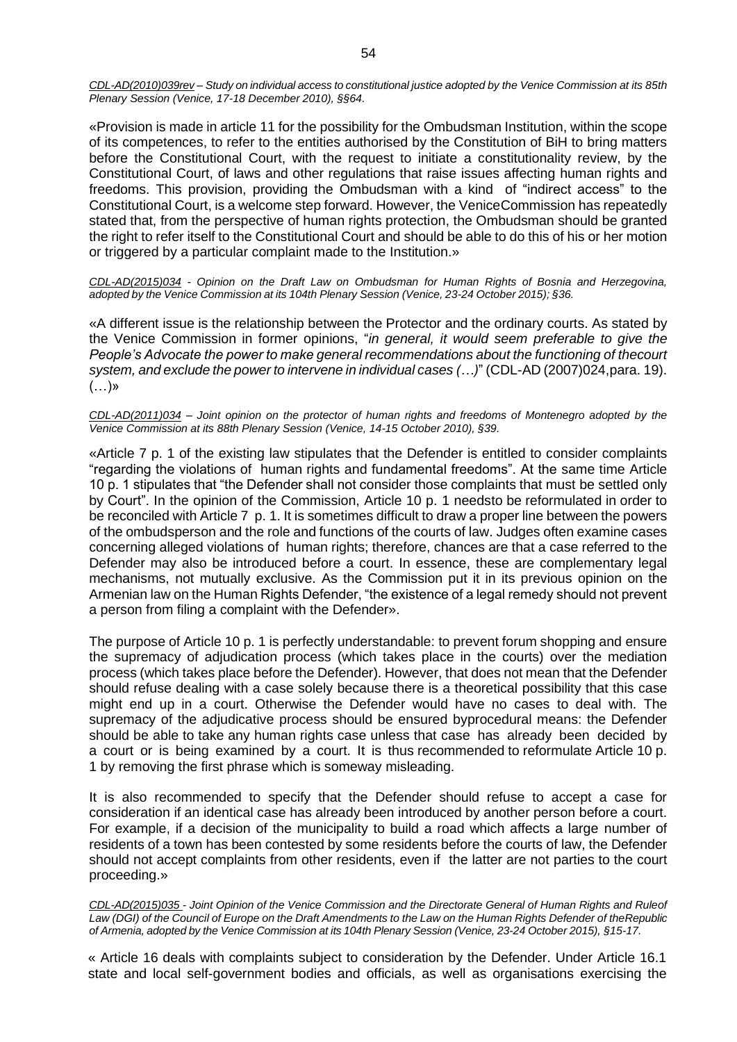CDL-AD(2010)039rev - Study on individual access to constitutional justice adopted by the Venice Commission at its 85th *Plenary Session (Venice, 17-18 December 2010), §§64.*

«Provision is made in article 11 for the possibility for the Ombudsman Institution, within the scope of its competences, to refer to the entities authorised by the Constitution of BiH to bring matters before the Constitutional Court, with the request to initiate a constitutionality review, by the Constitutional Court, of laws and other regulations that raise issues affecting human rights and freedoms. This provision, providing the Ombudsman with a kind of "indirect access" to the Constitutional Court, is a welcome step forward. However, the VeniceCommission has repeatedly stated that, from the perspective of human rights protection, the Ombudsman should be granted the right to refer itself to the Constitutional Court and should be able to do this of his or her motion or triggered by a particular complaint made to the Institution.»

*CDL-AD(2015)034 - Opinion on the Draft Law on Ombudsman for Human Rights of Bosnia and Herzegovina, adopted by the Venice Commission at its 104th Plenary Session (Venice, 23-24 October 2015); §36.*

«A different issue is the relationship between the Protector and the ordinary courts. As stated by the Venice Commission in former opinions, "*in general, it would seem preferable to give the People's Advocate the power to make general recommendations about the functioning of thecourt system, and exclude the power to intervene in individual cases (…)*" (CDL-AD (2007)024,para. 19).  $(...)$ »

CDL-AD(2011)034 – Joint opinion on the protector of human rights and freedoms of Montenegro adopted by the *Venice Commission at its 88th Plenary Session (Venice, 14-15 October 2010), §39.*

«Article 7 p. 1 of the existing law stipulates that the Defender is entitled to consider complaints "regarding the violations of human rights and fundamental freedoms". At the same time Article 10 p. 1 stipulates that "the Defender shall not consider those complaints that must be settled only by Court". In the opinion of the Commission, Article 10 p. 1 needsto be reformulated in order to be reconciled with Article 7 p. 1. It is sometimes difficult to draw a proper line between the powers of the ombudsperson and the role and functions of the courts of law. Judges often examine cases concerning alleged violations of human rights; therefore, chances are that a case referred to the Defender may also be introduced before a court. In essence, these are complementary legal mechanisms, not mutually exclusive. As the Commission put it in its previous opinion on the Armenian law on the Human Rights Defender, "the existence of a legal remedy should not prevent a person from filing a complaint with the Defender».

The purpose of Article 10 p. 1 is perfectly understandable: to prevent forum shopping and ensure the supremacy of adjudication process (which takes place in the courts) over the mediation process (which takes place before the Defender). However, that does not mean that the Defender should refuse dealing with a case solely because there is a theoretical possibility that this case might end up in a court. Otherwise the Defender would have no cases to deal with. The supremacy of the adjudicative process should be ensured byprocedural means: the Defender should be able to take any human rights case unless that case has already been decided by a court or is being examined by a court. It is thus recommended to reformulate Article 10 p. 1 by removing the first phrase which is someway misleading.

It is also recommended to specify that the Defender should refuse to accept a case for consideration if an identical case has already been introduced by another person before a court. For example, if a decision of the municipality to build a road which affects a large number of residents of a town has been contested by some residents before the courts of law, the Defender should not accept complaints from other residents, even if the latter are not parties to the court proceeding.»

CDL-AD(2015)035 - Joint Opinion of the Venice Commission and the Directorate General of Human Rights and Ruleof *Law (DGI) of the Council of Europe on the Draft Amendments to the Law on the Human Rights Defender of theRepublic* of Armenia, adopted by the Venice Commission at its 104th Plenary Session (Venice, 23-24 October 2015), §15-17.

« Article 16 deals with complaints subject to consideration by the Defender. Under Article 16.1 state and local self-government bodies and officials, as well as organisations exercising the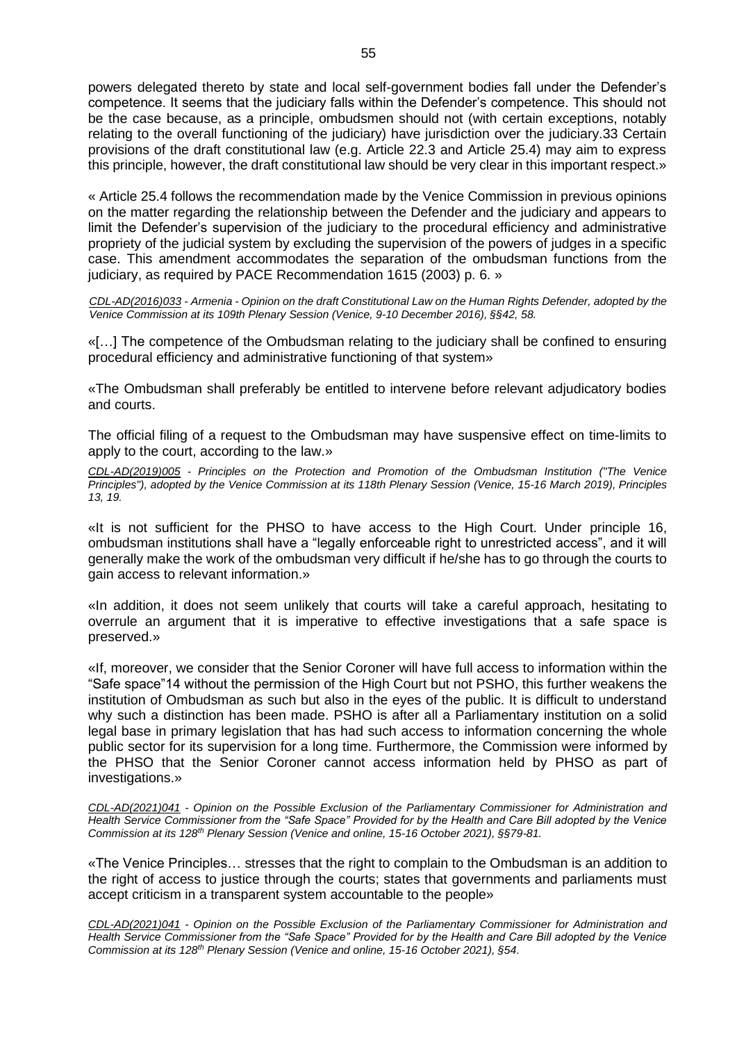powers delegated thereto by state and local self-government bodies fall under the Defender's competence. It seems that the judiciary falls within the Defender's competence. This should not be the case because, as a principle, ombudsmen should not (with certain exceptions, notably relating to the overall functioning of the judiciary) have jurisdiction over the judiciary.33 Certain provisions of the draft constitutional law (e.g. Article 22.3 and Article 25.4) may aim to express this principle, however, the draft constitutional law should be very clear in this important respect.»

« Article 25.4 follows the recommendation made by the Venice Commission in previous opinions on the matter regarding the relationship between the Defender and the judiciary and appears to limit the Defender's supervision of the judiciary to the procedural efficiency and administrative propriety of the judicial system by excluding the supervision of the powers of judges in a specific case. This amendment accommodates the separation of the ombudsman functions from the judiciary, as required by PACE Recommendation 1615 (2003) p. 6. »

*CDL-AD(2016)033 - Armenia - Opinion on the draft Constitutional Law on the Human Rights Defender, adopted by the Venice Commission at its 109th Plenary Session (Venice, 9-10 December 2016), §§42, 58.*

«[…] The competence of the Ombudsman relating to the judiciary shall be confined to ensuring procedural efficiency and administrative functioning of that system»

«The Ombudsman shall preferably be entitled to intervene before relevant adjudicatory bodies and courts.

The official filing of a request to the Ombudsman may have suspensive effect on time-limits to apply to the court, according to the law.»

*CDL-AD(2019)005 - Principles on the Protection and Promotion of the Ombudsman Institution ("The Venice Principles"), adopted by the Venice Commission at its 118th Plenary Session (Venice, 15-16 March 2019), Principles 13, 19.*

«It is not sufficient for the PHSO to have access to the High Court. Under principle 16, ombudsman institutions shall have a "legally enforceable right to unrestricted access", and it will generally make the work of the ombudsman very difficult if he/she has to go through the courts to gain access to relevant information.»

«In addition, it does not seem unlikely that courts will take a careful approach, hesitating to overrule an argument that it is imperative to effective investigations that a safe space is preserved.»

«If, moreover, we consider that the Senior Coroner will have full access to information within the "Safe space"14 without the permission of the High Court but not PSHO, this further weakens the institution of Ombudsman as such but also in the eyes of the public. It is difficult to understand why such a distinction has been made. PSHO is after all a Parliamentary institution on a solid legal base in primary legislation that has had such access to information concerning the whole public sector for its supervision for a long time. Furthermore, the Commission were informed by the PHSO that the Senior Coroner cannot access information held by PHSO as part of investigations.»

*CDL-AD(2021)041 - Opinion on the Possible Exclusion of the Parliamentary Commissioner for Administration and Health Service Commissioner from the "Safe Space" Provided for by the Health and Care Bill adopted by the Venice Commission at its 128th Plenary Session (Venice and online, 15-16 October 2021), §§79-81.*

«The Venice Principles… stresses that the right to complain to the Ombudsman is an addition to the right of access to justice through the courts; states that governments and parliaments must accept criticism in a transparent system accountable to the people»

*CDL-AD(2021)041 - Opinion on the Possible Exclusion of the Parliamentary Commissioner for Administration and Health Service Commissioner from the "Safe Space" Provided for by the Health and Care Bill adopted by the Venice Commission at its 128th Plenary Session (Venice and online, 15-16 October 2021), §54.*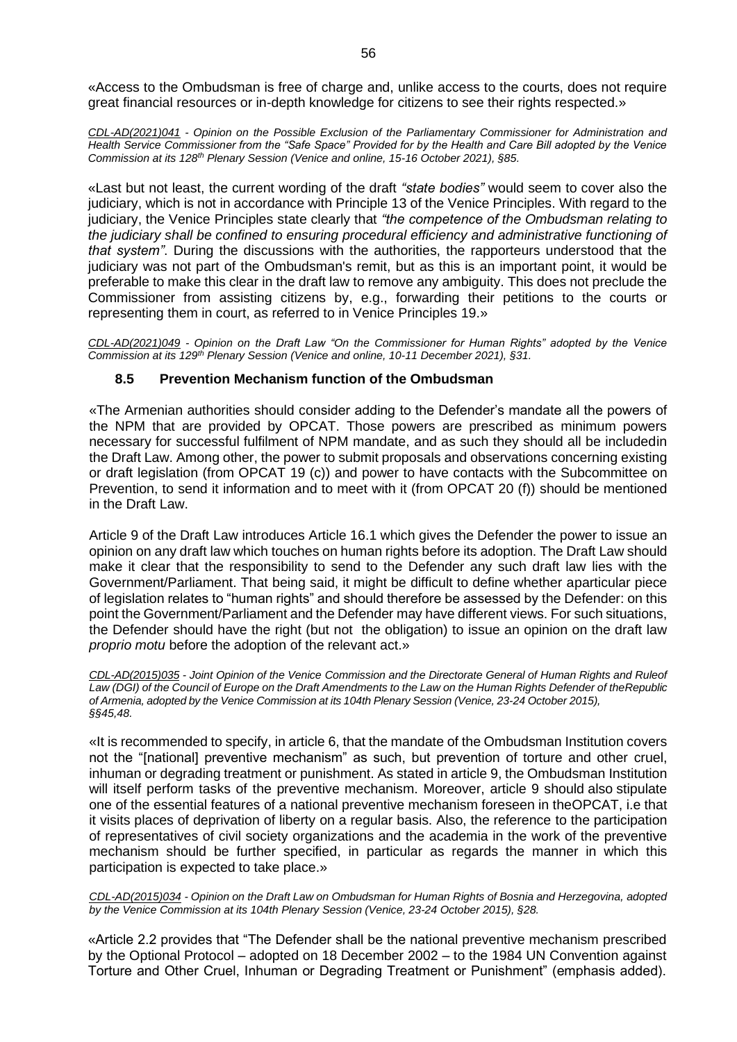«Access to the Ombudsman is free of charge and, unlike access to the courts, does not require great financial resources or in-depth knowledge for citizens to see their rights respected.»

*CDL-AD(2021)041 - Opinion on the Possible Exclusion of the Parliamentary Commissioner for Administration and Health Service Commissioner from the "Safe Space" Provided for by the Health and Care Bill adopted by the Venice Commission at its 128th Plenary Session (Venice and online, 15-16 October 2021), §85.*

«Last but not least, the current wording of the draft *"state bodies"* would seem to cover also the judiciary, which is not in accordance with Principle 13 of the Venice Principles. With regard to the judiciary, the Venice Principles state clearly that *"the competence of the Ombudsman relating to the judiciary shall be confined to ensuring procedural efficiency and administrative functioning of that system"*. During the discussions with the authorities, the rapporteurs understood that the judiciary was not part of the Ombudsman's remit, but as this is an important point, it would be preferable to make this clear in the draft law to remove any ambiguity. This does not preclude the Commissioner from assisting citizens by, e.g., forwarding their petitions to the courts or representing them in court, as referred to in Venice Principles 19.»

<span id="page-55-0"></span>*CDL-AD(2021)049 - Opinion on the Draft Law "On the Commissioner for Human Rights" adopted by the Venice Commission at its 129th Plenary Session (Venice and online, 10-11 December 2021), §31.*

# **8.5 Prevention Mechanism function of the Ombudsman**

«The Armenian authorities should consider adding to the Defender's mandate all the powers of the NPM that are provided by OPCAT. Those powers are prescribed as minimum powers necessary for successful fulfilment of NPM mandate, and as such they should all be includedin the Draft Law. Among other, the power to submit proposals and observations concerning existing or draft legislation (from OPCAT 19 (c)) and power to have contacts with the Subcommittee on Prevention, to send it information and to meet with it (from OPCAT 20 (f)) should be mentioned in the Draft Law.

Article 9 of the Draft Law introduces Article 16.1 which gives the Defender the power to issue an opinion on any draft law which touches on human rights before its adoption. The Draft Law should make it clear that the responsibility to send to the Defender any such draft law lies with the Government/Parliament. That being said, it might be difficult to define whether aparticular piece of legislation relates to "human rights" and should therefore be assessed by the Defender: on this point the Government/Parliament and the Defender may have different views. For such situations, the Defender should have the right (but not the obligation) to issue an opinion on the draft law *proprio motu* before the adoption of the relevant act.»

CDL-AD(2015)035 - Joint Opinion of the Venice Commission and the Directorate General of Human Rights and Ruleof *Law (DGI) of the Council of Europe on the Draft Amendments to the Law on the Human Rights Defender of theRepublic of Armenia, adopted by the Venice Commission at its 104th Plenary Session (Venice, 23-24 October 2015), §§45,48.*

«It is recommended to specify, in article 6, that the mandate of the Ombudsman Institution covers not the "[national] preventive mechanism" as such, but prevention of torture and other cruel, inhuman or degrading treatment or punishment. As stated in article 9, the Ombudsman Institution will itself perform tasks of the preventive mechanism. Moreover, article 9 should also stipulate one of the essential features of a national preventive mechanism foreseen in theOPCAT, i.e that it visits places of deprivation of liberty on a regular basis. Also, the reference to the participation of representatives of civil society organizations and the academia in the work of the preventive mechanism should be further specified, in particular as regards the manner in which this participation is expected to take place.»

*CDL-AD(2015)034 - Opinion on the Draft Law on Ombudsman for Human Rights of Bosnia and Herzegovina, adopted by the Venice Commission at its 104th Plenary Session (Venice, 23-24 October 2015), §28.*

«Article 2.2 provides that "The Defender shall be the national preventive mechanism prescribed by the Optional Protocol – adopted on 18 December 2002 – to the 1984 UN Convention against Torture and Other Cruel, Inhuman or Degrading Treatment or Punishment" (emphasis added).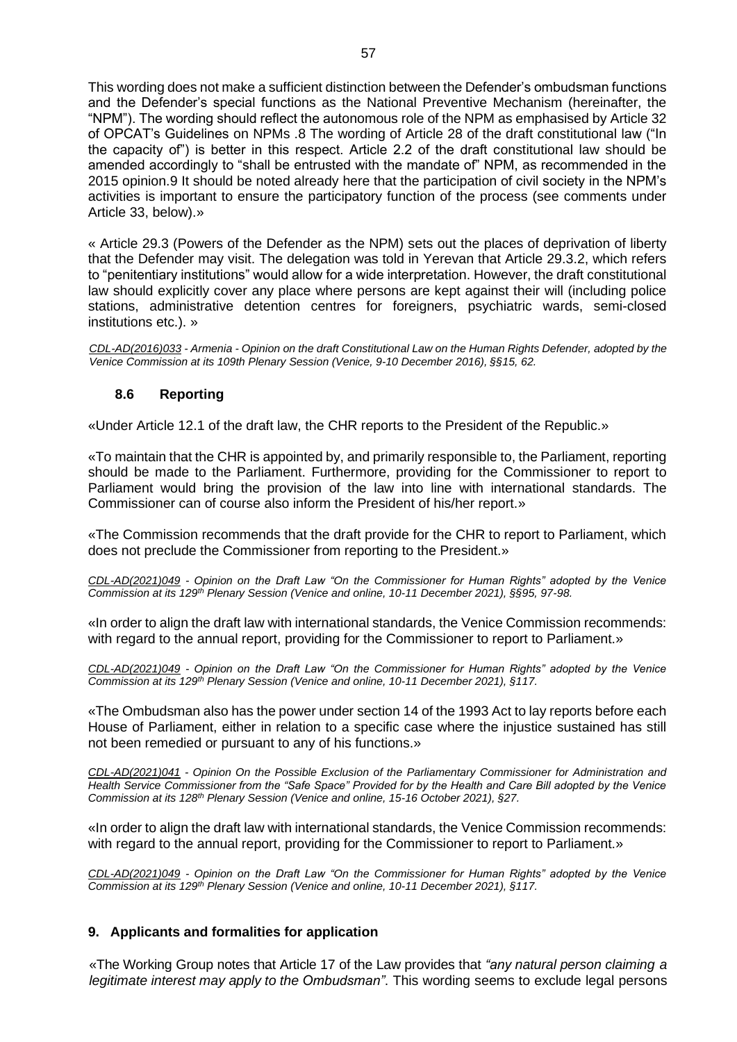This wording does not make a sufficient distinction between the Defender's ombudsman functions and the Defender's special functions as the National Preventive Mechanism (hereinafter, the "NPM"). The wording should reflect the autonomous role of the NPM as emphasised by Article 32 of OPCAT's Guidelines on NPMs .8 The wording of Article 28 of the draft constitutional law ("In the capacity of") is better in this respect. Article 2.2 of the draft constitutional law should be amended accordingly to "shall be entrusted with the mandate of" NPM, as recommended in the 2015 opinion.9 It should be noted already here that the participation of civil society in the NPM's activities is important to ensure the participatory function of the process (see comments under Article 33, below).»

« Article 29.3 (Powers of the Defender as the NPM) sets out the places of deprivation of liberty that the Defender may visit. The delegation was told in Yerevan that Article 29.3.2, which refers to "penitentiary institutions" would allow for a wide interpretation. However, the draft constitutional law should explicitly cover any place where persons are kept against their will (including police stations, administrative detention centres for foreigners, psychiatric wards, semi-closed institutions etc.). »

*CDL-AD(2016)033 - Armenia - Opinion on the draft Constitutional Law on the Human Rights Defender, adopted by the Venice Commission at its 109th Plenary Session (Venice, 9-10 December 2016), §§15, 62.*

# **8.6 Reporting**

<span id="page-56-0"></span>«Under Article 12.1 of the draft law, the CHR reports to the President of the Republic.»

«To maintain that the CHR is appointed by, and primarily responsible to, the Parliament, reporting should be made to the Parliament. Furthermore, providing for the Commissioner to report to Parliament would bring the provision of the law into line with international standards. The Commissioner can of course also inform the President of his/her report.»

«The Commission recommends that the draft provide for the CHR to report to Parliament, which does not preclude the Commissioner from reporting to the President.»

*CDL-AD(2021)049 - Opinion on the Draft Law "On the Commissioner for Human Rights" adopted by the Venice Commission at its 129th Plenary Session (Venice and online, 10-11 December 2021), §§95, 97-98.*

«In order to align the draft law with international standards, the Venice Commission recommends: with regard to the annual report, providing for the Commissioner to report to Parliament.»

*CDL-AD(2021)049 - Opinion on the Draft Law "On the Commissioner for Human Rights" adopted by the Venice Commission at its 129th Plenary Session (Venice and online, 10-11 December 2021), §117.*

«The Ombudsman also has the power under section 14 of the 1993 Act to lay reports before each House of Parliament, either in relation to a specific case where the injustice sustained has still not been remedied or pursuant to any of his functions.»

*CDL-AD(2021)041 - Opinion On the Possible Exclusion of the Parliamentary Commissioner for Administration and Health Service Commissioner from the "Safe Space" Provided for by the Health and Care Bill adopted by the Venice Commission at its 128th Plenary Session (Venice and online, 15-16 October 2021), §27.*

«In order to align the draft law with international standards, the Venice Commission recommends: with regard to the annual report, providing for the Commissioner to report to Parliament.»

*CDL-AD(2021)049 - Opinion on the Draft Law "On the Commissioner for Human Rights" adopted by the Venice Commission at its 129th Plenary Session (Venice and online, 10-11 December 2021), §117.*

# <span id="page-56-1"></span>**9. Applicants and formalities for application**

«The Working Group notes that Article 17 of the Law provides that *"any natural person claiming a legitimate interest may apply to the Ombudsman"*. This wording seems to exclude legal persons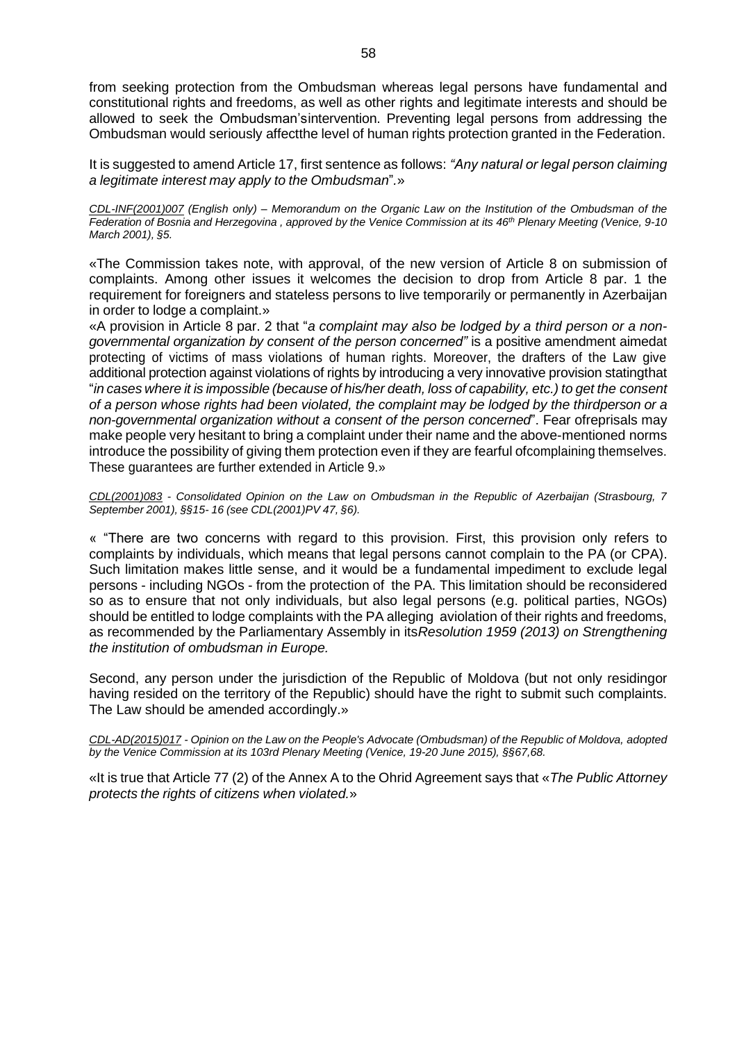from seeking protection from the Ombudsman whereas legal persons have fundamental and constitutional rights and freedoms, as well as other rights and legitimate interests and should be allowed to seek the Ombudsman'sintervention. Preventing legal persons from addressing the Ombudsman would seriously affectthe level of human rights protection granted in the Federation.

It is suggested to amend Article 17, first sentence as follows: *"Any natural or legal person claiming a legitimate interest may apply to the Ombudsman*"*.*»

CDL-INF(2001)007 (English only) - Memorandum on the Organic Law on the Institution of the Ombudsman of the Federation of Bosnia and Herzegovina, approved by the Venice Commission at its 46<sup>th</sup> Plenary Meeting (Venice, 9-10 *March 2001), §5.*

«The Commission takes note, with approval, of the new version of Article 8 on submission of complaints. Among other issues it welcomes the decision to drop from Article 8 par. 1 the requirement for foreigners and stateless persons to live temporarily or permanently in Azerbaijan in order to lodge a complaint.»

«A provision in Article 8 par. 2 that "*a complaint may also be lodged by a third person or a nongovernmental organization by consent of the person concerned"* is a positive amendment aimedat protecting of victims of mass violations of human rights. Moreover, the drafters of the Law give additional protection against violations of rights by introducing a very innovative provision statingthat "in cases where it is impossible (because of his/her death, loss of capability, etc.) to get the consent *of a person whose rights had been violated, the complaint may be lodged by the thirdperson or a non-governmental organization without a consent of the person concerned*". Fear ofreprisals may make people very hesitant to bring a complaint under their name and the above-mentioned norms introduce the possibility of giving them protection even if they are fearful ofcomplaining themselves. These guarantees are further extended in Article 9.»

*CDL(2001)083 - Consolidated Opinion on the Law on Ombudsman in the Republic of Azerbaijan (Strasbourg, 7 September 2001), §§15- 16 (see CDL(2001)PV 47, §6).*

« "There are two concerns with regard to this provision. First, this provision only refers to complaints by individuals, which means that legal persons cannot complain to the PA (or CPA). Such limitation makes little sense, and it would be a fundamental impediment to exclude legal persons - including NGOs - from the protection of the PA. This limitation should be reconsidered so as to ensure that not only individuals, but also legal persons (e.g. political parties, NGOs) should be entitled to lodge complaints with the PA alleging aviolation of their rights and freedoms, as recommended by the Parliamentary Assembly in its*Resolution 1959 (2013) on Strengthening the institution of ombudsman in Europe.*

Second, any person under the jurisdiction of the Republic of Moldova (but not only residingor having resided on the territory of the Republic) should have the right to submit such complaints. The Law should be amended accordingly.»

*CDL-AD(2015)017 - Opinion on the Law on the People's Advocate (Ombudsman) of the Republic of Moldova, adopted by the Venice Commission at its 103rd Plenary Meeting (Venice, 19-20 June 2015), §§67,68.*

«It is true that Article 77 (2) of the Annex A to the Ohrid Agreement says that «*The Public Attorney protects the rights of citizens when violated.*»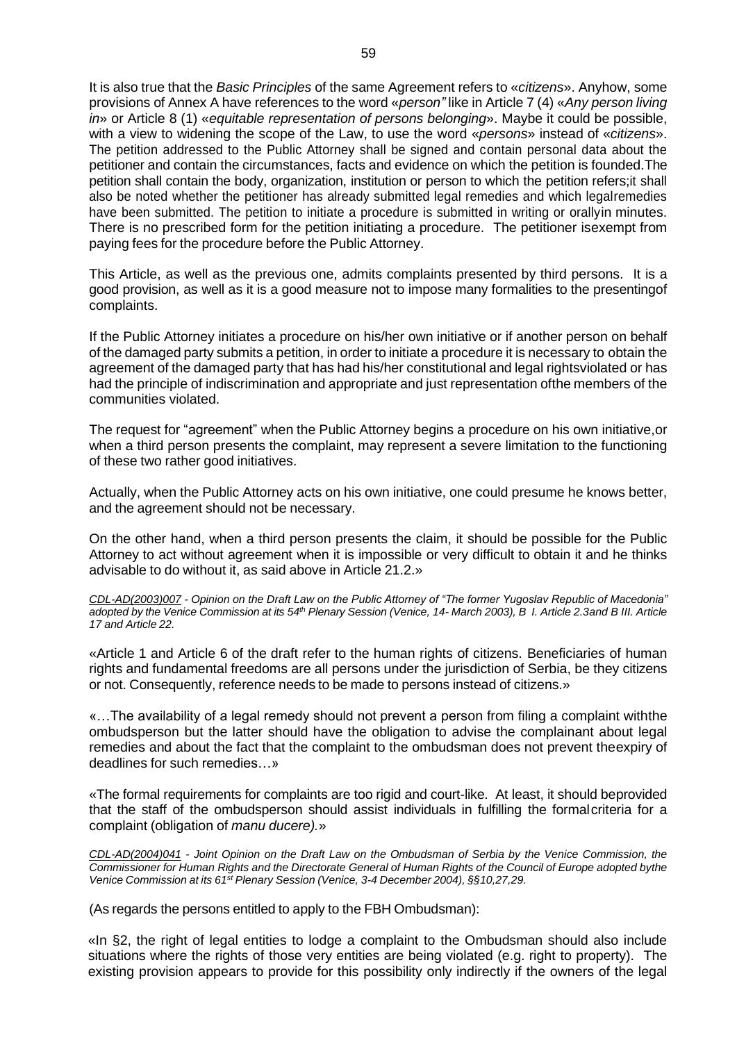It is also true that the *Basic Principles* of the same Agreement refers to «*citizens*». Anyhow, some provisions of Annex A have references to the word «*person"* like in Article 7 (4) «*Any person living in*» or Article 8 (1) «*equitable representation of persons belonging*». Maybe it could be possible, with a view to widening the scope of the Law, to use the word «*persons*» instead of «*citizens*». The petition addressed to the Public Attorney shall be signed and contain personal data about the petitioner and contain the circumstances, facts and evidence on which the petition is founded.The petition shall contain the body, organization, institution or person to which the petition refers;it shall also be noted whether the petitioner has already submitted legal remedies and which legalremedies have been submitted. The petition to initiate a procedure is submitted in writing or orallyin minutes. There is no prescribed form for the petition initiating a procedure. The petitioner isexempt from paying fees for the procedure before the Public Attorney.

This Article, as well as the previous one, admits complaints presented by third persons. It is a good provision, as well as it is a good measure not to impose many formalities to the presentingof complaints.

If the Public Attorney initiates a procedure on his/her own initiative or if another person on behalf of the damaged party submits a petition, in order to initiate a procedure it is necessary to obtain the agreement of the damaged party that has had his/her constitutional and legal rightsviolated or has had the principle of indiscrimination and appropriate and just representation ofthe members of the communities violated.

The request for "agreement" when the Public Attorney begins a procedure on his own initiative,or when a third person presents the complaint, may represent a severe limitation to the functioning of these two rather good initiatives.

Actually, when the Public Attorney acts on his own initiative, one could presume he knows better, and the agreement should not be necessary.

On the other hand, when a third person presents the claim, it should be possible for the Public Attorney to act without agreement when it is impossible or very difficult to obtain it and he thinks advisable to do without it, as said above in Article 21.2.»

*CDL-AD(2003)007 - Opinion on the Draft Law on the Public Attorney of "The former Yugoslav Republic of Macedonia"* adopted by the Venice Commission at its 54<sup>th</sup> Plenary Session (Venice, 14- March 2003), B I. Article 2.3and B III. Article *17 and Article 22.*

«Article 1 and Article 6 of the draft refer to the human rights of citizens. Beneficiaries of human rights and fundamental freedoms are all persons under the jurisdiction of Serbia, be they citizens or not. Consequently, reference needs to be made to persons instead of citizens.»

«…The availability of a legal remedy should not prevent a person from filing a complaint withthe ombudsperson but the latter should have the obligation to advise the complainant about legal remedies and about the fact that the complaint to the ombudsman does not prevent theexpiry of deadlines for such remedies…»

«The formal requirements for complaints are too rigid and court-like. At least, it should beprovided that the staff of the ombudsperson should assist individuals in fulfilling the formalcriteria for a complaint (obligation of *manu ducere).*»

*[CDL-AD\(2004\)041](http://www.venice.coe.int/docs/2004/CDL-AD(2004)041-e.asp) - Joint Opinion on the Draft Law on the Ombudsman of Serbia by the Venice Commission, the* Commissioner for Human Rights and the Directorate General of Human Rights of the Council of Europe adopted bythe *Venice Commission at its 61st Plenary Session (Venice, 3-4 December 2004), §§10,27,29.*

(As regards the persons entitled to apply to the FBH Ombudsman):

«In §2, the right of legal entities to lodge a complaint to the Ombudsman should also include situations where the rights of those very entities are being violated (e.g. right to property). The existing provision appears to provide for this possibility only indirectly if the owners of the legal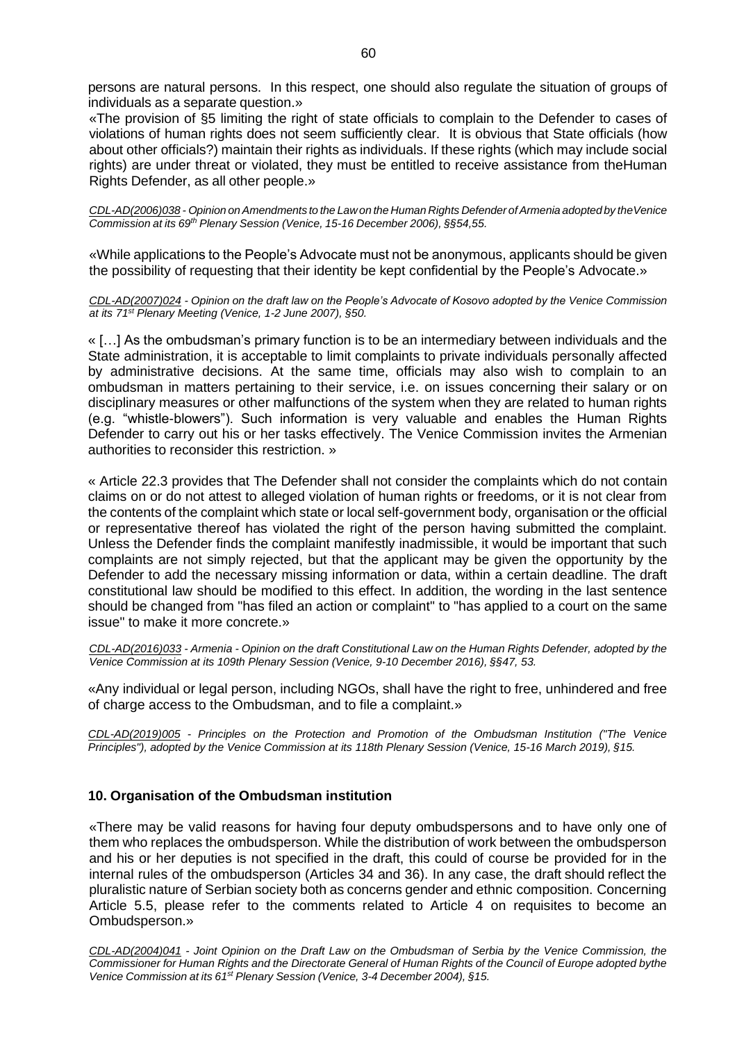persons are natural persons. In this respect, one should also regulate the situation of groups of individuals as a separate question.»

«The provision of §5 limiting the right of state officials to complain to the Defender to cases of violations of human rights does not seem sufficiently clear. It is obvious that State officials (how about other officials?) maintain their rights as individuals. If these rights (which may include social rights) are under threat or violated, they must be entitled to receive assistance from theHuman Rights Defender, as all other people.»

*CDL-AD(2006)038 - Opinion onAmendments to the Law on the Human Rights Defender ofArmenia adopted by theVenice Commission at its 69th Plenary Session (Venice, 15-16 December 2006), §§54,55.*

«While applications to the People's Advocate must not be anonymous, applicants should be given the possibility of requesting that their identity be kept confidential by the People's Advocate.»

*CDL-AD(2007)024 - Opinion on the draft law on the People's Advocate of Kosovo adopted by the Venice Commission at its 71st Plenary Meeting (Venice, 1-2 June 2007), §50.*

« […] As the ombudsman's primary function is to be an intermediary between individuals and the State administration, it is acceptable to limit complaints to private individuals personally affected by administrative decisions. At the same time, officials may also wish to complain to an ombudsman in matters pertaining to their service, i.e. on issues concerning their salary or on disciplinary measures or other malfunctions of the system when they are related to human rights (e.g. "whistle-blowers"). Such information is very valuable and enables the Human Rights Defender to carry out his or her tasks effectively. The Venice Commission invites the Armenian authorities to reconsider this restriction. »

« Article 22.3 provides that The Defender shall not consider the complaints which do not contain claims on or do not attest to alleged violation of human rights or freedoms, or it is not clear from the contents of the complaint which state or local self-government body, organisation or the official or representative thereof has violated the right of the person having submitted the complaint. Unless the Defender finds the complaint manifestly inadmissible, it would be important that such complaints are not simply rejected, but that the applicant may be given the opportunity by the Defender to add the necessary missing information or data, within a certain deadline. The draft constitutional law should be modified to this effect. In addition, the wording in the last sentence should be changed from "has filed an action or complaint" to "has applied to a court on the same issue" to make it more concrete.»

*CDL-AD(2016)033 - Armenia - Opinion on the draft Constitutional Law on the Human Rights Defender, adopted by the Venice Commission at its 109th Plenary Session (Venice, 9-10 December 2016), §§47, 53.*

«Any individual or legal person, including NGOs, shall have the right to free, unhindered and free of charge access to the Ombudsman, and to file a complaint.»

*CDL-AD(2019)005 - Principles on the Protection and Promotion of the Ombudsman Institution ("The Venice Principles"), adopted by the Venice Commission at its 118th Plenary Session (Venice, 15-16 March 2019), §15.*

# <span id="page-59-0"></span>**10. Organisation of the Ombudsman institution**

«There may be valid reasons for having four deputy ombudspersons and to have only one of them who replaces the ombudsperson. While the distribution of work between the ombudsperson and his or her deputies is not specified in the draft, this could of course be provided for in the internal rules of the ombudsperson (Articles 34 and 36). In any case, the draft should reflect the pluralistic nature of Serbian society both as concerns gender and ethnic composition. Concerning Article 5.5, please refer to the comments related to Article 4 on requisites to become an Ombudsperson.»

*[CDL-AD\(2004\)041](http://www.venice.coe.int/docs/2004/CDL-AD(2004)041-e.asp) - Joint Opinion on the Draft Law on the Ombudsman of Serbia by the Venice Commission, the* Commissioner for Human Rights and the Directorate General of Human Rights of the Council of Europe adopted bythe *Venice Commission at its 61st Plenary Session (Venice, 3-4 December 2004), §15.*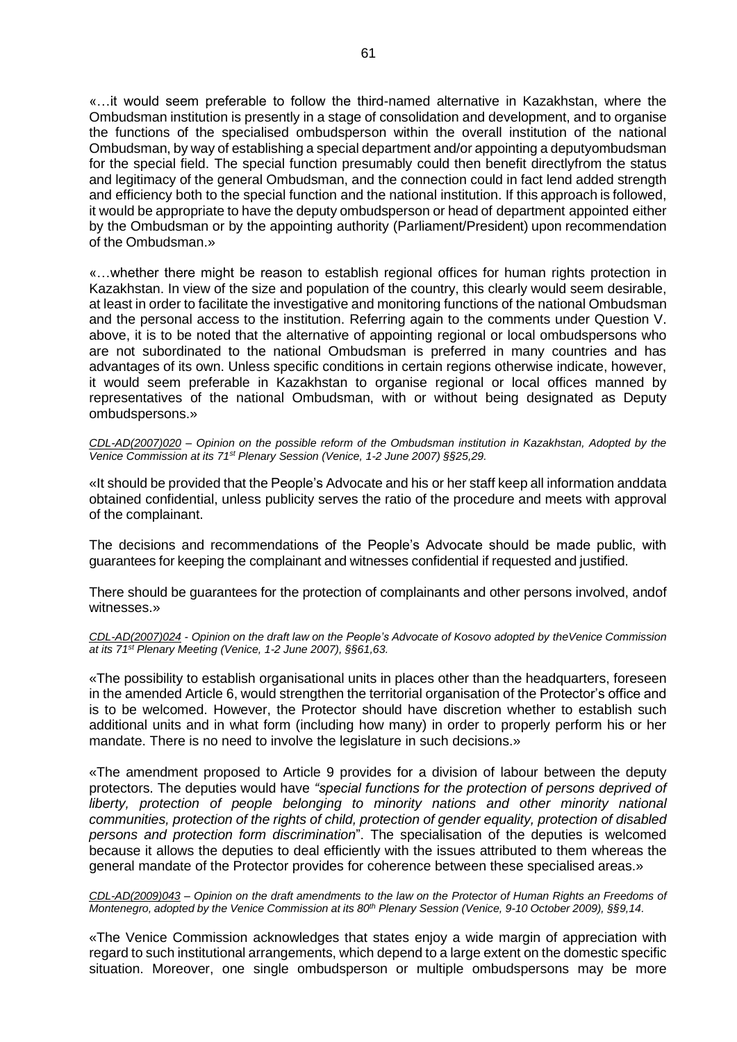«…it would seem preferable to follow the third-named alternative in Kazakhstan, where the Ombudsman institution is presently in a stage of consolidation and development, and to organise the functions of the specialised ombudsperson within the overall institution of the national Ombudsman, by way of establishing a special department and/or appointing a deputyombudsman for the special field. The special function presumably could then benefit directlyfrom the status and legitimacy of the general Ombudsman, and the connection could in fact lend added strength and efficiency both to the special function and the national institution. If this approach is followed, it would be appropriate to have the deputy ombudsperson or head of department appointed either by the Ombudsman or by the appointing authority (Parliament/President) upon recommendation of the Ombudsman.»

«…whether there might be reason to establish regional offices for human rights protection in Kazakhstan. In view of the size and population of the country, this clearly would seem desirable, at least in order to facilitate the investigative and monitoring functions of the national Ombudsman and the personal access to the institution. Referring again to the comments under Question V. above, it is to be noted that the alternative of appointing regional or local ombudspersons who are not subordinated to the national Ombudsman is preferred in many countries and has advantages of its own. Unless specific conditions in certain regions otherwise indicate, however, it would seem preferable in Kazakhstan to organise regional or local offices manned by representatives of the national Ombudsman, with or without being designated as Deputy ombudspersons.»

*CDL-AD(2007)020 – Opinion on the possible reform of the Ombudsman institution in Kazakhstan, Adopted by the Venice Commission at its 71st Plenary Session (Venice, 1-2 June 2007) §§25,29.*

«It should be provided that the People's Advocate and his or her staff keep all information anddata obtained confidential, unless publicity serves the ratio of the procedure and meets with approval of the complainant.

The decisions and recommendations of the People's Advocate should be made public, with guarantees for keeping the complainant and witnesses confidential if requested and justified.

There should be guarantees for the protection of complainants and other persons involved, andof witnesses.»

CDL-AD(2007)024 - Opinion on the draft law on the People's Advocate of Kosovo adopted by the Venice Commission *at its 71st Plenary Meeting (Venice, 1-2 June 2007), §§61,63.*

«The possibility to establish organisational units in places other than the headquarters, foreseen in the amended Article 6, would strengthen the territorial organisation of the Protector's office and is to be welcomed. However, the Protector should have discretion whether to establish such additional units and in what form (including how many) in order to properly perform his or her mandate. There is no need to involve the legislature in such decisions.»

«The amendment proposed to Article 9 provides for a division of labour between the deputy protectors. The deputies would have *"special functions for the protection of persons deprived of liberty, protection of people belonging to minority nations and other minority national communities, protection of the rights of child, protection of gender equality, protection of disabled persons and protection form discrimination*". The specialisation of the deputies is welcomed because it allows the deputies to deal efficiently with the issues attributed to them whereas the general mandate of the Protector provides for coherence between these specialised areas.»

CDL-AD(2009)043 - Opinion on the draft amendments to the law on the Protector of Human Rights an Freedoms of Montenegro, adopted by the Venice Commission at its 80<sup>th</sup> Plenary Session (Venice, 9-10 October 2009), §§9,14.

«The Venice Commission acknowledges that states enjoy a wide margin of appreciation with regard to such institutional arrangements, which depend to a large extent on the domestic specific situation. Moreover, one single ombudsperson or multiple ombudspersons may be more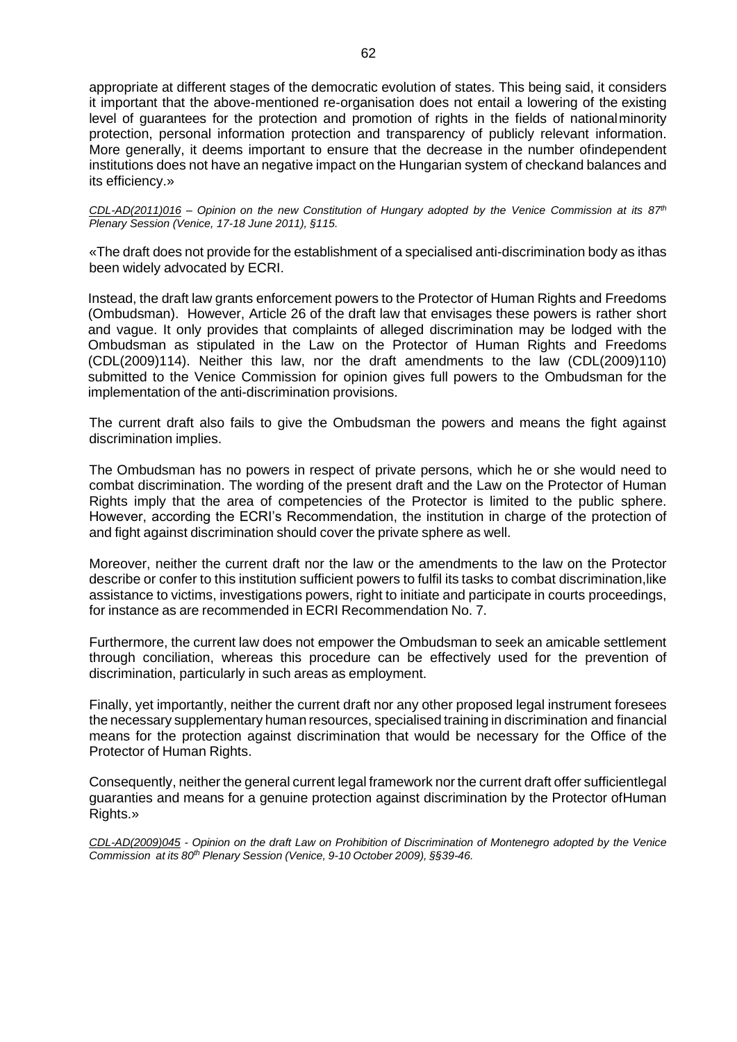appropriate at different stages of the democratic evolution of states. This being said, it considers it important that the above-mentioned re-organisation does not entail a lowering of the existing level of guarantees for the protection and promotion of rights in the fields of nationalminority protection, personal information protection and transparency of publicly relevant information. More generally, it deems important to ensure that the decrease in the number ofindependent institutions does not have an negative impact on the Hungarian system of checkand balances and its efficiency.»

CDL-AD(2011)016 - Opinion on the new Constitution of Hungary adopted by the Venice Commission at its  $87<sup>th</sup>$ *Plenary Session (Venice, 17-18 June 2011), §115.*

«The draft does not provide for the establishment of a specialised anti-discrimination body as ithas been widely advocated by ECRI.

Instead, the draft law grants enforcement powers to the Protector of Human Rights and Freedoms (Ombudsman). However, Article 26 of the draft law that envisages these powers is rather short and vague. It only provides that complaints of alleged discrimination may be lodged with the Ombudsman as stipulated in the Law on the Protector of Human Rights and Freedoms (CDL(2009)114). Neither this law, nor the draft amendments to the law (CDL(2009)110) submitted to the Venice Commission for opinion gives full powers to the Ombudsman for the implementation of the anti-discrimination provisions.

The current draft also fails to give the Ombudsman the powers and means the fight against discrimination implies.

The Ombudsman has no powers in respect of private persons, which he or she would need to combat discrimination. The wording of the present draft and the Law on the Protector of Human Rights imply that the area of competencies of the Protector is limited to the public sphere. However, according the ECRI's Recommendation, the institution in charge of the protection of and fight against discrimination should cover the private sphere as well.

Moreover, neither the current draft nor the law or the amendments to the law on the Protector describe or confer to this institution sufficient powers to fulfil its tasks to combat discrimination,like assistance to victims, investigations powers, right to initiate and participate in courts proceedings, for instance as are recommended in ECRI Recommendation No. 7.

Furthermore, the current law does not empower the Ombudsman to seek an amicable settlement through conciliation, whereas this procedure can be effectively used for the prevention of discrimination, particularly in such areas as employment.

Finally, yet importantly, neither the current draft nor any other proposed legal instrument foresees the necessary supplementary human resources, specialised training in discrimination and financial means for the protection against discrimination that would be necessary for the Office of the Protector of Human Rights.

Consequently, neither the general current legal framework nor the current draft offer sufficientlegal guaranties and means for a genuine protection against discrimination by the Protector ofHuman Rights.»

CDL-AD(2009)045 - Opinion on the draft Law on Prohibition of Discrimination of Montenegro adopted by the Venice *Commission at its 80th Plenary Session (Venice, 9-10 October 2009), §§39-46.*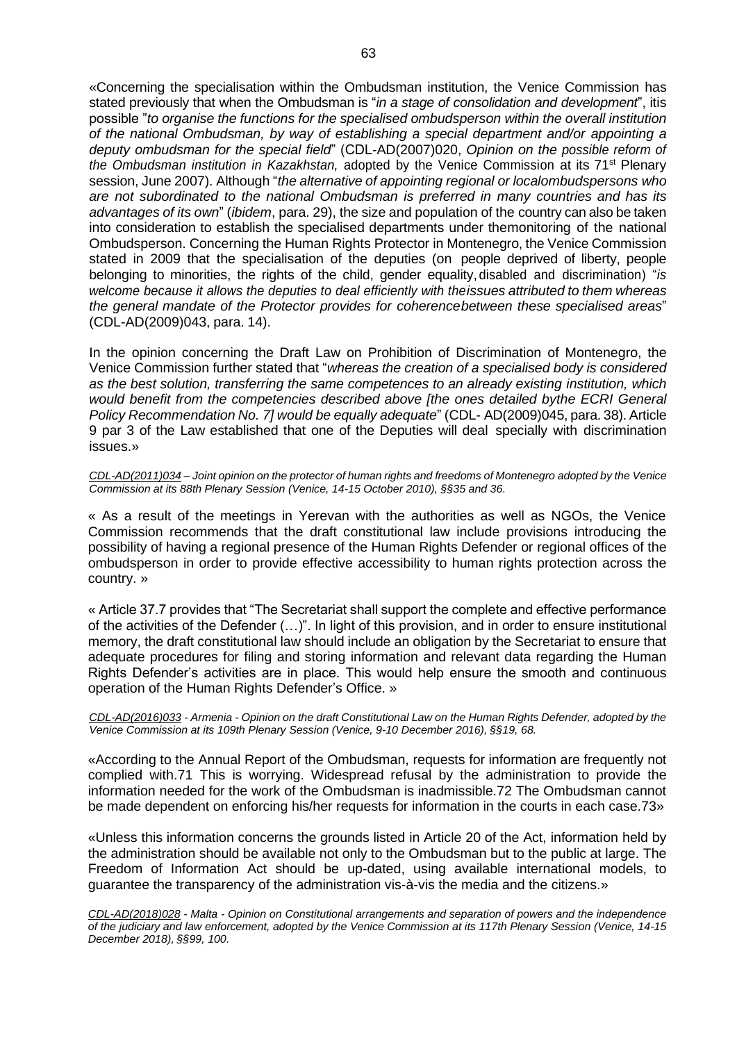«Concerning the specialisation within the Ombudsman institution, the Venice Commission has stated previously that when the Ombudsman is "*in a stage of consolidation and development*", itis possible "*to organise the functions for the specialised ombudsperson within the overall institution of the national Ombudsman, by way of establishing a special department and/or appointing a deputy ombudsman for the special field*" (CDL-AD(2007)020, *Opinion on the possible reform of the Ombudsman institution in Kazakhstan,* adopted by the Venice Commission at its 71st Plenary session, June 2007). Although "*the alternative of appointing regional or localombudspersons who are not subordinated to the national Ombudsman is preferred in many countries and has its advantages of its own*" (*ibidem*, para. 29), the size and population of the country can also be taken into consideration to establish the specialised departments under themonitoring of the national Ombudsperson. Concerning the Human Rights Protector in Montenegro, the Venice Commission stated in 2009 that the specialisation of the deputies (on people deprived of liberty, people belonging to minorities, the rights of the child, gender equality, disabled and discrimination) "*is welcome because it allows the deputies to deal efficiently with theissues attributed to them whereas the general mandate of the Protector provides for coherencebetween these specialised areas*" (CDL-AD(2009)043, para. 14).

In the opinion concerning the Draft Law on Prohibition of Discrimination of Montenegro, the Venice Commission further stated that "*whereas the creation of a specialised body is considered as the best solution, transferring the same competences to an already existing institution, which would benefit from the competencies described above [the ones detailed bythe ECRI General Policy Recommendation No. 7] would be equally adequate*" (CDL- AD(2009)045, para. 38). Article 9 par 3 of the Law established that one of the Deputies will deal specially with discrimination issues.»

*CDL-AD(2011)034 – Joint opinion on the protector of human rights and freedoms of Montenegro adopted by the Venice Commission at its 88th Plenary Session (Venice, 14-15 October 2010), §§35 and 36.*

« As a result of the meetings in Yerevan with the authorities as well as NGOs, the Venice Commission recommends that the draft constitutional law include provisions introducing the possibility of having a regional presence of the Human Rights Defender or regional offices of the ombudsperson in order to provide effective accessibility to human rights protection across the country. »

« Article 37.7 provides that "The Secretariat shall support the complete and effective performance of the activities of the Defender (…)". In light of this provision, and in order to ensure institutional memory, the draft constitutional law should include an obligation by the Secretariat to ensure that adequate procedures for filing and storing information and relevant data regarding the Human Rights Defender's activities are in place. This would help ensure the smooth and continuous operation of the Human Rights Defender's Office. »

*CDL-AD(2016)033 - Armenia - Opinion on the draft Constitutional Law on the Human Rights Defender, adopted by the Venice Commission at its 109th Plenary Session (Venice, 9-10 December 2016), §§19, 68.*

«According to the Annual Report of the Ombudsman, requests for information are frequently not complied with.71 This is worrying. Widespread refusal by the administration to provide the information needed for the work of the Ombudsman is inadmissible.72 The Ombudsman cannot be made dependent on enforcing his/her requests for information in the courts in each case.73»

«Unless this information concerns the grounds listed in Article 20 of the Act, information held by the administration should be available not only to the Ombudsman but to the public at large. The Freedom of Information Act should be up-dated, using available international models, to guarantee the transparency of the administration vis-à-vis the media and the citizens.»

*CDL-AD(2018)028 - Malta - Opinion on Constitutional arrangements and separation of powers and the independence of the judiciary and law enforcement, adopted by the Venice Commission at its 117th Plenary Session (Venice, 14-15 December 2018), §§99, 100.*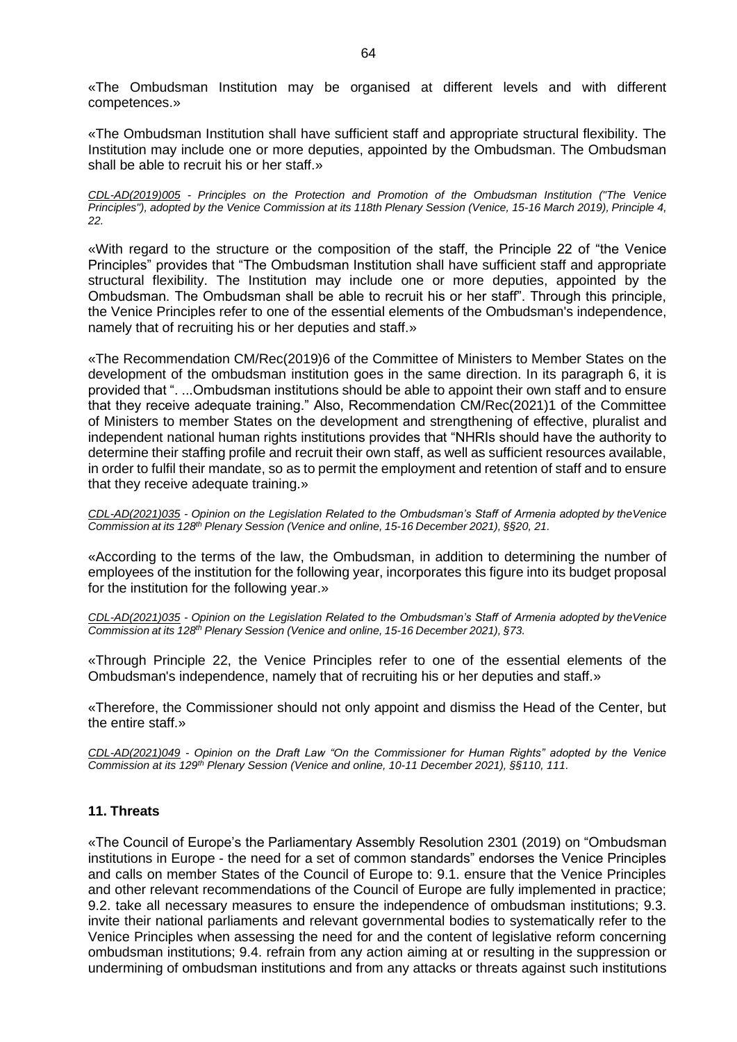«The Ombudsman Institution may be organised at different levels and with different competences.»

«The Ombudsman Institution shall have sufficient staff and appropriate structural flexibility. The Institution may include one or more deputies, appointed by the Ombudsman. The Ombudsman shall be able to recruit his or her staff.»

*CDL-AD(2019)005 - Principles on the Protection and Promotion of the Ombudsman Institution ("The Venice Principles"), adopted by the Venice Commission at its 118th Plenary Session (Venice, 15-16 March 2019), Principle 4, 22.*

«With regard to the structure or the composition of the staff, the Principle 22 of "the Venice Principles" provides that "The Ombudsman Institution shall have sufficient staff and appropriate structural flexibility. The Institution may include one or more deputies, appointed by the Ombudsman. The Ombudsman shall be able to recruit his or her staff". Through this principle, the Venice Principles refer to one of the essential elements of the Ombudsman's independence, namely that of recruiting his or her deputies and staff.»

«The Recommendation CM/Rec(2019)6 of the Committee of Ministers to Member States on the development of the ombudsman institution goes in the same direction. In its paragraph 6, it is provided that ". ...Ombudsman institutions should be able to appoint their own staff and to ensure that they receive adequate training." Also, Recommendation CM/Rec(2021)1 of the Committee of Ministers to member States on the development and strengthening of effective, pluralist and independent national human rights institutions provides that "NHRIs should have the authority to determine their staffing profile and recruit their own staff, as well as sufficient resources available, in order to fulfil their mandate, so as to permit the employment and retention of staff and to ensure that they receive adequate training.»

*CDL-AD(2021)035 - Opinion on the Legislation Related to the Ombudsman's Staff of Armenia adopted by theVenice Commission at its 128th Plenary Session (Venice and online, 15-16 December 2021), §§20, 21.*

«According to the terms of the law, the Ombudsman, in addition to determining the number of employees of the institution for the following year, incorporates this figure into its budget proposal for the institution for the following year.»

*CDL-AD(2021)035 - Opinion on the Legislation Related to the Ombudsman's Staff of Armenia adopted by theVenice Commission at its 128th Plenary Session (Venice and online, 15-16 December 2021), §73.*

«Through Principle 22, the Venice Principles refer to one of the essential elements of the Ombudsman's independence, namely that of recruiting his or her deputies and staff.»

«Therefore, the Commissioner should not only appoint and dismiss the Head of the Center, but the entire staff.»

*CDL-AD(2021)049 - Opinion on the Draft Law "On the Commissioner for Human Rights" adopted by the Venice Commission at its 129th Plenary Session (Venice and online, 10-11 December 2021), §§110, 111.*

# <span id="page-63-0"></span>**11. Threats**

«The Council of Europe's the Parliamentary Assembly Resolution 2301 (2019) on "Ombudsman institutions in Europe - the need for a set of common standards" endorses the Venice Principles and calls on member States of the Council of Europe to: 9.1. ensure that the Venice Principles and other relevant recommendations of the Council of Europe are fully implemented in practice; 9.2. take all necessary measures to ensure the independence of ombudsman institutions; 9.3. invite their national parliaments and relevant governmental bodies to systematically refer to the Venice Principles when assessing the need for and the content of legislative reform concerning ombudsman institutions; 9.4. refrain from any action aiming at or resulting in the suppression or undermining of ombudsman institutions and from any attacks or threats against such institutions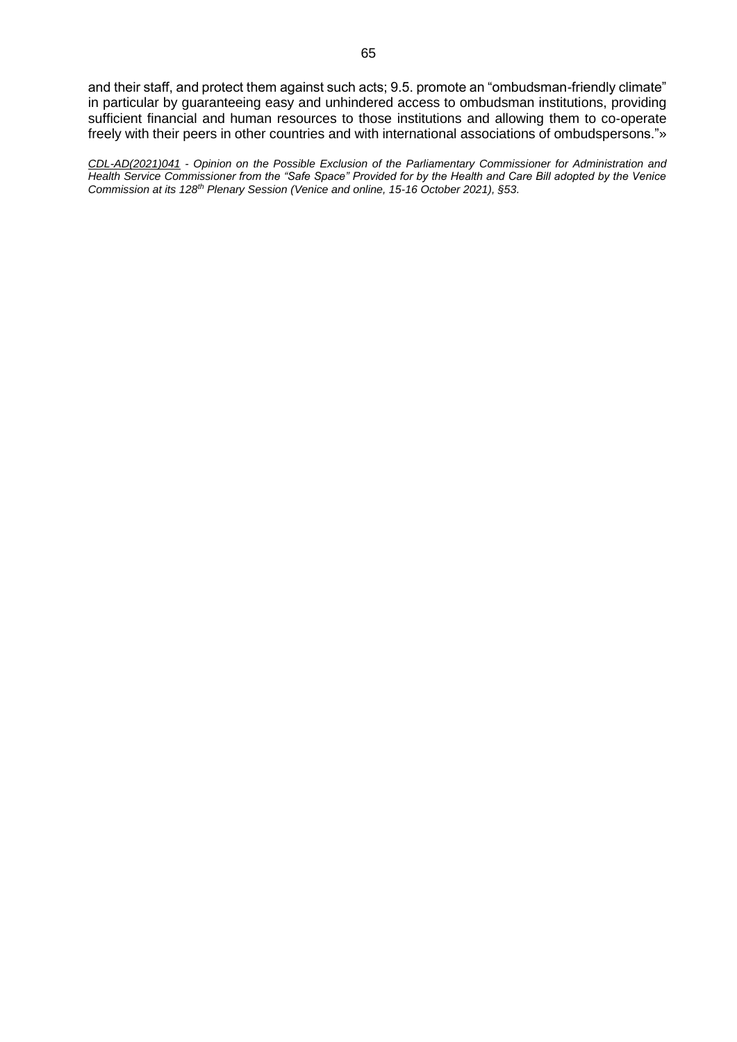and their staff, and protect them against such acts; 9.5. promote an "ombudsman-friendly climate" in particular by guaranteeing easy and unhindered access to ombudsman institutions, providing sufficient financial and human resources to those institutions and allowing them to co-operate freely with their peers in other countries and with international associations of ombudspersons."»

*CDL-AD(2021)041 - Opinion on the Possible Exclusion of the Parliamentary Commissioner for Administration and Health Service Commissioner from the "Safe Space" Provided for by the Health and Care Bill adopted by the Venice Commission at its 128th Plenary Session (Venice and online, 15-16 October 2021), §53.*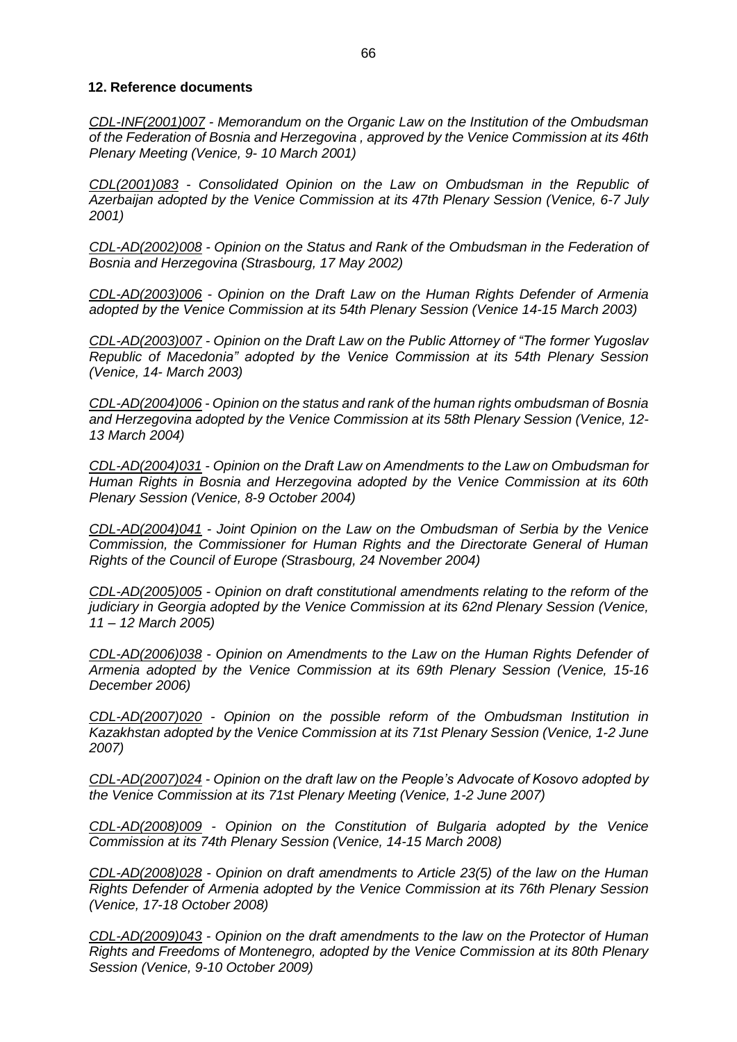# <span id="page-65-0"></span>**12. Reference documents**

*CDL-INF(2001)007 - Memorandum on the Organic Law on the Institution of the Ombudsman of the Federation of Bosnia and Herzegovina , approved by the Venice Commission at its 46th Plenary Meeting (Venice, 9- 10 March 2001)*

*CDL(2001)083 - Consolidated Opinion on the Law on Ombudsman in the Republic of Azerbaijan adopted by the Venice Commission at its 47th Plenary Session (Venice, 6-7 July 2001)*

*CDL-AD(2002)008 - Opinion on the Status and Rank of the Ombudsman in the Federation of Bosnia and Herzegovina (Strasbourg, 17 May 2002)*

*CDL-AD(2003)006 - Opinion on the Draft Law on the Human Rights Defender of Armenia adopted by the Venice Commission at its 54th Plenary Session (Venice 14-15 March 2003)*

*CDL-AD(2003)007 - Opinion on the Draft Law on the Public Attorney of "The former Yugoslav Republic of Macedonia" adopted by the Venice Commission at its 54th Plenary Session (Venice, 14- March 2003)*

*CDL-AD(2004)006 - Opinion on the status and rank of the human rights ombudsman of Bosnia and Herzegovina adopted by the Venice Commission at its 58th Plenary Session (Venice, 12- 13 March 2004)*

*CDL-AD(2004)031 - Opinion on the Draft Law on Amendments to the Law on Ombudsman for Human Rights in Bosnia and Herzegovina adopted by the Venice Commission at its 60th Plenary Session (Venice, 8-9 October 2004)*

*CDL-AD(2004)041 - Joint Opinion on the Law on the Ombudsman of Serbia by the Venice Commission, the Commissioner for Human Rights and the Directorate General of Human Rights of the Council of Europe (Strasbourg, 24 November 2004)*

*CDL-AD(2005)005 - Opinion on draft constitutional amendments relating to the reform of the judiciary in Georgia adopted by the Venice Commission at its 62nd Plenary Session (Venice, 11 – 12 March 2005)*

*CDL-AD(2006)038 - Opinion on Amendments to the Law on the Human Rights Defender of Armenia adopted by the Venice Commission at its 69th Plenary Session (Venice, 15-16 December 2006)*

*CDL-AD(2007)020 - Opinion on the possible reform of the Ombudsman Institution in Kazakhstan adopted by the Venice Commission at its 71st Plenary Session (Venice, 1-2 June 2007)*

*CDL-AD(2007)024 - Opinion on the draft law on the People's Advocate of Kosovo adopted by the Venice Commission at its 71st Plenary Meeting (Venice, 1-2 June 2007)*

*CDL-AD(2008)009 - Opinion on the Constitution of Bulgaria adopted by the Venice Commission at its 74th Plenary Session (Venice, 14-15 March 2008)*

*CDL-AD(2008)028 - Opinion on draft amendments to Article 23(5) of the law on the Human Rights Defender of Armenia adopted by the Venice Commission at its 76th Plenary Session (Venice, 17-18 October 2008)*

*CDL-AD(2009)043 - Opinion on the draft amendments to the law on the Protector of Human Rights and Freedoms of Montenegro, adopted by the Venice Commission at its 80th Plenary Session (Venice, 9-10 October 2009)*